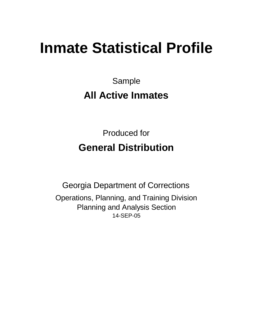# **Inmate Statistical Profile**

Sample **All Active Inmates**

Produced for **General Distribution**

14-SEP-05 Georgia Department of Corrections Operations, Planning, and Training Division Planning and Analysis Section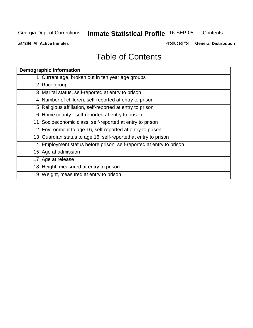**Contents** 

Sample **All Active Inmates**

Produced for **General Distribution**

| <b>Demographic information</b>                                       |
|----------------------------------------------------------------------|
| 1 Current age, broken out in ten year age groups                     |
| 2 Race group                                                         |
| 3 Marital status, self-reported at entry to prison                   |
| 4 Number of children, self-reported at entry to prison               |
| 5 Religious affiliation, self-reported at entry to prison            |
| 6 Home county - self-reported at entry to prison                     |
| 11 Socioeconomic class, self-reported at entry to prison             |
| 12 Environment to age 16, self-reported at entry to prison           |
| 13 Guardian status to age 16, self-reported at entry to prison       |
| 14 Employment status before prison, self-reported at entry to prison |
| 15 Age at admission                                                  |
| 17 Age at release                                                    |
| 18 Height, measured at entry to prison                               |
| 19 Weight, measured at entry to prison                               |
|                                                                      |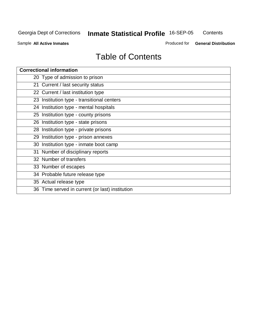**Contents** 

Sample **All Active Inmates**

Produced for **General Distribution**

| <b>Correctional information</b>                 |
|-------------------------------------------------|
| 20 Type of admission to prison                  |
| 21 Current / last security status               |
| 22 Current / last institution type              |
| 23 Institution type - transitional centers      |
| 24 Institution type - mental hospitals          |
| 25 Institution type - county prisons            |
| 26 Institution type - state prisons             |
| 28 Institution type - private prisons           |
| 29 Institution type - prison annexes            |
| 30 Institution type - inmate boot camp          |
| 31 Number of disciplinary reports               |
| 32 Number of transfers                          |
| 33 Number of escapes                            |
| 34 Probable future release type                 |
| 35 Actual release type                          |
| 36 Time served in current (or last) institution |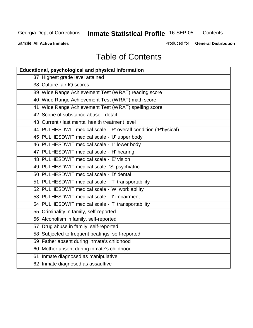**Contents** 

Sample **All Active Inmates**

Produced for **General Distribution**

| <b>Educational, psychological and physical information</b>       |
|------------------------------------------------------------------|
| 37 Highest grade level attained                                  |
| 38 Culture fair IQ scores                                        |
| 39 Wide Range Achievement Test (WRAT) reading score              |
| 40 Wide Range Achievement Test (WRAT) math score                 |
| 41 Wide Range Achievement Test (WRAT) spelling score             |
| 42 Scope of substance abuse - detail                             |
| 43 Current / last mental health treatment level                  |
| 44 PULHESDWIT medical scale - 'P' overall condition ('P'hysical) |
| 45 PULHESDWIT medical scale - 'U' upper body                     |
| 46 PULHESDWIT medical scale - 'L' lower body                     |
| 47 PULHESDWIT medical scale - 'H' hearing                        |
| 48 PULHESDWIT medical scale - 'E' vision                         |
| 49 PULHESDWIT medical scale -'S' psychiatric                     |
| 50 PULHESDWIT medical scale - 'D' dental                         |
| 51 PULHESDWIT medical scale - 'T' transportability               |
| 52 PULHESDWIT medical scale - 'W' work ability                   |
| 53 PULHESDWIT medical scale - 'I' impairment                     |
| 54 PULHESDWIT medical scale - 'T' transportability               |
| 55 Criminality in family, self-reported                          |
| 56 Alcoholism in family, self-reported                           |
| 57 Drug abuse in family, self-reported                           |
| 58 Subjected to frequent beatings, self-reported                 |
| 59 Father absent during inmate's childhood                       |
| 60 Mother absent during inmate's childhood                       |
| 61 Inmate diagnosed as manipulative                              |
| 62 Inmate diagnosed as assaultive                                |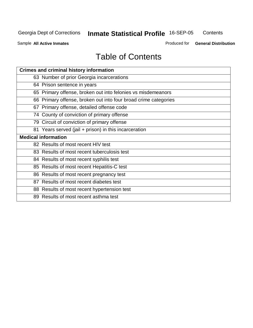**Contents** 

Sample **All Active Inmates**

Produced for **General Distribution**

| <b>Crimes and criminal history information</b>                  |
|-----------------------------------------------------------------|
| 63 Number of prior Georgia incarcerations                       |
| 64 Prison sentence in years                                     |
| 65 Primary offense, broken out into felonies vs misdemeanors    |
| 66 Primary offense, broken out into four broad crime categories |
| 67 Primary offense, detailed offense code                       |
| 74 County of conviction of primary offense                      |
| 79 Circuit of conviction of primary offense                     |
| 81 Years served (jail + prison) in this incarceration           |
| <b>Medical information</b>                                      |
| 82 Results of most recent HIV test                              |
| 83 Results of most recent tuberculosis test                     |
| 84 Results of most recent syphilis test                         |
| 85 Results of most recent Hepatitis-C test                      |
| 86 Results of most recent pregnancy test                        |
| 87 Results of most recent diabetes test                         |
| 88 Results of most recent hypertension test                     |
|                                                                 |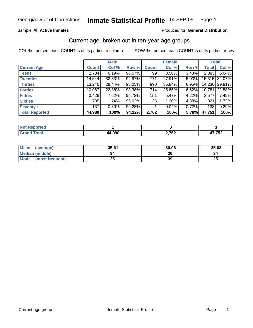#### Sample **All Active Inmates**

#### Produced for **General Distribution**

### Current age, broken out in ten-year age groups

|                       |              | <b>Male</b> |        |              | <b>Female</b> |       | <b>Total</b> |               |
|-----------------------|--------------|-------------|--------|--------------|---------------|-------|--------------|---------------|
| <b>Current Age</b>    | <b>Count</b> | Col %       | Row %  | <b>Count</b> | Col %         | Row % | <b>Total</b> | Col %         |
| <b>Teens</b>          | 2,784        | 6.19%       | 96.57% | 99           | 3.58%         | 3.43% | 2,883        | 6.04%         |
| <b>Twenties</b>       | 14,544       | 32.33%      | 94.97% | 771          | 27.91%        | 5.03% |              | 15,315 32.07% |
| <b>Thirties</b>       | 13,246       | 29.44%      | 93.05% | 990          | 35.84%        | 6.95% |              | 14,236 29.81% |
| <b>Forties</b>        | 10,067       | 22.38%      | 93.38% | 714          | 25.85%        | 6.62% | 10,781       | 22.58%        |
| <b>Fifties</b>        | 3,426        | 7.62%       | 95.78% | 151          | 5.47%         | 4.22% | 3,577        | 7.49%         |
| <b>Sixties</b>        | 785          | 1.74%       | 95.62% | 36           | 1.30%         | 4.38% | 821          | 1.72%         |
| Seventy +             | 137          | $0.30\%$    | 99.28% |              | 0.04%         | 0.72% | 138          | 0.29%         |
| <b>Total Reported</b> | 44,989       | 100%        | 94.22% | 2,762        | 100%          | 5.78% | 47,751       | 100%          |

| $N$ nt k<br>المستخدم<br>τeα<br> |       |                  |            |
|---------------------------------|-------|------------------|------------|
|                                 | 4 990 | ר 70 נ<br>4,7 VZ | 772<br>. . |

| Mean<br>(average)       | 35.61    | 36.06 | 35.63    |
|-------------------------|----------|-------|----------|
| <b>Median (middle)</b>  | 34       | 36    | 34       |
| Mode<br>(most frequent) | つら<br>∠J | 39    | つに<br>ZJ |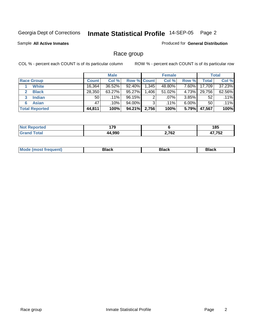Sample **All Active Inmates**

Produced for **General Distribution**

### Race group

|                       |              | <b>Male</b> |                    |       | <b>Female</b> |          |              | <b>Total</b> |
|-----------------------|--------------|-------------|--------------------|-------|---------------|----------|--------------|--------------|
| <b>Race Group</b>     | <b>Count</b> | Col %       | <b>Row % Count</b> |       | Col %         | Row %    | <b>Total</b> | Col %        |
| <b>White</b>          | 16,364       | 36.52%      | 92.40%             | .345  | 48.80%        | 7.60%    | 17,709       | 37.23%       |
| <b>Black</b>          | 28,350       | 63.27%      | 95.27%             | .406  | 51.02%        | 4.73%    | 29,756       | 62.56%       |
| <b>Indian</b>         | 50           | $.11\%$     | 96.15%             | 2     | $.07\%$       | 3.85%    | 52           | .11%         |
| <b>Asian</b><br>6     | 47           | .10%        | 94.00%             | 3     | $.11\%$       | $6.00\%$ | 50           | .11%         |
| <b>Total Reported</b> | 44,811       | 100%        | 94.21%             | 2,756 | 100%          | 5.79%    | 47,567       | 100%         |

| 170<br>. |       | 4 O.E<br>100<br>- - |
|----------|-------|---------------------|
| 44.990   | 2,762 | ハフ フロヘ<br>v         |

| Mo<br>Rlack<br>Black<br>ιαυκ<br>___ |
|-------------------------------------|
|-------------------------------------|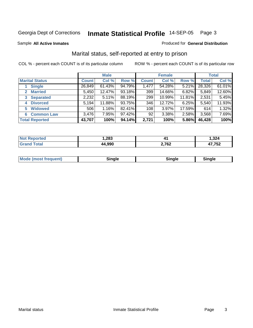Sample **All Active Inmates**

#### Produced for **General Distribution**

### Marital status, self-reported at entry to prison

|                        |              | <b>Male</b> |        |              | <b>Female</b> |        |              | <b>Total</b> |
|------------------------|--------------|-------------|--------|--------------|---------------|--------|--------------|--------------|
| <b>Marital Status</b>  | <b>Count</b> | Col %       | Row %  | <b>Count</b> | Col %         | Row %  | <b>Total</b> | Col %        |
| <b>Single</b>          | 26,849       | $61.43\%$   | 94.79% | 1,477        | 54.28%        | 5.21%  | 28,326       | 61.01%       |
| <b>Married</b><br>2    | 5,450        | 12.47%      | 93.18% | 399          | 14.66%        | 6.82%  | 5,849        | 12.60%       |
| <b>Separated</b><br>3  | 2,232        | 5.11%       | 88.19% | 299          | 10.99%        | 11.81% | 2,531        | 5.45%        |
| <b>Divorced</b><br>4   | 5,194        | 11.88%      | 93.75% | 346          | 12.72%        | 6.25%  | 5,540        | 11.93%       |
| <b>Widowed</b><br>5    | 506          | 1.16%       | 82.41% | 108          | 3.97%         | 17.59% | 614          | 1.32%        |
| <b>Common Law</b><br>6 | 3,476        | 7.95%       | 97.42% | 92           | 3.38%         | 2.58%  | 3,568        | 7.69%        |
| <b>Total Reported</b>  | 43,707       | 100%        | 94.14% | 2,721        | 100%          | 5.86%  | 46,428       | 100%         |

|       | .283 | .              | ,324<br>$\sim$ |
|-------|------|----------------|----------------|
| _____ | റററ  | המה ה<br>2,702 | $-$<br>uZ      |

|  | <b>Mode</b><br>(most frequent) | .<br>luie | лане | ---- |
|--|--------------------------------|-----------|------|------|
|--|--------------------------------|-----------|------|------|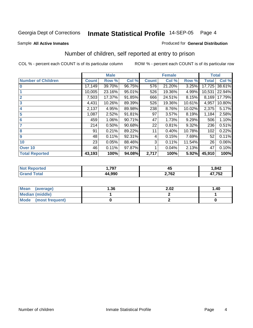Sample **All Active Inmates**

#### Produced for **General Distribution**

### Number of children, self reported at entry to prison

|                           |              | <b>Male</b> |        |              | <b>Female</b> |        | <b>Total</b> |        |
|---------------------------|--------------|-------------|--------|--------------|---------------|--------|--------------|--------|
| <b>Number of Children</b> | <b>Count</b> | Row %       | Col %  | <b>Count</b> | Col %         | Row %  | <b>Total</b> | Col %  |
| $\overline{0}$            | 17,149       | 39.70%      | 96.75% | 576          | 21.20%        | 3.25%  | 17,725       | 38.61% |
|                           | 10,005       | 23.16%      | 95.01% | 526          | 19.36%        | 4.99%  | 10,531       | 22.94% |
| $\overline{2}$            | 7,503        | 17.37%      | 91.85% | 666          | 24.51%        | 8.15%  | 8,169        | 17.79% |
| $\overline{\mathbf{3}}$   | 4,431        | 10.26%      | 89.39% | 526          | 19.36%        | 10.61% | 4,957        | 10.80% |
| $\overline{\mathbf{4}}$   | 2,137        | 4.95%       | 89.98% | 238          | 8.76%         | 10.02% | 2,375        | 5.17%  |
| 5                         | 1,087        | 2.52%       | 91.81% | 97           | 3.57%         | 8.19%  | 1,184        | 2.58%  |
| $6\phantom{a}6$           | 459          | 1.06%       | 90.71% | 47           | 1.73%         | 9.29%  | 506          | 1.10%  |
| 7                         | 214          | 0.50%       | 90.68% | 22           | 0.81%         | 9.32%  | 236          | 0.51%  |
| 8                         | 91           | 0.21%       | 89.22% | 11           | 0.40%         | 10.78% | 102          | 0.22%  |
| 9                         | 48           | 0.11%       | 92.31% | 4            | 0.15%         | 7.69%  | 52           | 0.11%  |
| 10                        | 23           | 0.05%       | 88.46% | 3            | 0.11%         | 11.54% | 26           | 0.06%  |
| Over 10                   | 46           | 0.11%       | 97.87% |              | 0.04%         | 2.13%  | 47           | 0.10%  |
| <b>Total Reported</b>     | 43,193       | 100%        | 94.08% | 2,717        | 100%          | 5.92%  | 45,910       | 100%   |

| те | 707         | - -   | ,842  |
|----|-------------|-------|-------|
|    | ، ت         | ╌     |       |
|    | המה ג<br>44 | 2,762 | 7,752 |

| Mean<br>(average)    | 36. ا | 2.02 | 1.40 |
|----------------------|-------|------|------|
| Median (middle)      |       |      |      |
| Mode (most frequent) |       |      |      |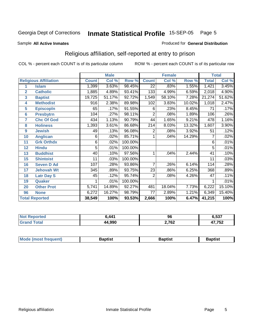Sample **All Active Inmates**

#### Produced for **General Distribution**

### Religious affiliation, self-reported at entry to prison

|                  |                              |              | <b>Male</b> |         |                 | <b>Female</b> |        | <b>Total</b>    |        |  |
|------------------|------------------------------|--------------|-------------|---------|-----------------|---------------|--------|-----------------|--------|--|
|                  | <b>Religious Affiliation</b> | <b>Count</b> | Col %       | Row %   | <b>Count</b>    | Col %         | Row %  | <b>Total</b>    | Col %  |  |
| 1                | <b>Islam</b>                 | 1,399        | 3.63%       | 98.45%  | $\overline{22}$ | .83%          | 1.55%  | 1,421           | 3.45%  |  |
| $\overline{2}$   | <b>Catholic</b>              | 1,885        | 4.89%       | 93.41%  | 133             | 4.99%         | 6.59%  | 2,018           | 4.90%  |  |
| 3                | <b>Baptist</b>               | 19,725       | 51.17%      | 92.72%  | 1,549           | 58.10%        | 7.28%  | 21,274          | 51.62% |  |
| 4                | <b>Methodist</b>             | 916          | 2.38%       | 89.98%  | 102             | 3.83%         | 10.02% | 1,018           | 2.47%  |  |
| 5                | <b>EpiscopIn</b>             | 65           | .17%        | 91.55%  | 6               | .23%          | 8.45%  | 71              | .17%   |  |
| $6\phantom{1}6$  | <b>Presbytrn</b>             | 104          | .27%        | 98.11%  | $\overline{2}$  | .08%          | 1.89%  | 106             | .26%   |  |
| 7                | <b>Chc Of God</b>            | 434          | 1.13%       | 90.79%  | 44              | 1.65%         | 9.21%  | 478             | 1.16%  |  |
| 8                | <b>Holiness</b>              | 1,393        | 3.61%       | 86.68%  | 214             | 8.03%         | 13.32% | 1,607           | 3.90%  |  |
| $\boldsymbol{9}$ | <b>Jewish</b>                | 49           | .13%        | 96.08%  | 2               | .08%          | 3.92%  | 51              | .12%   |  |
| 10               | <b>Anglican</b>              | 6            | .02%        | 85.71%  |                 | .04%          | 14.29% | 7               | .02%   |  |
| 11               | <b>Grk Orthdx</b>            | 6            | .02%        | 100.00% |                 |               |        | 6               | .01%   |  |
| 12               | <b>Hindu</b>                 | 5            | .01%        | 100.00% |                 |               |        | 5               | .01%   |  |
| 13               | <b>Buddhist</b>              | 40           | .10%        | 97.56%  | 1               | .04%          | 2.44%  | 41              | .10%   |  |
| 15               | <b>Shintoist</b>             | 11           | .03%        | 100.00% |                 |               |        | $\overline{11}$ | .03%   |  |
| 16               | <b>Seven D Ad</b>            | 107          | .28%        | 93.86%  | 7               | .26%          | 6.14%  | 114             | .28%   |  |
| 17               | <b>Jehovah Wt</b>            | 345          | .89%        | 93.75%  | 23              | .86%          | 6.25%  | 368             | .89%   |  |
| 18               | <b>Latr Day S</b>            | 45           | .12%        | 95.74%  | 2               | .08%          | 4.26%  | 47              | .11%   |  |
| 19               | Quaker                       |              | .01%        | 100.00% |                 |               |        |                 | .01%   |  |
| 20               | <b>Other Prot</b>            | 5,741        | 14.89%      | 92.27%  | 481             | 18.04%        | 7.73%  | 6,222           | 15.10% |  |
| 96               | <b>None</b>                  | 6,272        | 16.27%      | 98.79%  | 77              | 2.89%         | 1.21%  | 6,349           | 15.40% |  |
|                  | <b>Total Reported</b>        | 38,549       | 100%        | 93.53%  | 2,666           | 100%          | 6.47%  | 41,215          | 100%   |  |

| $\mathbf{A}$ | o۵<br>Ju              | ドクラ<br>ວວ.   |
|--------------|-----------------------|--------------|
| 14.990       | 2.767<br>$\mathbf{V}$ | 17 752<br>◡▵ |

|  | Mode (m.<br><b>ost frequent)</b> | 3aptist | 3aptist | 3aptıst |
|--|----------------------------------|---------|---------|---------|
|--|----------------------------------|---------|---------|---------|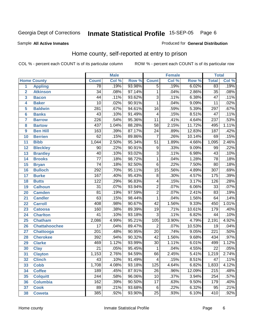Sample **All Active Inmates**

#### Produced for **General Distribution**

### Home county, self-reported at entry to prison

|                 |                      |                  | <b>Male</b> |        |                  | <b>Female</b> |        | <b>Total</b>     |       |
|-----------------|----------------------|------------------|-------------|--------|------------------|---------------|--------|------------------|-------|
|                 | <b>Home County</b>   | <b>Count</b>     | Col %       | Row %  | <b>Count</b>     | Col %         | Row %  | <b>Total</b>     | Col % |
| $\overline{1}$  | <b>Appling</b>       | $\overline{78}$  | .19%        | 93.98% | $\overline{5}$   | .19%          | 6.02%  | 83               | .19%  |
| $\overline{2}$  | <b>Atkinson</b>      | $\overline{34}$  | .08%        | 97.14% | 1                | .04%          | 2.86%  | $\overline{35}$  | .08%  |
| 3               | <b>Bacon</b>         | $\overline{44}$  | .11%        | 93.62% | $\overline{3}$   | .11%          | 6.38%  | $\overline{47}$  | .11%  |
| 4               | <b>Baker</b>         | $\overline{10}$  | .02%        | 90.91% | 1                | .04%          | 9.09%  | $\overline{11}$  | .02%  |
| 5               | <b>Baldwin</b>       | $\overline{281}$ | .67%        | 94.61% | $\overline{16}$  | .59%          | 5.39%  | 297              | .67%  |
| 6               | <b>Banks</b>         | $\overline{43}$  | .10%        | 91.49% | 4                | .15%          | 8.51%  | 47               | .11%  |
| $\overline{7}$  | <b>Barrow</b>        | $\overline{226}$ | .54%        | 95.36% | $\overline{11}$  | .41%          | 4.64%  | 237              | .53%  |
| 8               | <b>Bartow</b>        | 437              | 1.04%       | 88.28% | 58               | 2.15%         | 11.72% | 495              | 1.11% |
| 9               | <b>Ben Hill</b>      | $\overline{163}$ | .39%        | 87.17% | $\overline{24}$  | .89%          | 12.83% | 187              | .42%  |
| 10              | <b>Berrien</b>       | 62               | .15%        | 89.86% | $\overline{7}$   | .26%          | 10.14% | 69               | .15%  |
| 11              | <b>Bibb</b>          | 1,044            | 2.50%       | 95.34% | $\overline{51}$  | 1.89%         | 4.66%  | 1,095            | 2.46% |
| 12              | <b>Bleckley</b>      | $\overline{90}$  | .22%        | 90.91% | 9                | .33%          | 9.09%  | 99               | .22%  |
| 13              | <b>Brantley</b>      | $\overline{40}$  | .10%        | 93.02% | $\overline{3}$   | .11%          | 6.98%  | $\overline{43}$  | .10%  |
| 14              | <b>Brooks</b>        | $\overline{77}$  | .18%        | 98.72% | 1                | .04%          | 1.28%  | $\overline{78}$  | .18%  |
| 15              | <b>Bryan</b>         | $\overline{74}$  | .18%        | 92.50% | $\overline{6}$   | .22%          | 7.50%  | $\overline{80}$  | .18%  |
| 16              | <b>Bulloch</b>       | $\overline{292}$ | .70%        | 95.11% | $\overline{15}$  | .56%          | 4.89%  | $\overline{307}$ | .69%  |
| 17              | <b>Burke</b>         | $\overline{167}$ | .40%        | 95.43% | $\overline{8}$   | .30%          | 4.57%  | 175              | .39%  |
| 18              | <b>Butts</b>         | 122              | .29%        | 96.83% | 4                | .15%          | 3.17%  | 126              | .28%  |
| 19              | <b>Calhoun</b>       | $\overline{31}$  | .07%        | 93.94% | $\overline{2}$   | .07%          | 6.06%  | $\overline{33}$  | .07%  |
| 20              | <b>Camden</b>        | $\overline{81}$  | .19%        | 97.59% | $\overline{2}$   | .07%          | 2.41%  | 83               | .19%  |
| 21              | <b>Candler</b>       | $\overline{63}$  | .15%        | 98.44% | $\overline{1}$   | .04%          | 1.56%  | 64               | .14%  |
| $\overline{22}$ | <b>Carroll</b>       | 408              | .98%        | 90.67% | $\overline{42}$  | 1.56%         | 9.33%  | 450              | 1.01% |
| 23              | <b>Catoosa</b>       | 160              | .38%        | 89.39% | $\overline{19}$  | .71%          | 10.61% | 179              | .40%  |
| 24              | <b>Charlton</b>      | $\overline{41}$  | .10%        | 93.18% | 3                | .11%          | 6.82%  | 44               | .10%  |
| 25              | <b>Chatham</b>       | 2,086            | 4.99%       | 95.21% | $\overline{105}$ | 3.90%         | 4.79%  | 2,191            | 4.92% |
| 26              | <b>Chattahoochee</b> | $\overline{17}$  | .04%        | 89.47% | 2                | .07%          | 10.53% | 19               | .04%  |
| 27              | Chattooga            | $\overline{201}$ | .48%        | 90.95% | $\overline{20}$  | .74%          | 9.05%  | $\overline{221}$ | .50%  |
| 28              | <b>Cherokee</b>      | 392              | .94%        | 90.32% | 42               | 1.56%         | 9.68%  | 434              | .97%  |
| 29              | <b>Clarke</b>        | 469              | 1.12%       | 93.99% | $\overline{30}$  | 1.11%         | 6.01%  | 499              | 1.12% |
| 30              | <b>Clay</b>          | $\overline{21}$  | .05%        | 95.45% | $\mathbf 1$      | .04%          | 4.55%  | $\overline{22}$  | .05%  |
| $\overline{31}$ | <b>Clayton</b>       | 1,153            | 2.76%       | 94.59% | 66               | 2.45%         | 5.41%  | 1,219            | 2.74% |
| 32              | <b>Clinch</b>        | 43               | .10%        | 91.49% | 4                | .15%          | 8.51%  | 47               | .11%  |
| 33              | <b>Cobb</b>          | 1,708            | 4.08%       | 93.18% | 125              | 4.64%         | 6.82%  | 1,833            | 4.12% |
| 34              | <b>Coffee</b>        | 189              | .45%        | 87.91% | 26               | .96%          | 12.09% | 215              | .48%  |
| 35              | <b>Colquitt</b>      | $\overline{244}$ | .58%        | 96.06% | 10               | .37%          | 3.94%  | 254              | .57%  |
| 36              | <b>Columbia</b>      | 162              | .39%        | 90.50% | 17               | .63%          | 9.50%  | 179              | .40%  |
| 37              | <b>Cook</b>          | 89               | .21%        | 93.68% | 6                | .22%          | 6.32%  | 95               | .21%  |
| 38              | <b>Coweta</b>        | 385              | .92%        | 93.90% | $\overline{25}$  | .93%          | 6.10%  | 410              | .92%  |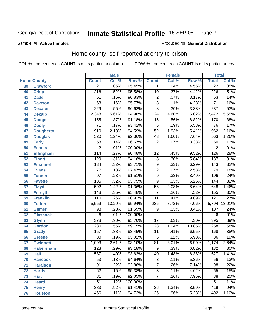#### Sample **All Active Inmates**

#### Produced for **General Distribution**

### Home county, self-reported at entry to prison

|                 |                    |                  | <b>Male</b> |         |                 | <b>Female</b> |        | <b>Total</b>     |         |
|-----------------|--------------------|------------------|-------------|---------|-----------------|---------------|--------|------------------|---------|
|                 | <b>Home County</b> | <b>Count</b>     | Col %       | Row %   | <b>Count</b>    | Col %         | Row %  | <b>Total</b>     | Col %   |
| 39              | <b>Crawford</b>    | $\overline{21}$  | .05%        | 95.45%  | $\mathbf 1$     | .04%          | 4.55%  | $\overline{22}$  | .05%    |
| 40              | <b>Crisp</b>       | $\overline{216}$ | .52%        | 95.58%  | 10              | .37%          | 4.42%  | $\overline{226}$ | .51%    |
| 41              | <b>Dade</b>        | 61               | .15%        | 96.83%  | $\overline{2}$  | .07%          | 3.17%  | 63               | .14%    |
| 42              | <b>Dawson</b>      | 68               | .16%        | 95.77%  | $\overline{3}$  | .11%          | 4.23%  | $\overline{71}$  | .16%    |
| 43              | <b>Decatur</b>     | 229              | .55%        | 96.62%  | $\overline{8}$  | .30%          | 3.38%  | 237              | .53%    |
| 44              | <b>Dekalb</b>      | 2,348            | 5.61%       | 94.98%  | 124             | 4.60%         | 5.02%  | 2,472            | 5.55%   |
| 45              | <b>Dodge</b>       | 155              | .37%        | 91.18%  | $\overline{15}$ | .56%          | 8.82%  | 170              | .38%    |
| 46              | <b>Dooly</b>       | $\overline{71}$  | .17%        | 93.42%  | 5               | .19%          | 6.58%  | $\overline{76}$  | .17%    |
| 47              | <b>Dougherty</b>   | $\overline{910}$ | 2.18%       | 94.59%  | $\overline{52}$ | 1.93%         | 5.41%  | 962              | 2.16%   |
| 48              | <b>Douglas</b>     | 520              | 1.24%       | 92.36%  | 43              | 1.60%         | 7.64%  | 563              | 1.26%   |
| 49              | <b>Early</b>       | $\overline{58}$  | .14%        | 96.67%  | $\overline{2}$  | .07%          | 3.33%  | 60               | .13%    |
| 50              | <b>Echols</b>      | 2                | .01%        | 100.00% |                 |               |        | $\overline{2}$   | .01%    |
| $\overline{51}$ | <b>Effingham</b>   | 114              | .27%        | 90.48%  | $\overline{12}$ | .45%          | 9.52%  | $\overline{126}$ | .28%    |
| 52              | <b>Elbert</b>      | 129              | .31%        | 94.16%  | $\overline{8}$  | .30%          | 5.84%  | 137              | .31%    |
| 53              | <b>Emanuel</b>     | 134              | .32%        | 93.71%  | $\overline{9}$  | .33%          | 6.29%  | $\overline{143}$ | .32%    |
| 54              | <b>Evans</b>       | $\overline{77}$  | .18%        | 97.47%  | $\overline{2}$  | .07%          | 2.53%  | $\overline{79}$  | .18%    |
| 55              | <b>Fannin</b>      | $\overline{97}$  | .23%        | 91.51%  | $\overline{9}$  | .33%          | 8.49%  | $\overline{106}$ | .24%    |
| 56              | <b>Fayette</b>     | 135              | .32%        | 93.75%  | $\overline{9}$  | .33%          | 6.25%  | 144              | .32%    |
| $\overline{57}$ | <b>Floyd</b>       | 592              | 1.42%       | 91.36%  | $\overline{56}$ | 2.08%         | 8.64%  | 648              | 1.46%   |
| 58              | <b>Forsyth</b>     | 148              | .35%        | 95.48%  | $\overline{7}$  | .26%          | 4.52%  | 155              | .35%    |
| 59              | <b>Franklin</b>    | 110              | .26%        | 90.91%  | $\overline{11}$ | .41%          | 9.09%  | 121              | .27%    |
| 60              | <b>Fulton</b>      | 5,559            | 13.29%      | 95.94%  | 235             | 8.72%         | 4.06%  | 5,794            | 13.01%  |
| 61              | Gilmer             | 98               | .23%        | 91.59%  | 9               | .33%          | 8.41%  | 107              | .24%    |
| 62              | <b>Glascock</b>    | $\,6$            | .01%        | 100.00% |                 |               |        | 6                | .01%    |
| 63              | <b>Glynn</b>       | $\overline{378}$ | .90%        | 95.70%  | $\overline{17}$ | .63%          | 4.30%  | 395              | .89%    |
| 64              | <b>Gordon</b>      | 230              | .55%        | 89.15%  | 28              | 1.04%         | 10.85% | 258              | .58%    |
| 65              | <b>Grady</b>       | 157              | .38%        | 93.45%  | $\overline{11}$ | .41%          | 6.55%  | 168              | .38%    |
| 66              | <b>Greene</b>      | $\overline{80}$  | .19%        | 93.02%  | $\,6$           | .22%          | 6.98%  | 86               | .19%    |
| 67              | <b>Gwinnett</b>    | 1,093            | 2.61%       | 93.10%  | 81              | 3.01%         | 6.90%  | 1,174            | 2.64%   |
| 68              | <b>Habersham</b>   | 123              | .29%        | 93.18%  | 9               | .33%          | 6.82%  | 132              | $.30\%$ |
| 69              | <b>Hall</b>        | $\overline{587}$ | 1.40%       | 93.62%  | 40              | 1.48%         | 6.38%  | 627              | 1.41%   |
| 70              | <b>Hancock</b>     | 53               | .13%        | 94.64%  | 3               | .11%          | 5.36%  | 56               | .13%    |
| 71              | <b>Haralson</b>    | $\overline{91}$  | .22%        | 92.86%  | $\overline{7}$  | .26%          | 7.14%  | 98               | .22%    |
| 72              | <b>Harris</b>      | 62               | .15%        | 95.38%  | $\overline{3}$  | .11%          | 4.62%  | 65               | .15%    |
| 73              | <b>Hart</b>        | $\overline{81}$  | .19%        | 92.05%  | $\overline{7}$  | .26%          | 7.95%  | 88               | .20%    |
| 74              | <b>Heard</b>       | $\overline{51}$  | .12%        | 100.00% |                 |               |        | 51               | .11%    |
| 75              | <b>Henry</b>       | 383              | .92%        | 91.41%  | $\overline{36}$ | 1.34%         | 8.59%  | 419              | .94%    |
| 76              | <b>Houston</b>     | 466              | 1.11%       | 94.72%  | 26              | .96%          | 5.28%  | 492              | 1.10%   |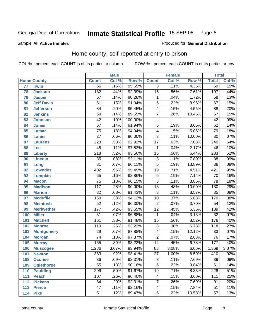#### Sample **All Active Inmates**

#### Produced for **General Distribution**

### Home county, self-reported at entry to prison

|     |                    |                  | <b>Male</b> |         |                         | <b>Female</b> |        | <b>Total</b>     |       |
|-----|--------------------|------------------|-------------|---------|-------------------------|---------------|--------|------------------|-------|
|     | <b>Home County</b> | <b>Count</b>     | Col %       | Row %   | <b>Count</b>            | Col %         | Row %  | <b>Total</b>     | Col % |
| 77  | <b>Irwin</b>       | 66               | .16%        | 95.65%  | $\overline{3}$          | .11%          | 4.35%  | 69               | .15%  |
| 78  | <b>Jackson</b>     | 182              | .44%        | 92.39%  | $\overline{15}$         | .56%          | 7.61%  | 197              | .44%  |
| 79  | <b>Jasper</b>      | $\overline{57}$  | .14%        | 98.28%  | $\mathbf{1}$            | .04%          | 1.72%  | $\overline{58}$  | .13%  |
| 80  | <b>Jeff Davis</b>  | 61               | .15%        | 91.04%  | $\overline{6}$          | .22%          | 8.96%  | 67               | .15%  |
| 81  | <b>Jefferson</b>   | $\overline{84}$  | .20%        | 95.45%  | $\overline{4}$          | .15%          | 4.55%  | $\overline{88}$  | .20%  |
| 82  | <b>Jenkins</b>     | $\overline{60}$  | .14%        | 89.55%  | 7                       | .26%          | 10.45% | 67               | .15%  |
| 83  | <b>Johnson</b>     | $\overline{42}$  | .10%        | 100.00% |                         |               |        | $\overline{42}$  | .09%  |
| 84  | <b>Jones</b>       | $\overline{57}$  | .14%        | 91.94%  | $\overline{5}$          | .19%          | 8.06%  | $\overline{62}$  | .14%  |
| 85  | <b>Lamar</b>       | $\overline{75}$  | .18%        | 94.94%  | $\overline{4}$          | .15%          | 5.06%  | $\overline{79}$  | .18%  |
| 86  | <b>Lanier</b>      | $\overline{27}$  | .06%        | 90.00%  | $\overline{3}$          | .11%          | 10.00% | $\overline{30}$  | .07%  |
| 87  | <b>Laurens</b>     | $\overline{223}$ | .53%        | 92.92%  | $\overline{17}$         | .63%          | 7.08%  | $\overline{240}$ | .54%  |
| 88  | Lee                | $\overline{45}$  | .11%        | 97.83%  | $\mathbf{1}$            | .04%          | 2.17%  | 46               | .10%  |
| 89  | <b>Liberty</b>     | $\overline{218}$ | .52%        | 93.56%  | $\overline{15}$         | .56%          | 6.44%  | 233              | .52%  |
| 90  | <b>Lincoln</b>     | $\overline{35}$  | .08%        | 92.11%  | $\overline{3}$          | .11%          | 7.89%  | $\overline{38}$  | .09%  |
| 91  | Long               | $\overline{31}$  | .07%        | 86.11%  | $\overline{5}$          | .19%          | 13.89% | $\overline{36}$  | .08%  |
| 92  | <b>Lowndes</b>     | 402              | .96%        | 95.49%  | $\overline{19}$         | .71%          | 4.51%  | 421              | .95%  |
| 93  | <b>Lumpkin</b>     | 65               | .16%        | 92.86%  | $\overline{5}$          | .19%          | 7.14%  | $\overline{70}$  | .16%  |
| 94  | <b>Macon</b>       | $\overline{75}$  | .18%        | 96.15%  | $\overline{3}$          | .11%          | 3.85%  | $\overline{78}$  | .18%  |
| 95  | <b>Madison</b>     | $\overline{117}$ | .28%        | 90.00%  | $\overline{13}$         | .48%          | 10.00% | 130              | .29%  |
| 96  | <b>Marion</b>      | $\overline{32}$  | .08%        | 91.43%  | $\overline{3}$          | .11%          | 8.57%  | $\overline{35}$  | .08%  |
| 97  | <b>Mcduffie</b>    | 160              | .38%        | 94.12%  | $\overline{10}$         | .37%          | 5.88%  | 170              | .38%  |
| 98  | <b>Mcintosh</b>    | $\overline{52}$  | .12%        | 96.30%  | $\overline{2}$          | .07%          | 3.70%  | $\overline{54}$  | .12%  |
| 99  | <b>Meriwether</b>  | $\overline{177}$ | .42%        | 93.65%  | $\overline{12}$         | .45%          | 6.35%  | 189              | .42%  |
| 100 | <b>Miller</b>      | $\overline{31}$  | .07%        | 96.88%  | 1                       | .04%          | 3.13%  | $\overline{32}$  | .07%  |
| 101 | <b>Mitchell</b>    | 161              | .38%        | 91.48%  | $\overline{15}$         | .56%          | 8.52%  | 176              | .40%  |
| 102 | <b>Monroe</b>      | 110              | .26%        | 93.22%  | $\overline{8}$          | .30%          | 6.78%  | $\overline{118}$ | .27%  |
| 103 | <b>Montgomery</b>  | $\overline{29}$  | .07%        | 87.88%  | $\overline{4}$          | .15%          | 12.12% | $\overline{33}$  | .07%  |
| 104 | <b>Morgan</b>      | $\overline{74}$  | .18%        | 97.37%  | $\overline{2}$          | .07%          | 2.63%  | $\overline{76}$  | .17%  |
| 105 | <b>Murray</b>      | 165              | .39%        | 93.22%  | $\overline{12}$         | .45%          | 6.78%  | $\overline{177}$ | .40%  |
| 106 | <b>Muscogee</b>    | 1,286            | 3.07%       | 93.94%  | $\overline{83}$         | 3.08%         | 6.06%  | 1,369            | 3.07% |
| 107 | <b>Newton</b>      | 383              | .92%        | 93.41%  | $\overline{27}$         | 1.00%         | 6.59%  | 410              | .92%  |
| 108 | <b>Oconee</b>      | 36               | .09%        | 92.31%  | 3                       | .11%          | 7.69%  | 39               | .09%  |
| 109 | <b>Oglethorpe</b>  | $\overline{55}$  | .13%        | 90.16%  | $\overline{6}$          | .22%          | 9.84%  | 61               | .14%  |
| 110 | <b>Paulding</b>    | $\overline{209}$ | .50%        | 91.67%  | $\overline{19}$         | .71%          | 8.33%  | 228              | .51%  |
| 111 | <b>Peach</b>       | 107              | .26%        | 96.40%  | 4                       | .15%          | 3.60%  | 111              | .25%  |
| 112 | <b>Pickens</b>     | $\overline{84}$  | .20%        | 92.31%  | 7                       | .26%          | 7.69%  | 91               | .20%  |
| 113 | <b>Pierce</b>      | $\overline{47}$  | .11%        | 92.16%  | $\overline{\mathbf{4}}$ | .15%          | 7.84%  | 51               | .11%  |
| 114 | <b>Pike</b>        | $\overline{51}$  | .12%        | 89.47%  | $\overline{6}$          | .22%          | 10.53% | 57               | .13%  |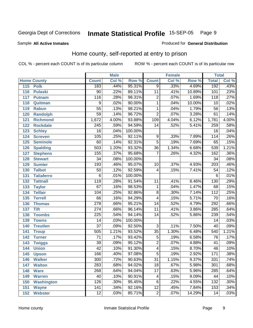#### Sample **All Active Inmates**

#### Produced for **General Distribution**

### Home county, self-reported at entry to prison

|     |                    |                  | <b>Male</b> |         |                 | <b>Female</b> |        | <b>Total</b>     |         |
|-----|--------------------|------------------|-------------|---------|-----------------|---------------|--------|------------------|---------|
|     | <b>Home County</b> | <b>Count</b>     | Col %       | Row %   | <b>Count</b>    | Col %         | Row %  | <b>Total</b>     | Col %   |
| 115 | <b>Polk</b>        | 183              | .44%        | 95.31%  | 9               | .33%          | 4.69%  | 192              | .43%    |
| 116 | <b>Pulaski</b>     | 90               | .22%        | 89.11%  | $\overline{11}$ | .41%          | 10.89% | 101              | .23%    |
| 117 | <b>Putnam</b>      | 116              | .28%        | 98.31%  | $\overline{2}$  | .07%          | 1.69%  | 118              | .27%    |
| 118 | Quitman            | $\overline{9}$   | .02%        | 90.00%  | 1               | .04%          | 10.00% | 10               | .02%    |
| 119 | <b>Rabun</b>       | $\overline{55}$  | .13%        | 98.21%  | $\mathbf{1}$    | .04%          | 1.79%  | $\overline{56}$  | .13%    |
| 120 | <b>Randolph</b>    | $\overline{59}$  | .14%        | 96.72%  | $\overline{2}$  | .07%          | 3.28%  | 61               | .14%    |
| 121 | <b>Richmond</b>    | 1,672            | 4.00%       | 93.88%  | 109             | 4.04%         | 6.12%  | 1,781            | 4.00%   |
| 122 | <b>Rockdale</b>    | 245              | .59%        | 94.59%  | 14              | .52%          | 5.41%  | 259              | .58%    |
| 123 | <b>Schley</b>      | $\overline{16}$  | .04%        | 100.00% |                 |               |        | $\overline{16}$  | .04%    |
| 124 | <b>Screven</b>     | 105              | .25%        | 92.11%  | 9               | .33%          | 7.89%  | 114              | .26%    |
| 125 | <b>Seminole</b>    | 60               | .14%        | 92.31%  | $\overline{5}$  | .19%          | 7.69%  | 65               | .15%    |
| 126 | <b>Spalding</b>    | $\overline{503}$ | 1.20%       | 93.32%  | $\overline{36}$ | 1.34%         | 6.68%  | 539              | 1.21%   |
| 127 | <b>Stephens</b>    | 155              | .37%        | 95.68%  | $\overline{7}$  | .26%          | 4.32%  | 162              | .36%    |
| 128 | <b>Stewart</b>     | $\overline{34}$  | .08%        | 100.00% |                 |               |        | $\overline{34}$  | .08%    |
| 129 | <b>Sumter</b>      | 193              | .46%        | 95.07%  | 10              | .37%          | 4.93%  | $\overline{203}$ | .46%    |
| 130 | <b>Talbot</b>      | 50               | .12%        | 92.59%  | 4               | .15%          | 7.41%  | $\overline{54}$  | .12%    |
| 131 | <b>Taliaferro</b>  | $\overline{6}$   | .01%        | 100.00% |                 |               |        | $\overline{6}$   | .01%    |
| 132 | <b>Tattnall</b>    | 119              | .28%        | 91.54%  | 11              | .41%          | 8.46%  | 130              | .29%    |
| 133 | <b>Taylor</b>      | $\overline{67}$  | .16%        | 98.53%  | 1               | .04%          | 1.47%  | 68               | .15%    |
| 134 | <b>Telfair</b>     | 104              | .25%        | 92.86%  | 8               | .30%          | 7.14%  | $\overline{112}$ | .25%    |
| 135 | <b>Terrell</b>     | 66               | .16%        | 94.29%  | 4               | .15%          | 5.71%  | $\overline{70}$  | .16%    |
| 136 | <b>Thomas</b>      | $\overline{278}$ | .66%        | 95.21%  | $\overline{14}$ | .52%          | 4.79%  | 292              | .66%    |
| 137 | <b>Tift</b>        | $\overline{274}$ | .66%        | 96.14%  | 11              | .41%          | 3.86%  | 285              | .64%    |
| 138 | <b>Toombs</b>      | $\overline{225}$ | .54%        | 94.14%  | 14              | .52%          | 5.86%  | 239              | .54%    |
| 139 | <b>Towns</b>       | $\overline{14}$  | .03%        | 100.00% |                 |               |        | $\overline{14}$  | .03%    |
| 140 | <b>Treutlen</b>    | $\overline{37}$  | .09%        | 92.50%  | $\overline{3}$  | .11%          | 7.50%  | 40               | .09%    |
| 141 | <b>Troup</b>       | 505              | 1.21%       | 93.52%  | $\overline{35}$ | 1.30%         | 6.48%  | $\overline{540}$ | 1.21%   |
| 142 | <b>Turner</b>      | $\overline{71}$  | .17%        | 93.42%  | 5               | .19%          | 6.58%  | 76               | .17%    |
| 143 | <b>Twiggs</b>      | $\overline{39}$  | .09%        | 95.12%  | $\overline{2}$  | .07%          | 4.88%  | $\overline{41}$  | .09%    |
| 144 | <b>Union</b>       | $\overline{42}$  | .10%        | 91.30%  | 4               | .15%          | 8.70%  | 46               | .10%    |
| 145 | <b>Upson</b>       | 166              | .40%        | 97.08%  | $\overline{5}$  | .19%          | 2.92%  | 171              | .38%    |
| 146 | <b>Walker</b>      | 300              | .72%        | 90.63%  | 31              | 1.15%         | 9.37%  | 331              | .74%    |
| 147 | <b>Walton</b>      | 283              | .68%        | 94.02%  | $\overline{18}$ | .67%          | 5.98%  | 301              | .68%    |
| 148 | <b>Ware</b>        | 268              | .64%        | 94.04%  | 17              | .63%          | 5.96%  | 285              | .64%    |
| 149 | <b>Warren</b>      | 40               | .10%        | 90.91%  | 4               | .15%          | 9.09%  | 44               | .10%    |
| 150 | <b>Washington</b>  | 126              | .30%        | 95.45%  | 6               | .22%          | 4.55%  | 132              | $.30\%$ |
| 151 | <b>Wayne</b>       | 141              | .34%        | 92.16%  | $\overline{12}$ | .45%          | 7.84%  | 153              | .34%    |
| 152 | <b>Webster</b>     | 12               | .03%        | 85.71%  | $\overline{2}$  | .07%          | 14.29% | 14               | .03%    |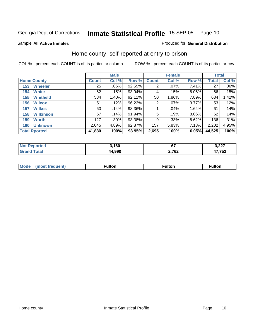Produced for **General Distribution**

#### Sample **All Active Inmates**

### Home county, self-reported at entry to prison

|     |                      |              | <b>Male</b> |        |              | <b>Female</b> | <b>Total</b> |              |         |
|-----|----------------------|--------------|-------------|--------|--------------|---------------|--------------|--------------|---------|
|     | <b>Home County</b>   | <b>Count</b> | Col %       | Row %  | <b>Count</b> | Col %         | Row %        | <b>Total</b> | Col %   |
| 153 | <b>Wheeler</b>       | 25           | $.06\%$     | 92.59% | 2            | .07%          | 7.41%        | 27           | $.06\%$ |
| 154 | <b>White</b>         | 62           | .15%        | 93.94% | 4            | .15%          | 6.06%        | 66           | .15%    |
| 155 | <b>Whitfield</b>     | 584          | 1.40%       | 92.11% | 50           | 1.86%         | 7.89%        | 634          | 1.42%   |
| 156 | <b>Wilcox</b>        | 51           | .12%        | 96.23% | 2            | $.07\%$       | 3.77%        | 53           | .12%    |
| 157 | <b>Wilkes</b>        | 60           | .14%        | 98.36% |              | $.04\%$       | 1.64%        | 61           | .14%    |
| 158 | <b>Wilkinson</b>     | 57           | .14%        | 91.94% | 5            | .19%          | 8.06%        | 62           | .14%    |
| 159 | <b>Worth</b>         | 127          | .30%        | 93.38% | 9            | .33%          | 6.62%        | 136          | .31%    |
| 160 | <b>Unknown</b>       | 2,045        | 4.89%       | 92.87% | 157          | 5.83%         | 7.13%        | 2,202        | 4.95%   |
|     | <b>Total Rported</b> | 41,830       | 100%        | 93.95% | 2,695        | 100%          | 6.05%        | 44,525       | 100%    |

| N <sub>01</sub><br>IA (÷IO | ,160   |                 | 3,227                 |
|----------------------------|--------|-----------------|-----------------------|
| <b>otal</b>                | 44.990 | 2,762<br>$\sim$ | 17 759<br>70 I.<br>., |

| <b>Mode</b> | ⊡lton | .<br>uiton | <b>HIOL.</b> |
|-------------|-------|------------|--------------|
|             |       |            |              |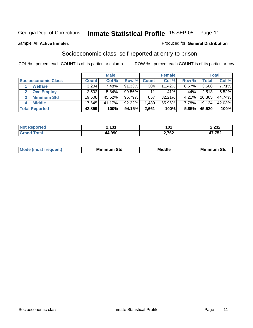Sample **All Active Inmates**

#### Produced for **General Distribution**

### Socioeconomic class, self-reported at entry to prison

|                            |              | <b>Male</b> |           |              | <b>Female</b> |         |        | <b>Total</b> |
|----------------------------|--------------|-------------|-----------|--------------|---------------|---------|--------|--------------|
| <b>Socioeconomic Class</b> | <b>Count</b> | Col %       | Row %     | <b>Count</b> | Col %         | Row %   | Total  | Col %        |
| <b>Welfare</b>             | 3,204        | 7.48%       | 91.33%    | 304          | 11.42%        | 8.67%   | 3,508  | 7.71%        |
| <b>Occ Employ</b>          | 2,502        | 5.84%       | 99.56%    | 11           | $.41\%$       | $.44\%$ | 2,513  | 5.52%        |
| <b>Minimum Std</b>         | 19,508       | 45.52%      | 95.79%    | 857          | 32.21%        | 4.21%   | 20,365 | 44.74%       |
| <b>Middle</b><br>4         | 17,645       | 41.17%      | $92.22\%$ | .489         | 55.96%        | 7.78%   | 19,134 | 42.03%       |
| <b>Total Reported</b>      | 42,859       | 100%        | 94.15%    | 2,661        | 100%          | 5.85%   | 45,520 | 100%         |

| тес | 101    | 10΄   | 2,232       |
|-----|--------|-------|-------------|
|     | 44.990 | 2,762 | 750<br>ـە … |

| <b>Minin</b><br>Std<br>3td<br>aic<br>.<br>____ |
|------------------------------------------------|
|------------------------------------------------|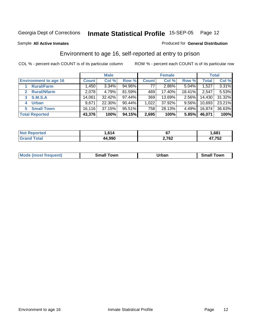Sample **All Active Inmates**

#### Produced for **General Distribution**

### Environment to age 16, self-reported at entry to prison

|                              |              | <b>Male</b> |           |              | <b>Female</b> |        |        | <b>Total</b> |
|------------------------------|--------------|-------------|-----------|--------------|---------------|--------|--------|--------------|
| <b>Environment to age 16</b> | <b>Count</b> | Col %       | Row %     | <b>Count</b> | Col %         | Row %  | Total  | Col %        |
| <b>Rural/Farm</b>            | 1,450        | 3.34%       | 94.96%    | 77           | $2.86\%$      | 5.04%  | 1,527  | 3.31%        |
| <b>Rural/Nfarm</b>           | 2,078        | 4.79%       | 81.59%    | 469          | 17.40%        | 18.41% | 2,547  | 5.53%        |
| <b>S.M.S.A</b>               | 14,061       | 32.42%      | $97.44\%$ | 369          | 13.69%        | 2.56%  | 14,430 | 31.32%       |
| <b>Urban</b><br>4            | 9,671        | 22.30%      | 90.44%    | 1,022        | 37.92%        | 9.56%  | 10,693 | 23.21%       |
| <b>Small Town</b><br>5       | 16, 116      | 37.15%      | $95.51\%$ | 758          | 28.13%        | 4.49%  | 16,874 | 36.63%       |
| <b>Total Reported</b>        | 43,376       | 100%        | 94.15%    | 2,695        | 100%          | 5.85%  | 46,071 | 100%         |

| <b>Not Reported</b> | .614   | ~-<br>י ט | 681.ا  |
|---------------------|--------|-----------|--------|
| Total               | 44,990 | 2,762     | 17,752 |

| Mode (most frequent) | ----<br>Town<br>\mall<br>_____ | Jrban<br>____ | Towr<br>small |
|----------------------|--------------------------------|---------------|---------------|
|                      |                                |               |               |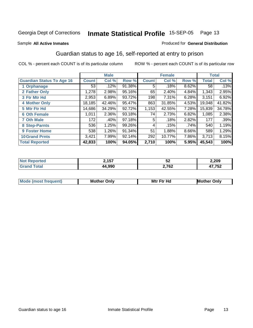#### Sample **All Active Inmates**

#### Produced for **General Distribution**

### Guardian status to age 16, self-reported at entry to prison

|                                  |              | <b>Male</b> |        |              | <b>Female</b> |       |              | <b>Total</b> |
|----------------------------------|--------------|-------------|--------|--------------|---------------|-------|--------------|--------------|
| <b>Guardian Status To Age 16</b> | <b>Count</b> | Col %       | Row %  | <b>Count</b> | Col %         | Row % | <b>Total</b> | Col %        |
| 1 Orphanage                      | 53           | .12%        | 91.38% | 5            | .18%          | 8.62% | 58           | .13%         |
| 2 Father Only                    | 1,278        | 2.98%       | 95.16% | 65           | 2.40%         | 4.84% | 1,343        | 2.95%        |
| 3 Ftr Mtr Hd                     | 2,953        | 6.89%       | 93.72% | 198          | 7.31%         | 6.28% | 3,151        | 6.92%        |
| <b>4 Mother Only</b>             | 18,185       | 42.46%      | 95.47% | 863          | 31.85%        | 4.53% | 19,048       | 41.82%       |
| 5 Mtr Ftr Hd                     | 14,686       | 34.29%      | 92.72% | 1,153        | 42.55%        | 7.28% | 15,839       | 34.78%       |
| <b>6 Oth Female</b>              | 1,011        | 2.36%       | 93.18% | 74           | 2.73%         | 6.82% | 1,085        | 2.38%        |
| <b>7 Oth Male</b>                | 172          | .40%        | 97.18% | 5            | .18%          | 2.82% | 177          | .39%         |
| 8 Step-Parnts                    | 536          | 1.25%       | 99.26% | 4            | .15%          | .74%  | 540          | 1.19%        |
| <b>9 Foster Home</b>             | 538          | 1.26%       | 91.34% | 51           | 1.88%         | 8.66% | 589          | 1.29%        |
| <b>10 Grand Prnts</b>            | 3,421        | 7.99%       | 92.14% | 292          | 10.77%        | 7.86% | 3,713        | 8.15%        |
| <b>Total Reported</b>            | 42,833       | 100%        | 94.05% | 2,710        | 100%          | 5.95% | 45,543       | 100%         |

| <b>rted</b> | ) 157        | -0    | 2,209  |
|-------------|--------------|-------|--------|
| NO1         | L. I J I     | ⊾ن    |        |
|             | <b>A QOO</b> | 2,762 | 47,752 |

| Mode             | Mother | Mtr Ftr Hd                                                                                                      | Only   |
|------------------|--------|-----------------------------------------------------------------------------------------------------------------|--------|
| most frequent) د | Only   | the contract of the contract of the contract of the contract of the contract of the contract of the contract of | Mother |
|                  |        |                                                                                                                 |        |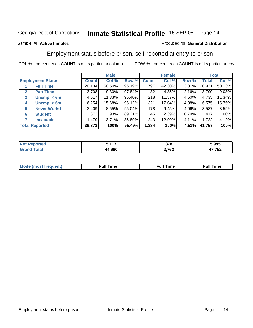#### Sample **All Active Inmates**

#### Produced for **General Distribution**

### Employment status before prison, self-reported at entry to prison

|                                  |              | <b>Male</b> |           |              | <b>Female</b> |        |              | <b>Total</b> |
|----------------------------------|--------------|-------------|-----------|--------------|---------------|--------|--------------|--------------|
| <b>Employment Status</b>         | <b>Count</b> | Col %       | Row %     | <b>Count</b> | Col %         | Row %  | <b>Total</b> | Col %        |
| <b>Full Time</b>                 | 20,134       | 50.50%      | 96.19%    | 797          | 42.30%        | 3.81%  | 20,931       | 50.13%       |
| <b>Part Time</b><br>$\mathbf{2}$ | 3,708        | $9.30\%$    | 97.84%    | 82           | 4.35%         | 2.16%  | 3,790        | 9.08%        |
| Unempl $<$ 6m<br>3               | 4,517        | 11.33%      | 95.40%    | 218          | 11.57%        | 4.60%  | 4,735        | 11.34%       |
| Unempl > 6m<br>4                 | 6,254        | 15.68%      | 95.12%    | 321          | 17.04%        | 4.88%  | 6,575        | 15.75%       |
| <b>Never Workd</b><br>5          | 3,409        | 8.55%       | $95.04\%$ | 178          | 9.45%         | 4.96%  | 3,587        | 8.59%        |
| <b>Student</b><br>6              | 372          | .93%        | 89.21%    | 45           | 2.39%         | 10.79% | 417          | 1.00%        |
| 7<br><b>Incapable</b>            | 1,479        | 3.71%       | 85.89%    | 243          | 12.90%        | 14.11% | 1,722        | 4.12%        |
| <b>Total Reported</b>            | 39,873       | 100%        | 95.49%    | 1,884        | 100%          | 4.51%  | 41,757       | 100%         |

| ---- | --    | ~-~                    | 5.995       |
|------|-------|------------------------|-------------|
| τρι  | - - - | o 1 0                  |             |
| ---  | .990  | 2,762<br>$\sim$ $\sim$ | .752<br>. . |

| <b>Moo.</b><br>ner | --<br>me<br>uı. | ™e | ïme |
|--------------------|-----------------|----|-----|
|                    |                 |    |     |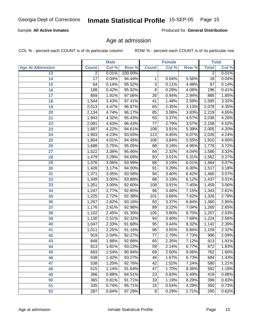#### Sample **All Active Inmates**

Produced for **General Distribution**

### Age at admission

|                         |                 | <b>Male</b> |         |                 | <b>Female</b> |       |                 | <b>Total</b> |
|-------------------------|-----------------|-------------|---------|-----------------|---------------|-------|-----------------|--------------|
| <b>Age At Admission</b> | <b>Count</b>    | Col %       | Row %   | <b>Count</b>    | Col %         | Row % | <b>Total</b>    | Col %        |
| 13                      | $\overline{2}$  | 0.01%       | 100.00% |                 |               |       | $\overline{2}$  | 0.01%        |
| 14                      | $\overline{17}$ | 0.04%       | 94.44%  | 1               | 0.04%         | 5.56% | $\overline{18}$ | 0.04%        |
| $\overline{15}$         | 64              | 0.14%       | 95.52%  | $\overline{3}$  | 0.11%         | 4.48% | 67              | 0.14%        |
| 16                      | 188             | 0.42%       | 95.92%  | $\overline{8}$  | 0.29%         | 4.08% | 196             | 0.41%        |
| $\overline{17}$         | 859             | 1.91%       | 97.06%  | $\overline{26}$ | 0.94%         | 2.94% | 885             | 1.85%        |
| 18                      | 1,544           | 3.43%       | 97.41%  | $\overline{41}$ | 1.48%         | 2.59% | 1,585           | 3.32%        |
| 19                      | 2,013           | 4.47%       | 96.87%  | 65              | 2.35%         | 3.13% | 2,078           | 4.35%        |
| 20                      | 2,134           | 4.74%       | 96.17%  | 85              | 3.08%         | 3.83% | 2,219           | 4.65%        |
| 21                      | 1,943           | 4.32%       | 95.43%  | 93              | 3.37%         | 4.57% | 2,036           | 4.26%        |
| 22                      | 2,081           | 4.63%       | 96.43%  | $\overline{77}$ | 2.79%         | 3.57% | 2,158           | 4.52%        |
| 23                      | 1,897           | 4.22%       | 94.61%  | 108             | 3.91%         | 5.39% | 2,005           | 4.20%        |
| $\overline{24}$         | 1,903           | 4.23%       | 93.93%  | 123             | 4.45%         | 6.07% | 2,026           | 4.24%        |
| $\overline{25}$         | 1,804           | 4.01%       | 94.45%  | 106             | 3.84%         | 5.55% | 1,910           | 4.00%        |
| 26                      | 1,688           | 3.75%       | 95.05%  | $\overline{88}$ | 3.19%         | 4.95% | 1,776           | 3.72%        |
| 27                      | 1,522           | 3.38%       | 95.96%  | 64              | 2.32%         | 4.04% | 1,586           | 3.32%        |
| 28                      | 1,479           | 3.29%       | 94.69%  | 83              | 3.01%         | 5.31% | 1,562           | 3.27%        |
| 29                      | 1,376           | 3.06%       | 93.99%  | 88              | 3.19%         | 6.01% | 1,464           | 3.07%        |
| 30                      | 1,426           | 3.17%       | 94.00%  | $\overline{91}$ | 3.29%         | 6.00% | 1,517           | 3.18%        |
| 31                      | 1,371           | 3.05%       | 93.58%  | 94              | 3.40%         | 6.42% | 1,465           | 3.07%        |
| 32                      | 1,349           | 3.00%       | 93.88%  | $\overline{88}$ | 3.19%         | 6.12% | 1,437           | 3.01%        |
| 33                      | 1,351           | 3.00%       | 92.60%  | 108             | 3.91%         | 7.40% | 1,459           | 3.06%        |
| 34                      | 1,247           | 2.77%       | 92.85%  | 96              | 3.48%         | 7.15% | 1,343           | 2.81%        |
| 35                      | 1,225           | 2.72%       | 92.38%  | 101             | 3.66%         | 7.62% | 1,326           | 2.78%        |
| 36                      | 1,267           | 2.82%       | 93.16%  | 93              | 3.37%         | 6.84% | 1,360           | 2.85%        |
| $\overline{37}$         | 1,176           | 2.61%       | 92.96%  | 89              | 3.22%         | 7.04% | 1,265           | 2.65%        |
| 38                      | 1,102           | 2.45%       | 91.30%  | 105             | 3.80%         | 8.70% | 1,207           | 2.53%        |
| 39                      | 1,130           | 2.51%       | 92.32%  | 94              | 3.40%         | 7.68% | 1,224           | 2.56%        |
| 40                      | 1,047           | 2.33%       | 91.68%  | $\overline{95}$ | 3.44%         | 8.32% | 1,142           | 2.39%        |
| 41                      | 1,011           | 2.25%       | 91.16%  | 98              | 3.55%         | 8.84% | 1,109           | 2.32%        |
| 42                      | 919             | 2.04%       | 92.27%  | $\overline{77}$ | 2.79%         | 7.73% | 996             | 2.09%        |
| 43                      | 848             | 1.88%       | 92.88%  | 65              | 2.35%         | 7.12% | 913             | 1.91%        |
| 44                      | 813             | 1.81%       | 93.23%  | 59              | 2.14%         | 6.77% | 872             | 1.83%        |
| 45                      | 693             | 1.54%       | 90.94%  | 69              | 2.50%         | 9.06% | 762             | 1.60%        |
| 46                      | 638             | 1.42%       | 93.27%  | 46              | 1.67%         | 6.73% | 684             | 1.43%        |
| 47                      | 538             | 1.20%       | 92.76%  | 42              | 1.52%         | 7.24% | 580             | 1.21%        |
| 48                      | 515             | 1.14%       | 91.64%  | 47              | 1.70%         | 8.36% | 562             | 1.18%        |
| 49                      | 396             | 0.88%       | 94.51%  | 23              | 0.83%         | 5.49% | 419             | 0.88%        |
| 50                      | 365             | 0.81%       | 91.71%  | $\overline{33}$ | 1.19%         | 8.29% | 398             | 0.83%        |
| 51                      | 335             | 0.74%       | 95.71%  | 15              | 0.54%         | 4.29% | 350             | 0.73%        |
| $\overline{52}$         | 287             | 0.64%       | 97.29%  | $\overline{8}$  | 0.29%         | 2.71% | 295             | 0.62%        |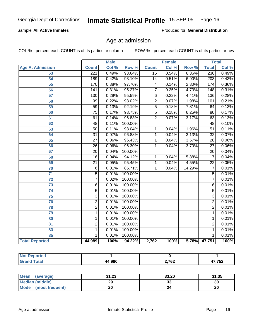#### Sample **All Active Inmates**

Produced for **General Distribution**

### Age at admission

|                         | <b>Male</b>      |       | <b>Female</b> |                         |       | <b>Total</b> |                  |       |
|-------------------------|------------------|-------|---------------|-------------------------|-------|--------------|------------------|-------|
| <b>Age At Admission</b> | <b>Count</b>     | Col % | Row %         | <b>Count</b>            | Col % | Row %        | <b>Total</b>     | Col % |
| 53                      | 221              | 0.49% | 93.64%        | 15                      | 0.54% | 6.36%        | 236              | 0.49% |
| $\overline{54}$         | 189              | 0.42% | 93.10%        | $\overline{14}$         | 0.51% | 6.90%        | $\overline{203}$ | 0.43% |
| 55                      | 170              | 0.38% | 97.70%        | $\overline{\mathbf{4}}$ | 0.14% | 2.30%        | 174              | 0.36% |
| 56                      | $\overline{141}$ | 0.31% | 95.27%        | $\overline{7}$          | 0.25% | 4.73%        | 148              | 0.31% |
| $\overline{57}$         | 130              | 0.29% | 95.59%        | $\overline{6}$          | 0.22% | 4.41%        | 136              | 0.28% |
| 58                      | $\overline{99}$  | 0.22% | 98.02%        | $\overline{2}$          | 0.07% | 1.98%        | 101              | 0.21% |
| 59                      | $\overline{59}$  | 0.13% | 92.19%        | $\overline{5}$          | 0.18% | 7.81%        | 64               | 0.13% |
| 60                      | $\overline{75}$  | 0.17% | 93.75%        | $\overline{5}$          | 0.18% | 6.25%        | 80               | 0.17% |
| 61                      | $\overline{61}$  | 0.14% | 96.83%        | $\overline{2}$          | 0.07% | 3.17%        | 63               | 0.13% |
| 62                      | 48               | 0.11% | 100.00%       |                         |       |              | $\overline{48}$  | 0.10% |
| 63                      | $\overline{50}$  | 0.11% | 98.04%        | 1                       | 0.04% | 1.96%        | $\overline{51}$  | 0.11% |
| 64                      | $\overline{31}$  | 0.07% | 96.88%        | $\overline{1}$          | 0.04% | 3.13%        | $\overline{32}$  | 0.07% |
| 65                      | $\overline{27}$  | 0.06% | 96.43%        | $\overline{1}$          | 0.04% | 3.57%        | $\overline{28}$  | 0.06% |
| 66                      | $\overline{26}$  | 0.06% | 96.30%        | 1                       | 0.04% | 3.70%        | $\overline{27}$  | 0.06% |
| 67                      | $\overline{20}$  | 0.04% | 100.00%       |                         |       |              | $\overline{20}$  | 0.04% |
| 68                      | $\overline{16}$  | 0.04% | 94.12%        | 1                       | 0.04% | 5.88%        | $\overline{17}$  | 0.04% |
| 69                      | $\overline{21}$  | 0.05% | 95.45%        | $\overline{1}$          | 0.04% | 4.55%        | $\overline{22}$  | 0.05% |
| 70                      | $\overline{6}$   | 0.01% | 85.71%        | 1                       | 0.04% | 14.29%       | 7                | 0.01% |
| $\overline{71}$         | $\overline{5}$   | 0.01% | 100.00%       |                         |       |              | $\overline{5}$   | 0.01% |
| $\overline{72}$         | $\overline{7}$   | 0.02% | 100.00%       |                         |       |              | $\overline{7}$   | 0.01% |
| $\overline{73}$         | $\overline{6}$   | 0.01% | 100.00%       |                         |       |              | $\overline{6}$   | 0.01% |
| 74                      | $\overline{5}$   | 0.01% | 100.00%       |                         |       |              | $\overline{5}$   | 0.01% |
| 75                      | $\overline{3}$   | 0.01% | 100.00%       |                         |       |              | $\overline{3}$   | 0.01% |
| 76                      | $\overline{2}$   | 0.01% | 100.00%       |                         |       |              | $\overline{2}$   | 0.01% |
| 78                      | $\overline{2}$   | 0.01% | 100.00%       |                         |       |              | $\overline{2}$   | 0.01% |
| 79                      | $\mathbf 1$      | 0.01% | 100.00%       |                         |       |              | 1                | 0.01% |
| 80                      | $\mathbf 1$      | 0.01% | 100.00%       |                         |       |              | 1                | 0.01% |
| $\overline{81}$         | $\overline{2}$   | 0.01% | 100.00%       |                         |       |              | $\overline{2}$   | 0.01% |
| 83                      | $\mathbf{1}$     | 0.01% | 100.00%       |                         |       |              | 1                | 0.01% |
| 85                      | 1                | 0.01% | 100.00%       |                         |       |              | 1                | 0.01% |
| <b>Total Reported</b>   | 44,989           | 100%  | 94.22%        | 2,762                   | 100%  |              | 5.78% 47,751     | 100%  |

| د د لاس<br>prtea<br>' NOT<br>. |       |       |                  |
|--------------------------------|-------|-------|------------------|
| $f \wedge f \wedge f$          | 4.990 | 2,762 | ハフ フロつ<br>,7 J Z |

| <b>Mean</b><br>(average) | 31.23 | 33.20   | 31.35 |
|--------------------------|-------|---------|-------|
| Median (middle)          | 29    | ົ<br>აა | 30    |
| Mode<br>(most frequent)  | 20    |         | 20    |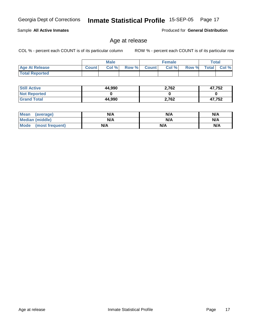**Still Active Not Reported Grand Total**

 **Total Reported**

| <b>Mean</b><br>(average) | N/A | N/A | N/A |
|--------------------------|-----|-----|-----|
| <b>Median (middle)</b>   | N/A | N/A | N/A |
| Mode (most frequent)     | N/A | N/A | N/A |

### Age at release

 **Age At Release Count Col % Row % Count Col % Row % Total Col %** 

**Male**

 **44,990 0 44,990**

COL % - percent each COUNT is of its particular column ROW % - percent each COUNT is of its particular row

 **2,762 0 2,762**

Sample **All Active Inmates**

Produced for **General Distribution**

**Female Total**

 **47,752 0 47,752**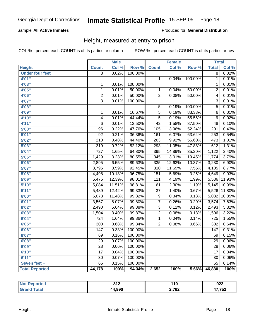#### Sample **All Active Inmates**

#### Produced for **General Distribution**

### Height, measured at entry to prison

|                        |                  | <b>Male</b> |                  |                  | <b>Female</b> |         | <b>Total</b>     |        |
|------------------------|------------------|-------------|------------------|------------------|---------------|---------|------------------|--------|
| <b>Height</b>          | <b>Count</b>     | Col %       | Row <sup>%</sup> | <b>Count</b>     | Col %         | Row %   | <b>Total</b>     | Col %  |
| <b>Under four feet</b> | $\overline{8}$   | 0.02%       | 100.00%          |                  |               |         | $\overline{8}$   | 0.02%  |
| 4'01"                  |                  |             |                  | $\mathbf{1}$     | 0.04%         | 100.00% | 1                | 0.01%  |
| 4'03"                  | $\mathbf 1$      | 0.01%       | 100.00%          |                  |               |         | 1                | 0.01%  |
| 4'05"                  | $\overline{1}$   | 0.01%       | 50.00%           | $\overline{1}$   | 0.04%         | 50.00%  | $\overline{2}$   | 0.01%  |
| 4'06"                  | $\overline{2}$   | 0.01%       | 50.00%           | $\overline{2}$   | 0.08%         | 50.00%  | $\overline{4}$   | 0.01%  |
| 4'07"                  | $\overline{3}$   | 0.01%       | 100.00%          |                  |               |         | $\overline{3}$   | 0.01%  |
| 4'08"                  |                  |             |                  | $\overline{5}$   | 0.19%         | 100.00% | $\overline{5}$   | 0.01%  |
| 4'09"                  | $\mathbf 1$      | 0.01%       | 16.67%           | $\overline{5}$   | 0.19%         | 83.33%  | $\overline{6}$   | 0.01%  |
| 4'10"                  | $\overline{4}$   | 0.01%       | 44.44%           | $\overline{5}$   | 0.19%         | 55.56%  | $\overline{9}$   | 0.02%  |
| 4'11''                 | 6                | 0.01%       | 12.50%           | $\overline{42}$  | 1.58%         | 87.50%  | $\overline{48}$  | 0.10%  |
| 5'00''                 | 96               | 0.22%       | 47.76%           | 105              | 3.96%         | 52.24%  | $\overline{201}$ | 0.43%  |
| 5'01''                 | $\overline{92}$  | 0.21%       | 36.36%           | 161              | 6.07%         | 63.64%  | 253              | 0.54%  |
| 5'02"                  | $\overline{210}$ | 0.48%       | 44.40%           | 263              | 9.92%         | 55.60%  | 473              | 1.01%  |
| 5'03''                 | 319              | 0.72%       | 52.12%           | 293              | 11.05%        | 47.88%  | $\overline{612}$ | 1.31%  |
| 5'04"                  | $\overline{727}$ | 1.65%       | 64.80%           | 395              | 14.89%        | 35.20%  | 1,122            | 2.40%  |
| 5'05"                  | 1,429            | 3.23%       | 80.55%           | $\overline{345}$ | 13.01%        | 19.45%  | 1,774            | 3.79%  |
| 5'06''                 | 2,895            | 6.55%       | 89.63%           | 335              | 12.63%        | 10.37%  | 3,230            | 6.90%  |
| 5'07''                 | 3,795            | 8.59%       | 92.45%           | $\overline{310}$ | 11.69%        | 7.55%   | 4,105            | 8.77%  |
| 5'08''                 | 4,498            | 10.18%      | 96.75%           | 151              | 5.69%         | 3.25%   | 4,649            | 9.93%  |
| 5'09''                 | 5,475            | 12.39%      | 98.01%           | 111              | 4.19%         | 1.99%   | 5,586            | 11.93% |
| 5'10''                 | 5,084            | 11.51%      | 98.81%           | $\overline{61}$  | 2.30%         | 1.19%   | 5,145            | 10.99% |
| 5'11''                 | 5,489            | 12.42%      | 99.33%           | $\overline{37}$  | 1.40%         | 0.67%   | 5,526            | 11.80% |
| 6'00''                 | 5,073            | 11.48%      | 99.82%           | $\overline{9}$   | 0.34%         | 0.18%   | 5,082            | 10.85% |
| 6'01''                 | 3,567            | 8.07%       | 99.80%           | $\overline{7}$   | 0.26%         | 0.20%   | 3,574            | 7.63%  |
| 6'02''                 | 2,490            | 5.64%       | 99.88%           | $\overline{3}$   | 0.11%         | 0.12%   | 2,493            | 5.32%  |
| 6'03''                 | 1,504            | 3.40%       | 99.87%           | $\overline{2}$   | 0.08%         | 0.13%   | 1,506            | 3.22%  |
| 6'04"                  | $\overline{724}$ | 1.64%       | 99.86%           | $\overline{1}$   | 0.04%         | 0.14%   | $\overline{725}$ | 1.55%  |
| 6'05''                 | $\overline{300}$ | 0.68%       | 99.34%           | $\overline{2}$   | 0.08%         | 0.66%   | $\overline{302}$ | 0.64%  |
| 6'06''                 | $\overline{147}$ | 0.33%       | 100.00%          |                  |               |         | 147              | 0.31%  |
| 6'07''                 | 69               | 0.16%       | 100.00%          |                  |               |         | 69               | 0.15%  |
| 6'08''                 | 29               | 0.07%       | 100.00%          |                  |               |         | $\overline{29}$  | 0.06%  |
| 6'09''                 | $\overline{28}$  | 0.06%       | 100.00%          |                  |               |         | $\overline{28}$  | 0.06%  |
| 6'10''                 | $\overline{17}$  | 0.04%       | 100.00%          |                  |               |         | $\overline{17}$  | 0.04%  |
| 6'11''                 | $\overline{30}$  | 0.07%       | 100.00%          |                  |               |         | $\overline{30}$  | 0.06%  |
| Seven feet +           | $\overline{65}$  | 0.15%       | 100.00%          |                  |               |         | $\overline{65}$  | 0.14%  |
| <b>Total Reported</b>  | 44,178           | 100%        | 94.34%           | 2,652            | 100%          | 5.66%   | 46,830           | 100%   |

| orted | 042<br>0 I Z | 10              | 922         |
|-------|--------------|-----------------|-------------|
|       | 44,990       | המד ה<br>4,7 UZ | ה-יי<br>79Z |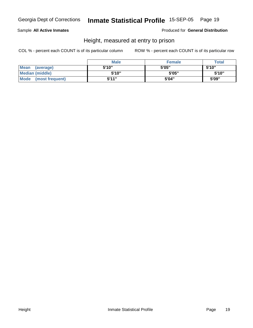#### Sample **All Active Inmates**

Produced for **General Distribution**

### Height, measured at entry to prison

|                        | <b>Male</b> | <b>Female</b> | <b>Total</b> |
|------------------------|-------------|---------------|--------------|
| Mean (average)         | 5'10"       | 5'05"         | 5'10"        |
| <b>Median (middle)</b> | 5'10"       | 5'05"         | 5'10''       |
| Mode (most frequent)   | 5'11"       | 5'04"         | 5'09"        |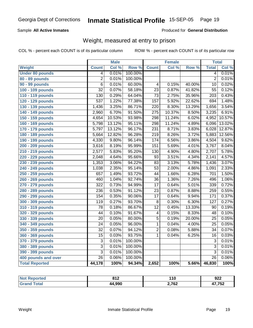#### Sample **All Active Inmates**

#### Produced for **General Distribution**

### Weight, measured at entry to prison

|                        |                  | <b>Male</b> |                  |                  | <b>Female</b> |        | <b>Total</b>     |        |
|------------------------|------------------|-------------|------------------|------------------|---------------|--------|------------------|--------|
| Weight                 | <b>Count</b>     | Col %       | Row <sup>%</sup> | <b>Count</b>     | Col $%$       | Row %  | <b>Total</b>     | Col %  |
| <b>Under 80 pounds</b> | $\overline{4}$   | 0.01%       | 100.00%          |                  |               |        | 4                | 0.01%  |
| 80 - 89 pounds         | $\overline{2}$   | 0.01%       | 100.00%          |                  |               |        | $\overline{2}$   | 0.01%  |
| <b>90 - 99 pounds</b>  | $\overline{6}$   | 0.01%       | 60.00%           | $\overline{4}$   | 0.15%         | 40.00% | $\overline{10}$  | 0.02%  |
| 100 - 109 pounds       | $\overline{32}$  | 0.07%       | 58.18%           | $\overline{23}$  | 0.87%         | 41.82% | $\overline{55}$  | 0.12%  |
| 110 - 119 pounds       | 130              | 0.29%       | 64.04%           | $\overline{73}$  | 2.75%         | 35.96% | $\overline{203}$ | 0.43%  |
| 120 - 129 pounds       | $\overline{537}$ | 1.22%       | 77.38%           | 157              | 5.92%         | 22.62% | 694              | 1.48%  |
| 130 - 139 pounds       | 1,436            | 3.25%       | 86.71%           | $\overline{220}$ | 8.30%         | 13.29% | 1,656            | 3.54%  |
| 140 - 149 pounds       | 2,960            | 6.70%       | 91.50%           | $\overline{275}$ | 10.37%        | 8.50%  | 3,235            | 6.91%  |
| 150 - 159 pounds       | 4,654            | 10.53%      | 93.98%           | 298              | 11.24%        | 6.02%  | 4,952            | 10.57% |
| 160 - 169 pounds       | 5,798            | 13.12%      | 95.11%           | 298              | 11.24%        | 4.89%  | 6,096            | 13.02% |
| 170 - 179 pounds       | 5,797            | 13.12%      | 96.17%           | 231              | 8.71%         | 3.83%  | 6,028            | 12.87% |
| 180 - 189 pounds       | 5,664            | 12.82%      | 96.28%           | $\overline{219}$ | 8.26%         | 3.72%  | 5,883            | 12.56% |
| 190 - 199 pounds       | 4,330            | 9.80%       | 96.14%           | 174              | 6.56%         | 3.86%  | 4,504            | 9.62%  |
| 200 - 209 pounds       | 3,616            | 8.19%       | 95.99%           | 151              | 5.69%         | 4.01%  | 3,767            | 8.04%  |
| 210 - 219 pounds       | 2,577            | 5.83%       | 95.20%           | 130              | 4.90%         | 4.80%  | 2,707            | 5.78%  |
| 220 - 229 pounds       | 2,048            | 4.64%       | 95.66%           | $\overline{93}$  | 3.51%         | 4.34%  | 2,141            | 4.57%  |
| 230 - 239 pounds       | 1,353            | 3.06%       | 94.22%           | 83               | 3.13%         | 5.78%  | 1,436            | 3.07%  |
| 240 - 249 pounds       | 1,038            | 2.35%       | 95.14%           | $\overline{53}$  | 2.00%         | 4.86%  | 1,091            | 2.33%  |
| 250 - 259 pounds       | 657              | 1.49%       | 93.72%           | 44               | 1.66%         | 6.28%  | 701              | 1.50%  |
| 260 - 269 pounds       | 460              | 1.04%       | 92.74%           | $\overline{36}$  | 1.36%         | 7.26%  | 496              | 1.06%  |
| 270 - 279 pounds       | 322              | 0.73%       | 94.99%           | $\overline{17}$  | 0.64%         | 5.01%  | 339              | 0.72%  |
| 280 - 289 pounds       | $\overline{236}$ | 0.53%       | 91.12%           | $\overline{23}$  | 0.87%         | 8.88%  | 259              | 0.55%  |
| 290 - 299 pounds       | 154              | 0.35%       | 90.06%           | $\overline{17}$  | 0.64%         | 9.94%  | 171              | 0.37%  |
| 300 - 309 pounds       | 119              | 0.27%       | 93.70%           | $\overline{8}$   | 0.30%         | 6.30%  | 127              | 0.27%  |
| 310 - 319 pounds       | $\overline{78}$  | 0.18%       | 86.67%           | $\overline{12}$  | 0.45%         | 13.33% | 90               | 0.19%  |
| 320 - 329 pounds       | 44               | 0.10%       | 91.67%           | 4                | 0.15%         | 8.33%  | 48               | 0.10%  |
| 330 - 339 pounds       | 20               | 0.05%       | 80.00%           | $\overline{5}$   | 0.19%         | 20.00% | 25               | 0.05%  |
| 340 - 349 pounds       | 24               | 0.05%       | 96.00%           | 1                | 0.04%         | 4.00%  | 25               | 0.05%  |
| 350 - 359 pounds       | 32               | 0.07%       | 94.12%           | 2                | 0.08%         | 5.88%  | 34               | 0.07%  |
| 360 - 369 pounds       | $\overline{15}$  | 0.03%       | 93.75%           | 1                | 0.04%         | 6.25%  | 16               | 0.03%  |
| 370 - 379 pounds       | $\overline{3}$   | 0.01%       | 100.00%          |                  |               |        | $\overline{3}$   | 0.01%  |
| 380 - 389 pounds       | $\overline{3}$   | 0.01%       | 100.00%          |                  |               |        | $\overline{3}$   | 0.01%  |
| 390 - 399 pounds       | $\overline{3}$   | 0.01%       | 100.00%          |                  |               |        | $\overline{3}$   | 0.01%  |
| 400 pounds and over    | $\overline{26}$  | 0.06%       | 100.00%          |                  |               |        | $\overline{26}$  | 0.06%  |
| <b>Total Reported</b>  | 44,178           | 100%        | 94.34%           | 2,652            | 100%          | 5.66%  | 46,830           | 100%   |

| orted | 04 <sub>0</sub> | 1 A C | ດາາ    |
|-------|-----------------|-------|--------|
| N     | OIZ             | . I V | JLL    |
| . Gr  | 44,990          | 2,762 | 17,752 |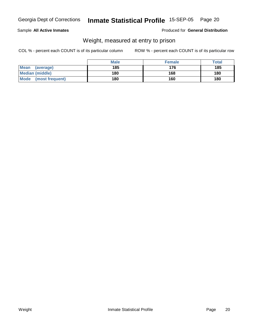#### Sample **All Active Inmates**

Produced for **General Distribution**

### Weight, measured at entry to prison

|                          | <b>Male</b> | <b>Female</b> | <b>Total</b> |
|--------------------------|-------------|---------------|--------------|
| <b>Mean</b><br>(average) | 185         | 176           | 185          |
| Median (middle)          | 180         | 168           | 180          |
| Mode (most frequent)     | 180         | 160           | 180          |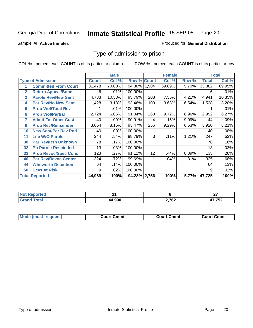Sample **All Active Inmates**

Produced for **General Distribution**

### Type of admission to prison

|              |                             |              | <b>Male</b> |                    |       | <b>Female</b> |       |              | <b>Total</b> |
|--------------|-----------------------------|--------------|-------------|--------------------|-------|---------------|-------|--------------|--------------|
|              | <b>Type of Admission</b>    | <b>Count</b> | Col %       | <b>Row % Count</b> |       | Col %         | Row % | <b>Total</b> | Col %        |
| 1            | <b>Committed From Court</b> | 31,478       | 70.00%      | 94.30%             | 1.904 | 69.09%        | 5.70% | 33,382       | 69.95%       |
| $\mathbf{2}$ | <b>Return Appeal/Bond</b>   | 6            | .01%        | 100.00%            |       |               |       | 6            | .01%         |
| 3            | <b>Parole Rev/New Sent</b>  | 4,733        | 10.53%      | 95.79%             | 208   | 7.55%         | 4.21% | 4,941        | 10.35%       |
| 4            | <b>Par Rev/No New Sent</b>  | 1,428        | 3.18%       | 93.46%             | 100   | 3.63%         | 6.54% | 1,528        | 3.20%        |
| 5            | <b>Prob Viol/Total Rev</b>  |              | .01%        | 100.00%            |       |               |       |              | .01%         |
| 6            | <b>Prob Viol/Partial</b>    | 2,724        | 6.06%       | 91.04%             | 268   | 9.72%         | 8.96% | 2,992        | 6.27%        |
| 7            | <b>Admit Fm Other Cust</b>  | 40           | .09%        | 90.91%             | 4     | .15%          | 9.09% | 44           | .09%         |
| 9            | <b>Prob Rev/Remainder</b>   | 3,664        | 8.15%       | 93.47%             | 256   | 9.29%         | 6.53% | 3,920        | 8.21%        |
| 10           | <b>New Sent/Par Rev Pnd</b> | 40           | .09%        | 100.00%            |       |               |       | 40           | .08%         |
| 11           | <b>Life W/O Parole</b>      | 244          | .54%        | 98.79%             | 3     | .11%          | 1.21% | 247          | .52%         |
| 30           | <b>Par Rev/Rsn Unknown</b>  | 78           | .17%        | 100.00%            |       |               |       | 78           | .16%         |
| 32           | <b>Pb Parole Rescinded</b>  | 13           | .03%        | 100.00%            |       |               |       | 13           | .03%         |
| 33           | <b>Prob Revoc/Spec Cond</b> | 123          | .27%        | 91.11%             | 12    | .44%          | 8.89% | 135          | .28%         |
| 40           | <b>Par Rev/Revoc Center</b> | 324          | .72%        | 99.69%             |       | .04%          | .31%  | 325          | .68%         |
| 44           | <b>Whitworth Detention</b>  | 64           | .14%        | 100.00%            |       |               |       | 64           | .13%         |
| 50           | <b>Dcys At Risk</b>         | 9            | .02%        | 100.00%            |       |               |       | 9            | .02%         |
|              | <b>Total Reported</b>       | 44,969       | 100%        | 94.23% 2,756       |       | 100%          | 5.77% | 47,725       | 100%         |

| rteo       | л.    |       | $\sim$         |
|------------|-------|-------|----------------|
| N          |       |       | --             |
| <b>ota</b> | . aar | 2,762 | ハフ フロヘ<br>∠ט ו |

| <b>Mou</b><br>วmmt<br>freauent)<br>.ourtث<br>$\cdots$ | Cmmt<br>Court - | Cmmu<br>∵יווח… |
|-------------------------------------------------------|-----------------|----------------|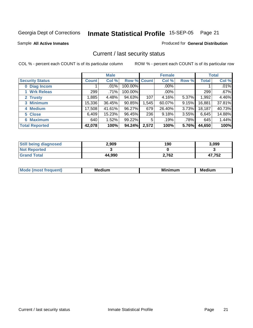Sample **All Active Inmates**

Produced for **General Distribution**

### Current / last security status

|                        |              | <b>Male</b> |             |       | <b>Female</b> |          |              | <b>Total</b> |
|------------------------|--------------|-------------|-------------|-------|---------------|----------|--------------|--------------|
| <b>Security Status</b> | <b>Count</b> | Col %       | Row % Count |       | Col %         | Row %    | <b>Total</b> | Col %        |
| 0 Diag Incom           |              | $.01\%$     | 100.00%     |       | $.00\%$       |          |              | .01%         |
| 1 Wrk Releas           | 299          | .71%        | 100.00%     |       | $.00\%$       |          | 299          | .67%         |
| 2 Trusty               | ,885         | 4.48%       | 94.63%      | 107   | 4.16%         | 5.37%    | 1,992        | 4.46%        |
| 3 Minimum              | 15,336       | 36.45%      | 90.85%      | 1,545 | $60.07\%$     | 9.15%    | 16,881       | 37.81%       |
| 4 Medium               | 17,508       | 41.61%      | 96.27%      | 679   | 26.40%        | $3.73\%$ | 18,187       | 40.73%       |
| 5 Close                | 6,409        | 15.23%      | 96.45%      | 236   | 9.18%         | $3.55\%$ | 6,645        | 14.88%       |
| <b>6 Maximum</b>       | 640          | 1.52%       | 99.22%      | 5     | .19%          | .78%     | 645          | 1.44%        |
| <b>Total Reported</b>  | 42,078       | 100%        | 94.24%      | 2,572 | 100%          | 5.76%    | 44,650       | 100%         |

| <b>Still being diagnosed</b> | 2.909  | 190   | 3,099  |
|------------------------------|--------|-------|--------|
| <b>Not Reported</b>          |        |       |        |
| <b>Grand Total</b>           | 44,990 | 2,762 | 47,752 |

| M <sub>c</sub><br>nn+<br>81 I LA V | <b>Allim</b><br>MA | Mi<br>.<br>чинг | dıum<br>MANI |
|------------------------------------|--------------------|-----------------|--------------|
|                                    |                    |                 |              |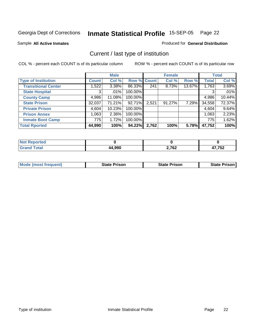Sample **All Active Inmates**

Produced for **General Distribution**

### Current / last type of institution

|                            |              | <b>Male</b> |             |       | <b>Female</b> |        |              | <b>Total</b> |
|----------------------------|--------------|-------------|-------------|-------|---------------|--------|--------------|--------------|
| <b>Type of Institution</b> | <b>Count</b> | Col %       | Row % Count |       | Col %         | Row %  | <b>Total</b> | Col %        |
| <b>Transitional Center</b> | 1.5221       | $3.38\%$    | 86.33%      | 241   | 8.73%         | 13.67% | 1,763        | 3.69%        |
| <b>State Hospital</b>      | 3            | $.01\%$     | 100.00%     |       |               |        | 3            | .01%         |
| <b>County Camp</b>         | 4,986        | 11.08%      | 100.00%     |       |               |        | 4,986        | 10.44%       |
| <b>State Prison</b>        | 32,037       | 71.21%      | 92.71%      | 2,521 | $91.27\%$     | 7.29%  | 34,558       | 72.37%       |
| <b>Private Prison</b>      | 4,604        | 10.23%      | 100.00%     |       |               |        | 4,604        | 9.64%        |
| <b>Prison Annex</b>        | 1,063        | $2.36\%$    | 100.00%     |       |               |        | 1,063        | 2.23%        |
| <b>Inmate Boot Camp</b>    | 775          | 1.72%       | 100.00%     |       |               |        | 775          | 1.62%        |
| <b>Total Rported</b>       | 44,990       | 100%        | 94.22%      | 2,762 | 100%          | 5.78%  | 47,752       | 100%         |

| <b>rteo</b> |              |      |        |
|-------------|--------------|------|--------|
|             | <b>A</b> QQO | ר דר | החד דו |
|             | 4,9JV        | אס י | ے ت    |

| <b>Mode (most frequent)</b> | <b>State Prison</b> | <b>State Prison</b> | <b>State Prison I</b> |
|-----------------------------|---------------------|---------------------|-----------------------|
|                             |                     |                     |                       |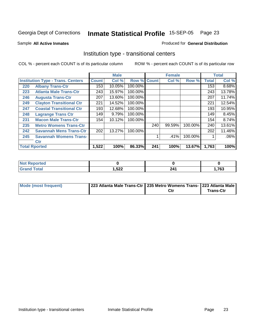Sample **All Active Inmates**

#### Produced for **General Distribution**

### Institution type - transitional centers

|                                          |                                 |              | <b>Male</b> |                    |     | <b>Female</b> |         |              | <b>Total</b> |
|------------------------------------------|---------------------------------|--------------|-------------|--------------------|-----|---------------|---------|--------------|--------------|
| <b>Institution Type - Trans. Centers</b> |                                 | <b>Count</b> | Col %       | <b>Row % Count</b> |     | Col %         | Row %   | <b>Total</b> | Col %        |
| 220                                      | <b>Albany Trans-Ctr</b>         | 153          | 10.05%      | 100.00%            |     |               |         | 153          | 8.68%        |
| 223                                      | <b>Atlanta Male Trans-Ctr</b>   | 243          | 15.97%      | 100.00%            |     |               |         | 243          | 13.78%       |
| 246                                      | <b>Augusta Trans-Ctr</b>        | 207          | 13.60%      | 100.00%            |     |               |         | 207          | 11.74%       |
| 249                                      | <b>Clayton Transitional Ctr</b> | 221          | 14.52%      | 100.00%            |     |               |         | 221          | 12.54%       |
| 247                                      | <b>Coastal Transitional Ctr</b> | 193          | 12.68%      | 100.00%            |     |               |         | 193          | 10.95%       |
| 248                                      | <b>Lagrange Trans Ctr</b>       | 149          | 9.79%       | 100.00%            |     |               |         | 149          | 8.45%        |
| 231                                      | <b>Macon Male Trans-Ctr</b>     | 154          | 10.12%      | 100.00%            |     |               |         | 154          | 8.74%        |
| 235                                      | <b>Metro Womens Trans-Ctr</b>   |              |             |                    | 240 | 99.59%        | 100.00% | 240          | 13.61%       |
| 242                                      | <b>Savannah Mens Trans-Ctr</b>  | 202          | 13.27%      | 100.00%            |     |               |         | 202          | 11.46%       |
| 245                                      | <b>Savannah Womens Trans-</b>   |              |             |                    |     | .41%          | 100.00% |              | $.06\%$      |
|                                          | <b>Ctr</b>                      |              |             |                    |     |               |         |              |              |
|                                          | <b>Total Rported</b>            | 1,522        | 100%        | 86.33%             | 241 | 100%          | 13.67%  | 1,763        | 100%         |

| orted<br>N            |        |              |      |
|-----------------------|--------|--------------|------|
| <b>Coto'</b><br>_____ | 522, ا | ን ለላ<br>$-1$ | ,763 |

| Mode (most frequent) | 223 Atlanta Male Trans-Ctr   235 Metro Womens Trans-   223 Atlanta Male |     |           |
|----------------------|-------------------------------------------------------------------------|-----|-----------|
|                      |                                                                         | Ctı | Trans-Ctr |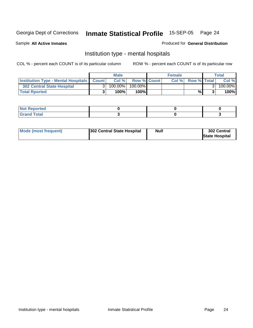Sample **All Active Inmates**

Produced for **General Distribution**

### Institution type - mental hospitals

|                                                  | <b>Male</b> |         |                    | <b>Female</b> | Total              |  |         |
|--------------------------------------------------|-------------|---------|--------------------|---------------|--------------------|--|---------|
| <b>Institution Type - Mental Hospitals Count</b> |             | Col%    | <b>Row % Count</b> | Col%          | <b>Row % Total</b> |  | Col %   |
| <b>302 Central State Hospital</b>                |             | 100.00% | 100.00%            |               |                    |  | 100.00% |
| <b>Total Rported</b>                             |             | $100\%$ | 100%               |               | %                  |  | 100%    |

| <br>. . |  |  |
|---------|--|--|
| _____   |  |  |

| Mode (most frequent) | <b>Null</b><br>302 Central State Hospital | 302 Central<br><b>State Hospital</b> |
|----------------------|-------------------------------------------|--------------------------------------|
|----------------------|-------------------------------------------|--------------------------------------|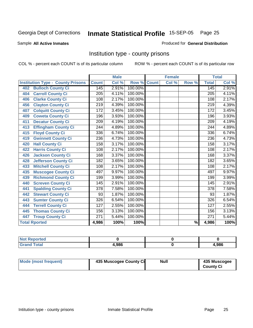Sample **All Active Inmates**

Produced for **General Distribution**

### Institution type - county prisons

|                                          |                   | <b>Male</b> |         |              | <b>Female</b> |                          |                  | <b>Total</b> |
|------------------------------------------|-------------------|-------------|---------|--------------|---------------|--------------------------|------------------|--------------|
| <b>Institution Type - County Prisons</b> | <b>Count</b>      | Col %       | Row %   | <b>Count</b> | Col %         | Row %                    | <b>Total</b>     | Col %        |
| <b>Bulloch County Ci</b><br>402          | 145               | 2.91%       | 100.00% |              |               |                          | 145              | 2.91%        |
| <b>Carroll County Ci</b><br>404          | $\overline{205}$  | 4.11%       | 100.00% |              |               |                          | $\overline{205}$ | 4.11%        |
| <b>Clarke County Ci</b><br>406           | 108               | 2.17%       | 100.00% |              |               |                          | 108              | 2.17%        |
| <b>Clayton County Ci</b><br>456          | 219               | 4.39%       | 100.00% |              |               |                          | $\overline{219}$ | 4.39%        |
| <b>Colquitt County Ci</b><br>407         | $\overline{1}$ 72 | 3.45%       | 100.00% |              |               |                          | 172              | 3.45%        |
| <b>Coweta County Ci</b><br>409           | 196               | 3.93%       | 100.00% |              |               |                          | 196              | 3.93%        |
| <b>Decatur County Ci</b><br>411          | 209               | 4.19%       | 100.00% |              |               |                          | 209              | 4.19%        |
| <b>Effingham County Ci</b><br>413        | 244               | 4.89%       | 100.00% |              |               |                          | 244              | 4.89%        |
| <b>Floyd County Ci</b><br>415            | 336               | 6.74%       | 100.00% |              |               |                          | 336              | 6.74%        |
| <b>Gwinnett County Ci</b><br>419         | 236               | 4.73%       | 100.00% |              |               |                          | 236              | 4.73%        |
| <b>Hall County Ci</b><br>420             | 158               | 3.17%       | 100.00% |              |               |                          | 158              | 3.17%        |
| <b>Harris County Ci</b><br>422           | 108               | 2.17%       | 100.00% |              |               |                          | 108              | 2.17%        |
| <b>Jackson County Ci</b><br>426          | 168               | 3.37%       | 100.00% |              |               |                          | 168              | 3.37%        |
| <b>Jefferson County Ci</b><br>428        | 182               | 3.65%       | 100.00% |              |               |                          | 182              | 3.65%        |
| <b>Mitchell County Ci</b><br>433         | 108               | 2.17%       | 100.00% |              |               |                          | 108              | 2.17%        |
| <b>Muscogee County Ci</b><br>435         | 497               | 9.97%       | 100.00% |              |               |                          | 497              | 9.97%        |
| <b>Richmond County Ci</b><br>439         | 199               | 3.99%       | 100.00% |              |               |                          | 199              | 3.99%        |
| <b>Screven County Ci</b><br>440          | $\overline{145}$  | 2.91%       | 100.00% |              |               |                          | 145              | 2.91%        |
| <b>Spalding County Ci</b><br>441         | $\overline{378}$  | 7.58%       | 100.00% |              |               |                          | $\overline{378}$ | 7.58%        |
| <b>Stewart County Ci</b><br>442          | 93                | 1.87%       | 100.00% |              |               |                          | 93               | 1.87%        |
| <b>Sumter County Ci</b><br>443           | $\overline{326}$  | 6.54%       | 100.00% |              |               |                          | 326              | 6.54%        |
| <b>Terrell County Ci</b><br>444          | $\overline{127}$  | 2.55%       | 100.00% |              |               |                          | $\overline{127}$ | 2.55%        |
| <b>Thomas County Ci</b><br>445           | 156               | 3.13%       | 100.00% |              |               |                          | 156              | 3.13%        |
| <b>Troup County Ci</b><br>447            | 271               | 5.44%       | 100.00% |              |               |                          | $\overline{271}$ | 5.44%        |
| <b>Total Rported</b>                     | 4,986             | 100%        | 100%    |              |               | $\overline{\frac{9}{6}}$ | 4,986            | 100%         |

| _____ | .986 | .986 |
|-------|------|------|

| Mode (most frequent) | 435 Muscogee County Ci | Null | 435 Muscogee     |
|----------------------|------------------------|------|------------------|
|                      |                        |      | <b>County Ci</b> |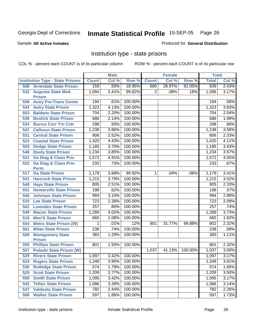Sample **All Active Inmates**

Produced for **General Distribution**

### Institution type - state prisons

|     |                                            |              | <b>Male</b> |         |                | <b>Female</b> |         | <b>Total</b> |       |
|-----|--------------------------------------------|--------------|-------------|---------|----------------|---------------|---------|--------------|-------|
|     | <b>Institution Type - State Prisons</b>    | <b>Count</b> | Col %       | Row %   | <b>Count</b>   | Col %         | Row %   | <b>Total</b> | Col % |
| 508 | <b>Arrendale State Prison</b>              | 159          | .50%        | 18.95%  | 680            | 26.97%        | 81.05%  | 839          | 2.43% |
| 532 | <b>Augusta State Med.</b><br><b>Prison</b> | 1,094        | 3.41%       | 99.82%  | $\overline{2}$ | .08%          | .18%    | 1,096        | 3.17% |
| 559 | <b>Autry Pre-Trans Center</b>              | 194          | .61%        | 100.00% |                |               |         | 194          | .56%  |
| 543 | <b>Autry State Prison</b>                  | 1,323        | 4.13%       | 100.00% |                |               |         | 1,323        | 3.83% |
| 553 | <b>Baldwin State Prison</b>                | 704          | 2.20%       | 100.00% |                |               |         | 704          | 2.04% |
| 536 | <b>Bostick State Prison</b>                | 686          | 2.14%       | 100.00% |                |               |         | 686          | 1.99% |
| 534 | <b>Burrus Corr Trn Cntr</b>                | 298          | .93%        | 100.00% |                |               |         | 298          | .86%  |
| 547 | <b>Calhoun State Prison</b>                | 1,238        | 3.86%       | 100.00% |                |               |         | 1,238        | 3.58% |
| 531 | <b>Central State Prison</b>                | 806          | 2.52%       | 100.00% |                |               |         | 806          | 2.33% |
| 523 | <b>Coastal State Prison</b>                | 1,420        | 4.43%       | 100.00% |                |               |         | 1,420        | 4.11% |
| 503 | <b>Dodge State Prison</b>                  | 1,185        | 3.70%       | 100.00% |                |               |         | 1,185        | 3.43% |
| 548 | <b>Dooly State Prison</b>                  | 1,234        | 3.85%       | 100.00% |                |               |         | 1,234        | 3.57% |
| 521 | <b>Ga Diag &amp; Class Pris</b>            | 1,572        | 4.91%       | 100.00% |                |               |         | 1,572        | 4.55% |
| 522 | <b>Ga Diag &amp; Class Pris-</b>           | 233          | .73%        | 100.00% |                |               |         | 233          | .67%  |
|     | <b>Perm</b>                                |              |             |         |                |               |         |              |       |
| 517 | <b>Ga State Prison</b>                     | 1,178        | 3.68%       | 99.92%  | $\mathbf 1$    | .04%          | .08%    | 1,179        | 3.41% |
| 541 | <b>Hancock State Prison</b>                | 1,215        | 3.79%       | 100.00% |                |               |         | 1,215        | 3.52% |
| 540 | <b>Hays State Prison</b>                   | 805          | 2.51%       | 100.00% |                |               |         | 805          | 2.33% |
| 551 | <b>Homerville State Prison</b>             | 198          | .62%        | 100.00% |                |               |         | 198          | .57%  |
| 545 | <b>Johnson State Prison</b>                | 994          | 3.10%       | 100.00% |                |               |         | 994          | 2.88% |
| 510 | <b>Lee State Prison</b>                    | 723          | 2.26%       | 100.00% |                |               |         | 723          | 2.09% |
| 502 | <b>Lowndes State Prison</b>                | 257          | .80%        | 100.00% |                |               |         | 257          | .74%  |
| 549 | <b>Macon State Prison</b>                  | 1,289        | 4.02%       | 100.00% |                |               |         | 1,289        | 3.73% |
| 519 | <b>Men'S State Prison</b>                  | 665          | 2.08%       | 100.00% |                |               |         | 665          | 1.92% |
| 554 | <b>Metro State Prison (W)</b>              | 1            | .01%        | .12%    | 801            | 31.77%        | 99.88%  | 802          | 2.32% |
| 561 | <b>Milan State Prison</b>                  | 238          | .74%        | 100.00% |                |               |         | 238          | .69%  |
| 509 | <b>Montgomery State</b><br><b>Prison</b>   | 383          | 1.20%       | 100.00% |                |               |         | 383          | 1.11% |
| 505 | <b>Phillips State Prison</b>               | 801          | 2.50%       | 100.00% |                |               |         | 801          | 2.32% |
| 557 | <b>Pulaski State Prison (W)</b>            |              |             |         | 1,037          | 41.13%        | 100.00% | 1,037        | 3.00% |
| 529 | <b>Rivers State Prison</b>                 | 1,097        | $3.42\%$    | 100.00% |                |               |         | 1,097        | 3.17% |
| 533 | <b>Rogers State Prison</b>                 | 1,248        | 3.90%       | 100.00% |                |               |         | 1,248        | 3.61% |
| 530 | <b>Rutledge State Prison</b>               | 574          | 1.79%       | 100.00% |                |               |         | 574          | 1.66% |
| 525 | <b>Scott State Prison</b>                  | 1,209        | 3.77%       | 100.00% |                |               |         | 1,209        | 3.50% |
| 550 | <b>Smith State Prison</b>                  | 1,095        | 3.42%       | 100.00% |                |               |         | 1,095        | 3.17% |
| 542 | <b>Telfair State Prison</b>                | 1,086        | 3.39%       | 100.00% |                |               |         | 1,086        | 3.14% |
| 537 | <b>Valdosta State Prison</b>               | 782          | 2.44%       | 100.00% |                |               |         | 782          | 2.26% |
| 506 | <b>Walker State Prison</b>                 | 597          | 1.86%       | 100.00% |                |               |         | 597          | 1.73% |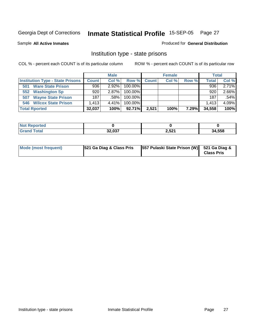Sample **All Active Inmates**

Produced for **General Distribution**

### Institution type - state prisons

|                                         | <b>Male</b>  |          |            |              | <b>Female</b> | <b>Total</b> |              |       |
|-----------------------------------------|--------------|----------|------------|--------------|---------------|--------------|--------------|-------|
| <b>Institution Type - State Prisons</b> | <b>Count</b> | Col %    | Row %      | <b>Count</b> | Col %         | Row %        | <b>Total</b> | Col % |
| <b>Ware State Prison</b><br>501         | 936          | $2.92\%$ | 100.00%    |              |               |              | 936          | 2.71% |
| <b>Washington Sp</b><br>552             | 920          | $2.87\%$ | $100.00\%$ |              |               |              | 920          | 2.66% |
| <b>Wayne State Prison</b><br>507        | 187          | ا 58%.   | $100.00\%$ |              |               |              | 187          | .54%  |
| <b>546 Wilcox State Prison</b>          | .413         | 4.41%    | $100.00\%$ |              |               |              | 1.413        | 4.09% |
| <b>Total Rported</b>                    | 32,037       | 100%     | 92.71%     | 2,521        | 100%          | 7.29%        | 34,558       | 100%  |

| <b>rtea</b> |                  |       |        |
|-------------|------------------|-------|--------|
|             | 22.027<br>32.U31 | 2,521 | 34,558 |

| Mode (most frequent) | 521 Ga Diag & Class Pris | [557 Pulaski State Prison (W) 521 Ga Diag & | <b>Class Pris</b> |
|----------------------|--------------------------|---------------------------------------------|-------------------|
|----------------------|--------------------------|---------------------------------------------|-------------------|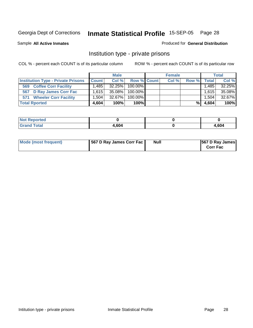Sample **All Active Inmates**

#### Produced for **General Distribution**

### Institution type - private prisons

|                                           | <b>Male</b>  |        |                | <b>Female</b> | <b>Total</b> |              |        |
|-------------------------------------------|--------------|--------|----------------|---------------|--------------|--------------|--------|
| <b>Institution Type - Private Prisons</b> | <b>Count</b> | Col %  | Row % Count    | Col %         | Row %        | <b>Total</b> | Col %  |
| <b>Coffee Corr Facility</b><br>569        | ا 485. ا     |        | 32.25% 100.00% |               |              | 1,485        | 32.25% |
| 567 D Ray James Corr Fac                  | 1.615        | 35.08% | $100.00\%$     |               |              | 1,615        | 35.08% |
| <b>Wheeler Corr Facility</b><br>571       | ا 1.504      | 32.67% | 100.00%        |               |              | $.504+$      | 32.67% |
| <b>Total Rported</b>                      | 4,604        | 100%   | 100%           |               | %।           | 4,604        | 100%   |

| <b>Reported</b><br><b>NOT</b> |      |      |
|-------------------------------|------|------|
| <b>otal</b>                   | ,604 | ,604 |

| Mode (most frequent) | 567 D Ray James Corr Fac | <b>Null</b> | <b>567 D Ray James</b><br><b>Corr Fac</b> |
|----------------------|--------------------------|-------------|-------------------------------------------|
|----------------------|--------------------------|-------------|-------------------------------------------|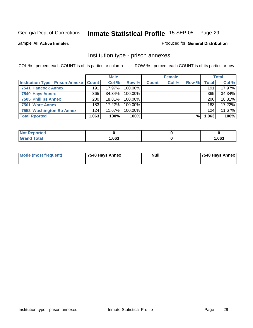Sample **All Active Inmates**

Produced for **General Distribution**

### Institution type - prison annexes

|                                                   |       | <b>Male</b> |            |              | <b>Female</b> |       |              | <b>Total</b> |
|---------------------------------------------------|-------|-------------|------------|--------------|---------------|-------|--------------|--------------|
| <b>Institution Type - Prison Annexe   Count  </b> |       | Col %       | Row %      | <b>Count</b> | Col %         | Row % | <b>Total</b> | Col %        |
| <b>7541 Hancock Annex</b>                         | 191   | 17.97%      | 100.00%    |              |               |       | 191          | 17.97%       |
| 7540 Hays Annex                                   | 365   | $34.34\%$   | 100.00%    |              |               |       | 365          | 34.34%       |
| <b>7505 Phillips Annex</b>                        | 200   | $18.81\%$   | $100.00\%$ |              |               |       | 200          | 18.81%       |
| 7501 Ware Annex                                   | 183   | 17.22%      | $100.00\%$ |              |               |       | 183          | 17.22%       |
| 7552 Washington Sp Annex                          | 124   | $11.67\%$   | 100.00%    |              |               |       | 124          | 11.67%       |
| <b>Total Rported</b>                              | 1,063 | 100%        | 100%       |              |               | %     | 1,063        | 100%         |

| keported             |      |       |
|----------------------|------|-------|
| <b>Total</b><br>Grar | ,063 | 1,063 |

| <b>Mode (most frequent)</b> | 7540 Hays Annex | Null | 7540 Hays Annex |
|-----------------------------|-----------------|------|-----------------|
|                             |                 |      |                 |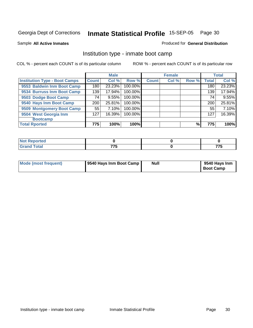Sample **All Active Inmates**

#### Produced for **General Distribution**

# Institution type - inmate boot camp

|                                      |                    | <b>Male</b> |         |              | <b>Female</b> |       |       | <b>Total</b> |
|--------------------------------------|--------------------|-------------|---------|--------------|---------------|-------|-------|--------------|
| <b>Institution Type - Boot Camps</b> | Count <sup>1</sup> | Col %       | Row %   | <b>Count</b> | Col %         | Row % | Total | Col %        |
| 9553 Baldwin Inm Boot Camp           | 180                | 23.23%      | 100.00% |              |               |       | 180   | 23.23%       |
| 9534 Burruss Inm Boot Camp           | 139                | 17.94%      | 100.00% |              |               |       | 139   | 17.94%       |
| 9503 Dodge Boot Camp                 | 74                 | 9.55%       | 100.00% |              |               |       | 74    | 9.55%        |
| 9540 Hays Inm Boot Camp              | 200                | 25.81%      | 100.00% |              |               |       | 200   | 25.81%       |
| 9509 Montgomery Boot Camp            | 55                 | 7.10%       | 100.00% |              |               |       | 55    | 7.10%        |
| 9504 West Georgia Inm                | 127                | 16.39%      | 100.00% |              |               |       | 127   | 16.39%       |
| <b>Bootcamp</b>                      |                    |             |         |              |               |       |       |              |
| <b>Total Rported</b>                 | 775                | 100%        | 100%    |              |               | %     | 775   | 100%         |

| <b>prted</b>             |                      |          |
|--------------------------|----------------------|----------|
| $\sim$ $\sim$<br>u rutar | ララヒ<br>. .<br>$\sim$ | 77<br>__ |

| Mode (most frequent) | 9540 Hays Inm Boot Camp | <b>Null</b> | 9540 Hays Inm<br><b>Boot Camp</b> |
|----------------------|-------------------------|-------------|-----------------------------------|
|----------------------|-------------------------|-------------|-----------------------------------|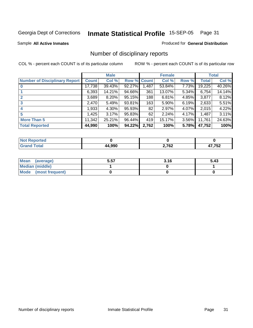Sample **All Active Inmates**

Produced for **General Distribution**

# Number of disciplinary reports

|                                      |        | <b>Male</b> |             |       | <b>Female</b> |          |              | <b>Total</b> |
|--------------------------------------|--------|-------------|-------------|-------|---------------|----------|--------------|--------------|
| <b>Number of Disciplinary Report</b> | Count  | Col %       | Row % Count |       | Col %         | Row %    | <b>Total</b> | Col %        |
|                                      | 17,738 | 39.43%      | 92.27%      | 1,487 | 53.84%        | 7.73%    | 19,225       | 40.26%       |
|                                      | 6,393  | 14.21%      | 94.66%      | 361   | 13.07%        | $5.34\%$ | 6,754        | 14.14%       |
|                                      | 3,689  | 8.20%       | 95.15%      | 188   | 6.81%         | 4.85%    | 3,877        | 8.12%        |
| 3                                    | 2,470  | 5.49%       | 93.81%      | 163   | 5.90%         | 6.19%    | 2,633        | 5.51%        |
| $\boldsymbol{4}$                     | 1,933  | 4.30%       | 95.93%      | 82    | 2.97%         | $4.07\%$ | 2,015        | 4.22%        |
| 5                                    | 1,425  | 3.17%       | 95.83%      | 62    | 2.24%         | 4.17%    | 1,487        | 3.11%        |
| <b>More Than 5</b>                   | 11,342 | 25.21%      | 96.44%      | 419   | 15.17%        | 3.56%    | 11,761       | 24.63%       |
| <b>Total Reported</b>                | 44,990 | 100%        | 94.22%      | 2,762 | 100%          | 5.78%    | 47,752       | 100%         |

| N |     |            |            |
|---|-----|------------|------------|
|   | 000 | 2,762<br>. | - --^<br>₩ |

| Mean (average)       | 5.57 | 3.16 | 5.43 |
|----------------------|------|------|------|
| Median (middle)      |      |      |      |
| Mode (most frequent) |      |      |      |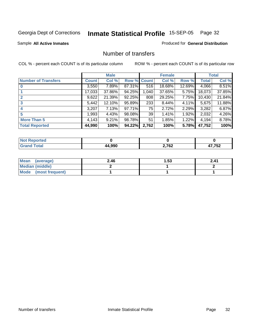Sample **All Active Inmates**

Produced for **General Distribution**

# Number of transfers

|                            |              | <b>Male</b> |             |       | <b>Female</b> |          |              | <b>Total</b> |
|----------------------------|--------------|-------------|-------------|-------|---------------|----------|--------------|--------------|
| <b>Number of Transfers</b> | <b>Count</b> | Col %       | Row % Count |       | Col %         | Row %    | <b>Total</b> | Col %        |
|                            | 3,550        | 7.89%       | 87.31%      | 516   | 18.68%        | 12.69%   | 4,066        | 8.51%        |
|                            | 17,033       | 37.86%      | 94.25%      | 1,040 | 37.65%        | $5.75\%$ | 18,073       | 37.85%       |
|                            | 9,622        | 21.39%      | 92.25%      | 808   | 29.25%        | $7.75\%$ | 10,430       | 21.84%       |
| 3                          | 5,442        | 12.10%      | 95.89%      | 233   | 8.44%         | $4.11\%$ | 5,675        | 11.88%       |
|                            | 3,207        | 7.13%       | 97.71%      | 75    | 2.72%         | $2.29\%$ | 3,282        | 6.87%        |
| 5                          | ,993         | 4.43%       | 98.08%      | 39    | 1.41%         | 1.92%    | 2,032        | 4.26%        |
| <b>More Than 5</b>         | 4,143        | 9.21%       | 98.78%      | 51    | 1.85%         | 1.22%    | 4,194        | 8.78%        |
| <b>Total Reported</b>      | 44,990       | 100%        | 94.22%      | 2,762 | 100%          | 5.78%    | 47,752       | 100%         |

| ______ | റററ | ראד ר<br>2,7 OZ | 750<br>52'<br>. . |
|--------|-----|-----------------|-------------------|

| Mean (average)       | 2.46 | 1.53 | 2.41 |
|----------------------|------|------|------|
| Median (middle)      |      |      |      |
| Mode (most frequent) |      |      |      |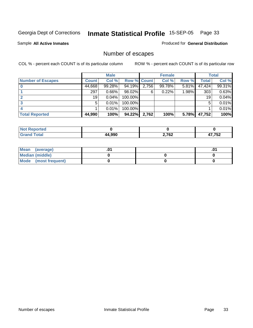Sample **All Active Inmates**

Produced for **General Distribution**

# Number of escapes

|                          |              | <b>Male</b> |                    |       | <b>Female</b> |          |        | <b>Total</b> |
|--------------------------|--------------|-------------|--------------------|-------|---------------|----------|--------|--------------|
| <b>Number of Escapes</b> | <b>Count</b> | Col %       | <b>Row % Count</b> |       | Col %         | Row %    | Total  | Col %        |
|                          | 44,668       | 99.28%      | $94.19\%$          | 2,756 | 99.78%        | $5.81\%$ | 47,424 | 99.31%       |
|                          | 297          | 0.66%       | 98.02%             | 6     | 0.22%         | 1.98%    | 303    | 0.63%        |
|                          | 19           | 0.04%       | 100.00%            |       |               |          | 19     | 0.04%        |
|                          | 5            | 0.01%       | $100.00\%$         |       |               |          | 5      | 0.01%        |
|                          |              | 0.01%       | $100.00\%$         |       |               |          |        | 0.01%        |
| <b>Total Reported</b>    | 44,990       | 100%        | 94.22%             | 2,762 | 100%          | 5.78%    | 47,752 | 100%         |

| prteol |       |       |      |
|--------|-------|-------|------|
|        | 4.990 | 2,762 | ,752 |

| Mean<br>(average)       |  | .01 |
|-------------------------|--|-----|
| Median (middle)         |  |     |
| Mode<br>(most frequent) |  |     |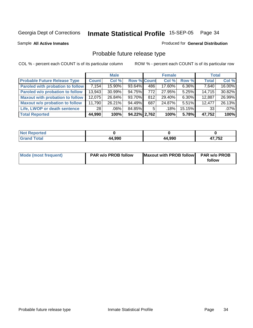Sample **All Active Inmates**

Produced for **General Distribution**

# Probable future release type

|                                        |              | <b>Male</b> |                    |     | <b>Female</b> |          | <b>Total</b> |        |
|----------------------------------------|--------------|-------------|--------------------|-----|---------------|----------|--------------|--------|
| <b>Probable Future Release Type</b>    | <b>Count</b> | Col %       | <b>Row % Count</b> |     | Col %         | Row %    | <b>Total</b> | Col %  |
| Paroled with probation to follow       | 7,154        | 15.90%      | $93.64\%$          | 486 | 17.60%        | $6.36\%$ | 7,640        | 16.00% |
| Paroled w/o probation to follow        | 13.943       | 30.99%      | 94.75%             | 772 | 27.95%        | 5.25%    | 14.715       | 30.82% |
| <b>Maxout with probation to follow</b> | 12,075       | 26.84%      | 93.70%             | 812 | 29.40%        | $6.30\%$ | 12,887       | 26.99% |
| <b>Maxout w/o probation to follow</b>  | 11,790       | 26.21%      | $94.49\%$          | 687 | 24.87%        | $5.51\%$ | 12.477       | 26.13% |
| Life, LWOP or death sentence           | 28 l         | ا %06.      | 84.85%             | 5   | $.18\%$       | 15.15%   | 33           | .07%   |
| <b>Total Reported</b>                  | 44,990       | 100%        | 94.22% 2,762       |     | 100%          | 5.78%    | 47,752       | 100%   |

| sported<br>NO:                   |        |        |        |
|----------------------------------|--------|--------|--------|
| $f \wedge f \wedge f$<br>$C$ ror | 44,990 | 44,990 | 17,752 |

| Mode (most frequent) | <b>PAR w/o PROB follow</b> | Maxout with PROB follow | <b>PAR w/o PROB</b> |
|----------------------|----------------------------|-------------------------|---------------------|
|                      |                            |                         | follow              |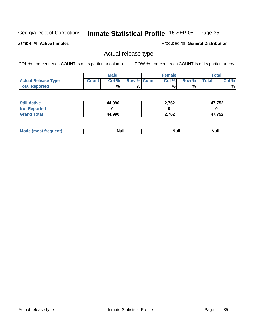Sample **All Active Inmates**

Produced for **General Distribution**

# Actual release type

|                            |              | <b>Male</b> |                    | <b>Female</b> |       |        | $\tau$ otal |
|----------------------------|--------------|-------------|--------------------|---------------|-------|--------|-------------|
| <b>Actual Release Type</b> | <b>Count</b> | Col %       | <b>Row % Count</b> | Col %         | Row % | Total, | Col %       |
| <b>Total Reported</b>      |              | %           | %                  | %             | %     |        | %           |

| <b>Still Active</b> | 44,990 | 2,762 | 47,752 |
|---------------------|--------|-------|--------|
| <b>Not Reported</b> |        |       |        |
| <b>Grand Total</b>  | 44,990 | 2,762 | 47,752 |

| <b>Null</b><br>N<br>uur<br><u></u> | М |  | . .<br>Alul |
|------------------------------------|---|--|-------------|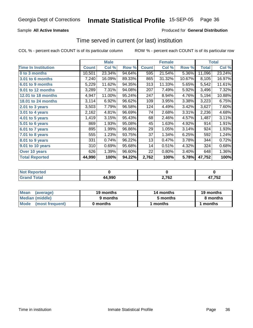## Sample **All Active Inmates**

#### Produced for **General Distribution**

# Time served in current (or last) institution

|                              |              | <b>Male</b> |        |              | <b>Female</b> |        |              | Total  |
|------------------------------|--------------|-------------|--------|--------------|---------------|--------|--------------|--------|
| <b>Time In Institution</b>   | <b>Count</b> | Col %       | Row %  | <b>Count</b> | Col %         | Row %  | <b>Total</b> | Col %  |
| 0 to 3 months                | 10,501       | 23.34%      | 94.64% | 595          | 21.54%        | 5.36%  | 11,096       | 23.24% |
| <b>3.01 to 6 months</b>      | 7,240        | 16.09%      | 89.33% | 865          | 31.32%        | 10.67% | 8,105        | 16.97% |
| 6.01 to 9 months             | 5,229        | 11.62%      | 94.35% | 313          | 11.33%        | 5.65%  | 5,542        | 11.61% |
| 9.01 to 12 months            | 3,289        | 7.31%       | 94.08% | 207          | 7.49%         | 5.92%  | 3,496        | 7.32%  |
| 12.01 to 18 months           | 4,947        | 11.00%      | 95.24% | 247          | 8.94%         | 4.76%  | 5,194        | 10.88% |
| 18.01 to 24 months           | 3,114        | 6.92%       | 96.62% | 109          | 3.95%         | 3.38%  | 3,223        | 6.75%  |
| 2.01 to 3 years              | 3,503        | 7.79%       | 96.58% | 124          | 4.49%         | 3.42%  | 3,627        | 7.60%  |
| 3.01 to 4 years              | 2,162        | 4.81%       | 96.69% | 74           | 2.68%         | 3.31%  | 2,236        | 4.68%  |
| $\overline{4.01}$ to 5 years | 1,419        | 3.15%       | 95.43% | 68           | 2.46%         | 4.57%  | 1,487        | 3.11%  |
| 5.01 to 6 years              | 869          | 1.93%       | 95.08% | 45           | 1.63%         | 4.92%  | 914          | 1.91%  |
| 6.01 to 7 years              | 895          | 1.99%       | 96.86% | 29           | 1.05%         | 3.14%  | 924          | 1.93%  |
| 7.01 to 8 years              | 555          | 1.23%       | 93.75% | 37           | 1.34%         | 6.25%  | 592          | 1.24%  |
| 8.01 to 9 years              | 331          | 0.74%       | 96.22% | 13           | 0.47%         | 3.78%  | 344          | 0.72%  |
| 9.01 to 10 years             | 310          | 0.69%       | 95.68% | 14           | 0.51%         | 4.32%  | 324          | 0.68%  |
| Over 10 years                | 626          | 1.39%       | 96.60% | 22           | 0.80%         | 3.40%  | 648          | 1.36%  |
| <b>Total Reported</b>        | 44,990       | 100%        | 94.22% | 2,762        | 100%          | 5.78%  | 47,752       | 100%   |

| <b>NOT</b><br>eported |        |                      |       |
|-----------------------|--------|----------------------|-------|
|                       | 44,990 | ממד ה<br>$'$ b∠<br>. | 7,752 |

| <b>Mean</b><br>(average) | 19 months | 14 months | 19 months |
|--------------------------|-----------|-----------|-----------|
| Median (middle)          | 9 months  | 5 months  | 8 months  |
| Mode (most frequent)     | 0 months  | ' months  | 1 months  |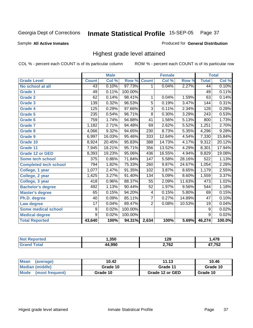Sample **All Active Inmates**

#### Produced for **General Distribution**

# Highest grade level attained

|                              |                | <b>Male</b> |         |                  | <b>Female</b> |        |                  | <b>Total</b> |
|------------------------------|----------------|-------------|---------|------------------|---------------|--------|------------------|--------------|
| <b>Grade Level</b>           | <b>Count</b>   | Col %       | Row %   | <b>Count</b>     | Col %         | Row %  | <b>Total</b>     | Col %        |
| No school at all             | 43             | 0.10%       | 97.73%  | 1                | 0.04%         | 2.27%  | 44               | 0.10%        |
| <b>Grade 1</b>               | 49             | 0.11%       | 100.00% |                  |               |        | 49               | 0.11%        |
| <b>Grade 2</b>               | 62             | 0.14%       | 98.41%  | 1                | 0.04%         | 1.59%  | 63               | 0.14%        |
| <b>Grade 3</b>               | 139            | 0.32%       | 96.53%  | 5                | 0.19%         | 3.47%  | 144              | 0.31%        |
| Grade 4                      | 125            | 0.29%       | 97.66%  | $\overline{3}$   | 0.11%         | 2.34%  | 128              | 0.28%        |
| Grade 5                      | 235            | 0.54%       | 96.71%  | $\overline{8}$   | 0.30%         | 3.29%  | $\overline{243}$ | 0.53%        |
| Grade 6                      | 759            | 1.74%       | 94.88%  | 41               | 1.56%         | 5.13%  | 800              | 1.73%        |
| <b>Grade 7</b>               | 1,182          | 2.71%       | 94.48%  | 69               | 2.62%         | 5.52%  | 1,251            | 2.70%        |
| <b>Grade 8</b>               | 4,066          | 9.32%       | 94.65%  | 230              | 8.73%         | 5.35%  | 4,296            | 9.28%        |
| <b>Grade 9</b>               | 6,997          | 16.03%      | 95.46%  | $\overline{333}$ | 12.64%        | 4.54%  | 7,330            | 15.84%       |
| Grade 10                     | 8,924          | 20.45%      | 95.83%  | 388              | 14.73%        | 4.17%  | 9,312            | 20.12%       |
| Grade 11                     | 7,945          | 18.21%      | 95.71%  | 356              | 13.52%        | 4.29%  | 8,301            | 17.94%       |
| <b>Grade 12 or GED</b>       | 8,393          | 19.23%      | 95.06%  | 436              | 16.55%        | 4.94%  | 8,829            | 19.08%       |
| Some tech school             | 375            | 0.86%       | 71.84%  | 147              | 5.58%         | 28.16% | 522              | 1.13%        |
| <b>Completed tech school</b> | 794            | 1.82%       | 75.33%  | 260              | 9.87%         | 24.67% | 1,054            | 2.28%        |
| College, 1 year              | 1,077          | 2.47%       | 91.35%  | 102              | 3.87%         | 8.65%  | 1,179            | 2.55%        |
| College, 2 year              | 1,425          | 3.27%       | 91.40%  | 134              | 5.09%         | 8.60%  | 1,559            | 3.37%        |
| College, 3 year              | 418            | 0.96%       | 88.37%  | $\overline{55}$  | 2.09%         | 11.63% | 473              | 1.02%        |
| <b>Bachelor's degree</b>     | 492            | 1.13%       | 90.44%  | 52               | 1.97%         | 9.56%  | 544              | 1.18%        |
| <b>Master's degree</b>       | 65             | 0.15%       | 94.20%  | 4                | 0.15%         | 5.80%  | 69               | 0.15%        |
| Ph.D. degree                 | 40             | 0.09%       | 85.11%  | 7                | 0.27%         | 14.89% | $\overline{47}$  | 0.10%        |
| Law degree                   | 17             | 0.04%       | 89.47%  | $\overline{2}$   | 0.08%         | 10.53% | 19               | 0.04%        |
| <b>Some medical school</b>   | 9              | 0.02%       | 100.00% |                  |               |        | 9                | 0.02%        |
| <b>Medical degree</b>        | $\overline{9}$ | 0.02%       | 100.00% |                  |               |        | $\overline{9}$   | 0.02%        |
| <b>Total Reported</b>        | 43,640         | 100%        | 94.31%  | 2,634            | 100%          | 5.69%  | 46,274           | 100.0%       |

| 1,350 | 1 7 9<br>170          | ,478     |
|-------|-----------------------|----------|
| റററ   | 2,762<br>z., <i>i</i> | 750<br>v |

| Mean<br>(average)       | 10.42    | 11.13           | 10.46    |
|-------------------------|----------|-----------------|----------|
| Median (middle)         | Grade 10 | Grade 11        | Grade 10 |
| Mode<br>(most frequent) | Grade 10 | Grade 12 or GED | Grade 10 |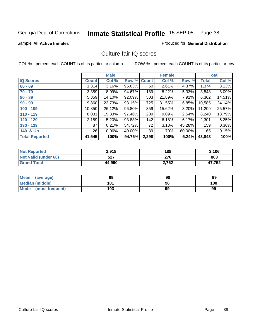Sample **All Active Inmates**

Produced for **General Distribution**

# Culture fair IQ scores

|                       |              | <b>Male</b> |             |       | <b>Female</b> |          |              | <b>Total</b> |
|-----------------------|--------------|-------------|-------------|-------|---------------|----------|--------------|--------------|
| <b>IQ Scores</b>      | <b>Count</b> | Col %       | Row % Count |       | Col %         | Row %    | <b>Total</b> | Col %        |
| $60 - 69$             | 1,314        | 3.16%       | 95.63%      | 60    | 2.61%         | 4.37%    | 1,374        | 3.13%        |
| $70 - 79$             | 3,359        | 8.09%       | 94.67%      | 189   | 8.22%         | 5.33%    | 3,548        | 8.09%        |
| $80 - 89$             | 5,859        | 14.10%      | 92.09%      | 503   | 21.89%        | 7.91%    | 6,362        | 14.51%       |
| $90 - 99$             | 9,860        | 23.73%      | 93.15%      | 725   | 31.55%        | 6.85%    | 10,585       | 24.14%       |
| $100 - 109$           | 10,850       | 26.12%      | 96.80%      | 359   | 15.62%        | $3.20\%$ | 11,209       | 25.57%       |
| $110 - 119$           | 8,031        | 19.33%      | 97.46%      | 209   | 9.09%         | 2.54%    | 8,240        | 18.79%       |
| $120 - 129$           | 2,159        | 5.20%       | 93.83%      | 142   | 6.18%         | 6.17%    | 2,301        | 5.25%        |
| $130 - 139$           | 87           | 0.21%       | 54.72%      | 72    | 3.13%         | 45.28%   | 159          | $0.36\%$     |
| 140 & Up              | 26           | 0.06%       | 40.00%      | 39    | 1.70%         | 60.00%   | 65           | 0.15%        |
| <b>Total Reported</b> | 41,545       | 100%        | 94.76%      | 2,298 | 100%          | 5.24%    | 43,843       | 100%         |

| <b>Not Reported</b>  | 2,918  | 188   | 3,106  |
|----------------------|--------|-------|--------|
| Not Valid (under 60) | 527    | 276   | 803    |
| <b>Grand Total</b>   | 44,990 | 2,762 | 47,752 |

| Mean<br>(average)       | 99  | 98 | 99  |
|-------------------------|-----|----|-----|
| Median (middle)         | 101 | 96 | 100 |
| Mode<br>(most frequent) | 103 | 99 | 99  |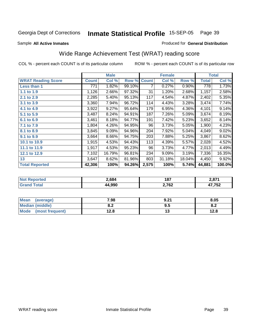Sample **All Active Inmates**

#### Produced for **General Distribution**

# Wide Range Achievement Test (WRAT) reading score

|                           |                  | <b>Male</b> |        |              | <b>Female</b> |        |        | <b>Total</b> |
|---------------------------|------------------|-------------|--------|--------------|---------------|--------|--------|--------------|
| <b>WRAT Reading Score</b> | <b>Count</b>     | Col %       | Row %  | <b>Count</b> | Col %         | Row %  | Total  | Col %        |
| Less than 1               | $\overline{771}$ | 1.82%       | 99.10% | 7            | 0.27%         | 0.90%  | 778    | 1.73%        |
| 1.1 to 1.9                | 1,126            | 2.66%       | 97.32% | 31           | 1.20%         | 2.68%  | 1,157  | 2.58%        |
| 2.1 to 2.9                | 2,285            | 5.40%       | 95.13% | 117          | 4.54%         | 4.87%  | 2,402  | 5.35%        |
| 3.1 to 3.9                | 3,360            | 7.94%       | 96.72% | 114          | 4.43%         | 3.28%  | 3,474  | 7.74%        |
| 4.1 to 4.9                | 3,922            | 9.27%       | 95.64% | 179          | 6.95%         | 4.36%  | 4,101  | 9.14%        |
| 5.1 to 5.9                | 3,487            | 8.24%       | 94.91% | 187          | 7.26%         | 5.09%  | 3,674  | 8.19%        |
| 6.1 to 6.9                | 3,461            | 8.18%       | 94.77% | 191          | 7.42%         | 5.23%  | 3,652  | 8.14%        |
| 7.1 to 7.9                | 1,804            | 4.26%       | 94.95% | 96           | 3.73%         | 5.05%  | 1,900  | 4.23%        |
| 8.1 to 8.9                | 3,845            | 9.09%       | 94.96% | 204          | 7.92%         | 5.04%  | 4,049  | 9.02%        |
| 9.1 to 9.9                | 3,664            | 8.66%       | 94.75% | 203          | 7.88%         | 5.25%  | 3,867  | 8.62%        |
| 10.1 to 10.9              | 1,915            | 4.53%       | 94.43% | 113          | 4.39%         | 5.57%  | 2,028  | 4.52%        |
| 11.1 to 11.9              | 1,917            | 4.53%       | 95.23% | 96           | 3.73%         | 4.77%  | 2,013  | 4.49%        |
| 12.1 to 12.9              | 7,102            | 16.79%      | 96.81% | 234          | 9.09%         | 3.19%  | 7,336  | 16.35%       |
| 13                        | 3,647            | 8.62%       | 81.96% | 803          | 31.18%        | 18.04% | 4,450  | 9.92%        |
| <b>Total Reported</b>     | 42,306           | 100%        | 94.26% | 2,575        | 100%          | 5.74%  | 44,881 | 100.0%       |

| \ 684 | 187             | 074<br>-.o'        |
|-------|-----------------|--------------------|
| 000   | 2,762<br>$\sim$ | 750<br>,,,<br>ـە - |

| Mean<br>(average)       | 7.98       | 9.21    | 8.05       |
|-------------------------|------------|---------|------------|
| Median (middle)         | י ס<br>o.z | $9.5\,$ | ດ -<br>U.Z |
| Mode<br>(most frequent) | 12.8       | ט ו     | 12.8       |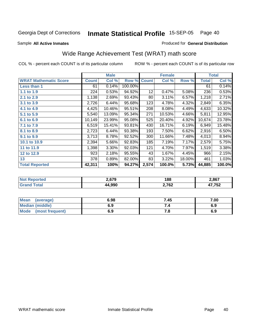Produced for **General Distribution**

#### Sample **All Active Inmates**

# Wide Range Achievement Test (WRAT) math score

|                              |              | <b>Male</b> |         |              | <b>Female</b> |        |              | <b>Total</b> |
|------------------------------|--------------|-------------|---------|--------------|---------------|--------|--------------|--------------|
| <b>WRAT Mathematic Score</b> | <b>Count</b> | Col %       | Row %   | <b>Count</b> | Col %         | Row %  | <b>Total</b> | Col %        |
| <b>Less than 1</b>           | 61           | 0.14%       | 100.00% |              |               |        | 61           | 0.14%        |
| 1.1 to 1.9                   | 224          | 0.53%       | 94.92%  | 12           | 0.47%         | 5.08%  | 236          | 0.53%        |
| 2.1 to 2.9                   | 1,138        | 2.69%       | 93.43%  | 80           | 3.11%         | 6.57%  | 1,218        | 2.71%        |
| 3.1 to 3.9                   | 2,726        | 6.44%       | 95.68%  | 123          | 4.78%         | 4.32%  | 2,849        | 6.35%        |
| 4.1 to 4.9                   | 4,425        | 10.46%      | 95.51%  | 208          | 8.08%         | 4.49%  | 4,633        | 10.32%       |
| 5.1 to 5.9                   | 5,540        | 13.09%      | 95.34%  | 271          | 10.53%        | 4.66%  | 5,811        | 12.95%       |
| 6.1 to 6.9                   | 10,149       | 23.99%      | 95.08%  | 525          | 20.40%        | 4.92%  | 10,674       | 23.78%       |
| 7.1 to 7.9                   | 6,519        | 15.41%      | 93.81%  | 430          | 16.71%        | 6.19%  | 6,949        | 15.48%       |
| 8.1 to 8.9                   | 2,723        | 6.44%       | 93.38%  | 193          | 7.50%         | 6.62%  | 2,916        | 6.50%        |
| 9.1 to 9.9                   | 3,713        | 8.78%       | 92.52%  | 300          | 11.66%        | 7.48%  | 4,013        | 8.94%        |
| 10.1 to 10.9                 | 2,394        | 5.66%       | 92.83%  | 185          | 7.19%         | 7.17%  | 2,579        | 5.75%        |
| 11 to 11.9                   | 1,398        | 3.30%       | 92.03%  | 121          | 4.70%         | 7.97%  | 1,519        | 3.38%        |
| 12 to 12.9                   | 923          | 2.18%       | 95.55%  | 43           | 1.67%         | 4.45%  | 966          | 2.15%        |
| 13                           | 378          | 0.89%       | 82.00%  | 83           | 3.22%         | 18.00% | 461          | 1.03%        |
| <b>Total Reported</b>        | 42,311       | 100%        | 94.27%  | 2,574        | 100.0%        | 5.73%  | 44,885       | 100.0%       |

| מדה ה<br>67 V<br>. . | ' oc<br>100      | 2,867     |
|----------------------|------------------|-----------|
| .990                 | 762 י<br>4, I V4 | $-$<br>JZ |

| <b>Mean</b><br>(average) | 6.98 | 7.45 | 7.00 |
|--------------------------|------|------|------|
| <b>Median (middle)</b>   | 6.9  |      | 6.9  |
| Mode<br>(most frequent)  | 6.9  | , o  | 6.9  |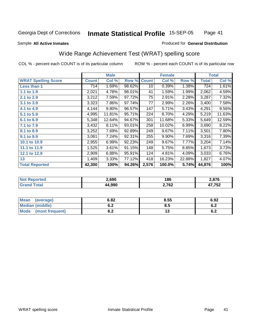#### Sample **All Active Inmates**

#### Produced for **General Distribution**

# Wide Range Achievement Test (WRAT) spelling score

|                            |              | <b>Male</b> |        |              | <b>Female</b> |        |              | <b>Total</b> |
|----------------------------|--------------|-------------|--------|--------------|---------------|--------|--------------|--------------|
| <b>WRAT Spelling Score</b> | <b>Count</b> | Col %       | Row %  | <b>Count</b> | Col %         | Row %  | <b>Total</b> | Col %        |
| Less than 1                | 714          | 1.69%       | 98.62% | 10           | 0.39%         | 1.38%  | 724          | 1.61%        |
| 1.1 to 1.9                 | 2,021        | 4.78%       | 98.01% | 41           | 1.59%         | 1.99%  | 2,062        | 4.59%        |
| 2.1 to 2.9                 | 3,212        | 7.59%       | 97.72% | 75           | 2.91%         | 2.28%  | 3,287        | 7.32%        |
| 3.1 to 3.9                 | 3,323        | 7.86%       | 97.74% | 77           | 2.99%         | 2.26%  | 3,400        | 7.58%        |
| 4.1 to 4.9                 | 4,144        | 9.80%       | 96.57% | 147          | 5.71%         | 3.43%  | 4,291        | 9.56%        |
| 5.1 to 5.9                 | 4,995        | 11.81%      | 95.71% | 224          | 8.70%         | 4.29%  | 5,219        | 11.63%       |
| 6.1 to 6.9                 | 5,348        | 12.64%      | 94.67% | 301          | 11.68%        | 5.33%  | 5,649        | 12.59%       |
| 7.1 to 7.9                 | 3,432        | 8.11%       | 93.01% | 258          | 10.02%        | 6.99%  | 3,690        | 8.22%        |
| 8.1 to 8.9                 | 3,252        | 7.69%       | 92.89% | 249          | 9.67%         | 7.11%  | 3,501        | 7.80%        |
| 9.1 to 9.9                 | 3,061        | 7.24%       | 92.31% | 255          | 9.90%         | 7.69%  | 3,316        | 7.39%        |
| 10.1 to 10.9               | 2,955        | 6.99%       | 92.23% | 249          | 9.67%         | 7.77%  | 3,204        | 7.14%        |
| 11.1 to 11.9               | 1,525        | 3.61%       | 91.15% | 148          | 5.75%         | 8.85%  | 1,673        | 3.73%        |
| 12.1 to 12.9               | 2,909        | 6.88%       | 95.91% | 124          | 4.81%         | 4.09%  | 3,033        | 6.76%        |
| 13                         | 1,409        | 3.33%       | 77.12% | 418          | 16.23%        | 22.88% | 1,827        | 4.07%        |
| <b>Total Reported</b>      | 42,300       | 100%        | 94.26% | 2,576        | 100.0%        | 5.74%  | 44,876       | 100%         |

| orted<br>NO.    | 2,690 | 186   | 2,876 |
|-----------------|-------|-------|-------|
| $\sim$ 4 $\sim$ | .990  | 2,762 | 752   |

| Mean<br>(average)      | 6.82 | 8.55 | 6.92       |
|------------------------|------|------|------------|
| <b>Median (middle)</b> | U.Z  | 8.5  | r n<br>0.Z |
| Mode (most frequent)   | υ.Ζ  | ט ו  | 6.2        |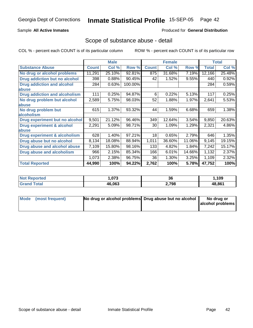## Sample **All Active Inmates**

#### Produced for **General Distribution**

## Scope of substance abuse - detail

|                                      |              | <b>Male</b> |         |              | <b>Female</b> |        |              | <b>Total</b> |
|--------------------------------------|--------------|-------------|---------|--------------|---------------|--------|--------------|--------------|
| <b>Substance Abuse</b>               | <b>Count</b> | Col %       | Row %   | <b>Count</b> | Col %         | Row %  | <b>Total</b> | Col %        |
| No drug or alcohol problems          | 11,291       | 25.10%      | 92.81%  | 875          | 31.68%        | 7.19%  | 12,166       | 25.48%       |
| Drug addiction but no alcohol        | 398          | 0.88%       | 90.45%  | 42           | 1.52%         | 9.55%  | 440          | 0.92%        |
| <b>Drug addiction and alcohol</b>    | 284          | 0.63%       | 100.00% |              |               |        | 284          | 0.59%        |
| abuse                                |              |             |         |              |               |        |              |              |
| <b>Drug addiction and alcoholism</b> | 111          | 0.25%       | 94.87%  | 6            | 0.22%         | 5.13%  | 117          | 0.25%        |
| No drug problem but alcohol          | 2,589        | 5.75%       | 98.03%  | 52           | $1.88\%$      | 1.97%  | 2,641        | 5.53%        |
| abuse                                |              |             |         |              |               |        |              |              |
| No drug problem but                  | 615          | 1.37%       | 93.32%  | 44           | 1.59%         | 6.68%  | 659          | 1.38%        |
| alcoholism                           |              |             |         |              |               |        |              |              |
| Drug experiment but no alcohol       | 9,501        | 21.12%      | 96.46%  | 349          | 12.64%        | 3.54%  | 9,850        | 20.63%       |
| <b>Drug experiment &amp; alcohol</b> | 2,291        | 5.09%       | 98.71%  | 30           | 1.09%         | 1.29%  | 2,321        | 4.86%        |
| abuse                                |              |             |         |              |               |        |              |              |
| Drug experiment & alcoholism         | 628          | 1.40%       | 97.21%  | 18           | 0.65%         | 2.79%  | 646          | 1.35%        |
| Drug abuse but no alcohol            | 8,134        | 18.08%      | 88.94%  | 1,011        | 36.60%        | 11.06% | 9,145        | 19.15%       |
| Drug abuse and alcohol abuse         | 7,109        | 15.80%      | 98.16%  | 133          | 4.82%         | 1.84%  | 7,242        | 15.17%       |
| <b>Drug abuse and alcoholism</b>     | 966          | 2.15%       | 85.34%  | 166          | 6.01%         | 14.66% | 1,132        | 2.37%        |
|                                      | 1,073        | 2.38%       | 96.75%  | 36           | 1.30%         | 3.25%  | 1,109        | 2.32%        |
| <b>Total Reported</b>                | 44,990       | 100%        | 94.22%  | 2,762        | 100%          | 5.78%  | 47,752       | 100%         |

| 070<br>.U73 | 36    | ,109   |
|-------------|-------|--------|
| 46.063      | 2,798 | 48.861 |

| Mode (most frequent) | No drug or alcohol problems Drug abuse but no alcohol | No drug or       |
|----------------------|-------------------------------------------------------|------------------|
|                      |                                                       | alcohol problems |
|                      |                                                       |                  |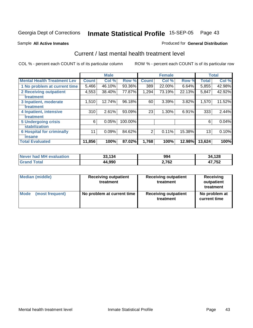Sample **All Active Inmates**

#### Produced for **General Distribution**

# Current / last mental health treatment level

|                                    |              | <b>Male</b> |         |              | <b>Female</b> |          |              | <b>Total</b> |
|------------------------------------|--------------|-------------|---------|--------------|---------------|----------|--------------|--------------|
| <b>Mental Health Treatment Lev</b> | <b>Count</b> | Col%        | Row %   | <b>Count</b> | Col %         | Row %    | <b>Total</b> | Col %        |
| 1 No problem at current time       | 5,466        | 46.10%      | 93.36%  | 389          | 22.00%        | 6.64%    | 5,855        | 42.98%       |
| <b>2 Receiving outpatient</b>      | 4,553        | 38.40%      | 77.87%  | 1,294        | 73.19%        | 22.13%   | 5,847        | 42.92%       |
| treatment                          |              |             |         |              |               |          |              |              |
| 3 Inpatient, moderate              | 1,510        | 12.74%      | 96.18%  | 60           | 3.39%         | $3.82\%$ | 1,570        | 11.52%       |
| treatment                          |              |             |         |              |               |          |              |              |
| 4 Inpatient, intensive             | 310          | 2.61%       | 93.09%  | 23           | 1.30%         | 6.91%    | 333          | 2.44%        |
| treatment                          |              |             |         |              |               |          |              |              |
| <b>5 Undergoing crisis</b>         | 6            | 0.05%       | 100.00% |              |               |          | 6            | 0.04%        |
| stabilization                      |              |             |         |              |               |          |              |              |
| <b>6 Hospital for criminally</b>   | 11           | 0.09%       | 84.62%  | 2            | 0.11%         | 15.38%   | 13           | 0.10%        |
| insane                             |              |             |         |              |               |          |              |              |
| <b>Total Evaluated</b>             | 11,856       | 100%        | 87.02%  | 1,768        | 100%          | 12.98%   | 13,624       | 100%         |

| Never had MH evaluation | 33,134 | 994   | 34,128 |
|-------------------------|--------|-------|--------|
| Grand<br>Total          | 44,990 | 2,762 | 17,752 |

| <b>Median (middle)</b> | <b>Receiving outpatient</b><br>treatment | <b>Receiving outpatient</b><br>treatment | Receiving<br>outpatient<br>treatment |
|------------------------|------------------------------------------|------------------------------------------|--------------------------------------|
| <b>Mode</b>            | No problem at current time               | <b>Receiving outpatient</b>              | No problem at                        |
| (most frequent)        |                                          | treatment                                | current time                         |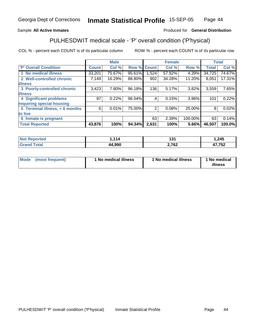## Sample **All Active Inmates**

## Produced for **General Distribution**

# PULHESDWIT medical scale - 'P' overall condition ('P'hysical)

|                                |              | <b>Male</b> |             |       | <b>Female</b> |         |              | <b>Total</b> |
|--------------------------------|--------------|-------------|-------------|-------|---------------|---------|--------------|--------------|
| 'P' Overall Condition          | <b>Count</b> | Col %       | Row % Count |       | Col %         | Row %   | <b>Total</b> | Col %        |
| 1 No medical illness           | 33,201       | 75.67%      | 95.61%      | .524  | 57.92%        | 4.39%   | 34,725       | 74.67%       |
| 2 Well-controlled chronic      | 7,149        | 16.29%      | 88.80%      | 902   | 34.28%        | 11.20%  | 8,051        | 17.31%       |
| <b>illness</b>                 |              |             |             |       |               |         |              |              |
| 3 Poorly-controlled chronic    | 3,423        | $7.80\%$    | 96.18%      | 136   | 5.17%         | 3.82%   | 3,559        | 7.65%        |
| <b>illness</b>                 |              |             |             |       |               |         |              |              |
| <b>4 Significant problems</b>  | 97           | 0.22%       | 96.04%      | 4     | 0.15%         | 3.96%   | 101          | 0.22%        |
| requiring special housing      |              |             |             |       |               |         |              |              |
| 5 Terminal illness, < 6 months | 6            | $0.01\%$    | 75.00%      | 2     | 0.08%         | 25.00%  | 8            | 0.02%        |
| to live                        |              |             |             |       |               |         |              |              |
| 6 Inmate is pregnant           |              |             |             | 63    | 2.39%         | 100.00% | 63           | 0.14%        |
| <b>Total Reported</b>          | 43,876       | 100%        | 94.34%      | 2,631 | 100%          | 5.66%   | 46,507       | 100.0%       |

| orted<br><b>NOT</b>    | .114        | 494<br>. . | ,245   |
|------------------------|-------------|------------|--------|
| <b>Total</b><br>'Grano | 4,990<br>аа | 2,762      | 47,752 |

| <b>Mode</b> | (most frequent) | 1 No medical illness | 1 No medical illness | 1 No medical<br>illness |
|-------------|-----------------|----------------------|----------------------|-------------------------|
|-------------|-----------------|----------------------|----------------------|-------------------------|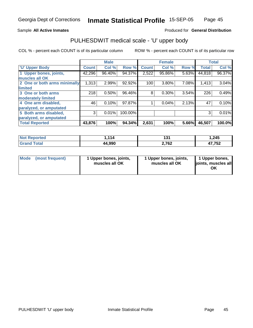#### Sample **All Active Inmates**

### Produced for **General Distribution**

# PULHESDWIT medical scale - 'U' upper body

|                              |              | <b>Male</b> |         |              | <b>Female</b> |       |              | <b>Total</b> |
|------------------------------|--------------|-------------|---------|--------------|---------------|-------|--------------|--------------|
| <b>U' Upper Body</b>         | <b>Count</b> | Col %       | Row %   | <b>Count</b> | Col %         | Row % | <b>Total</b> | Col %        |
| 1 Upper bones, joints,       | 42,296       | 96.40%      | 94.37%  | 2,522        | 95.86%        | 5.63% | 44,818       | 96.37%       |
| muscles all OK               |              |             |         |              |               |       |              |              |
| 2 One or both arms minimally | 1,313        | 2.99%       | 92.92%  | 100          | 3.80%         | 7.08% | 1,413        | 3.04%        |
| limited                      |              |             |         |              |               |       |              |              |
| 3 One or both arms           | 218          | 0.50%       | 96.46%  | 8            | 0.30%         | 3.54% | 226          | 0.49%        |
| moderately limited           |              |             |         |              |               |       |              |              |
| 4 One arm disabled,          | 46           | 0.10%       | 97.87%  |              | 0.04%         | 2.13% | 47           | 0.10%        |
| paralyzed, or amputated      |              |             |         |              |               |       |              |              |
| 5 Both arms disabled,        | 3            | 0.01%       | 100.00% |              |               |       | 3            | 0.01%        |
| paralyzed, or amputated      |              |             |         |              |               |       |              |              |
| <b>Total Reported</b>        | 43,876       | 100%        | 94.34%  | 2,631        | 100%          | 5.66% | 46,507       | 100.0%       |

| <b>Not Reported</b> | 114    | ≀ פי<br>וטו | .245  |
|---------------------|--------|-------------|-------|
| Total<br>Grar       | 44,990 | 2,762       | 7,752 |

| <b>Mode</b> | (most frequent) | 1 Upper bones, joints,<br>muscles all OK | 1 Upper bones, joints,<br>muscles all OK | 1 Upper bones,<br>joints, muscles all<br>ΟK |
|-------------|-----------------|------------------------------------------|------------------------------------------|---------------------------------------------|
|-------------|-----------------|------------------------------------------|------------------------------------------|---------------------------------------------|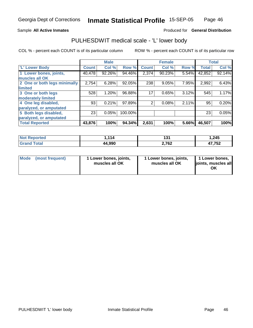#### Sample **All Active Inmates**

#### Produced for **General Distribution**

# PULHESDWIT medical scale - 'L' lower body

|                              |              | <b>Male</b> |         |                | <b>Female</b> |       |              | <b>Total</b> |
|------------------------------|--------------|-------------|---------|----------------|---------------|-------|--------------|--------------|
| 'L' Lower Body               | <b>Count</b> | Col %       | Row %   | <b>Count</b>   | Col %         | Row % | <b>Total</b> | Col %        |
| 1 Lower bones, joints,       | 40,478       | 92.26%      | 94.46%  | 2,374          | 90.23%        | 5.54% | 42,852       | 92.14%       |
| muscles all OK               |              |             |         |                |               |       |              |              |
| 2 One or both legs minimally | 2,754        | 6.28%       | 92.05%  | 238            | 9.05%         | 7.95% | 2,992        | 6.43%        |
| limited                      |              |             |         |                |               |       |              |              |
| 3 One or both legs           | 528          | 1.20%       | 96.88%  | 17             | 0.65%         | 3.12% | 545          | 1.17%        |
| moderately limited           |              |             |         |                |               |       |              |              |
| 4 One leg disabled,          | 93           | 0.21%       | 97.89%  | $\overline{2}$ | 0.08%         | 2.11% | 95           | 0.20%        |
| paralyzed, or amputated      |              |             |         |                |               |       |              |              |
| 5 Both legs disabled,        | 23           | 0.05%       | 100.00% |                |               |       | 23           | 0.05%        |
| paralyzed, or amputated      |              |             |         |                |               |       |              |              |
| <b>Total Reported</b>        | 43,876       | 100%        | 94.34%  | 2,631          | 100%          | 5.66% | 46,507       | 100%         |

| <b>Not Reported</b>   | ,114   | ≀ פ<br>וטו | 245. ا |
|-----------------------|--------|------------|--------|
| Total<br><b>Grand</b> | 44,990 | 2,762      | 47,752 |

| <b>Mode</b><br>(most frequent)<br>1 Lower bones, joints,<br>muscles all OK | 1 Lower bones, joints,<br>muscles all OK | 1 Lower bones,<br>joints, muscles all<br>ΟK |
|----------------------------------------------------------------------------|------------------------------------------|---------------------------------------------|
|----------------------------------------------------------------------------|------------------------------------------|---------------------------------------------|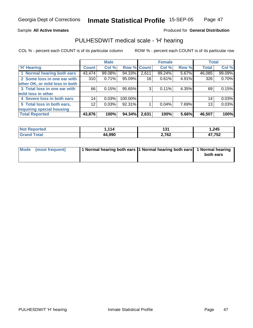#### Sample **All Active Inmates**

### Produced for **General Distribution**

# PULHESDWIT medical scale - 'H' hearing

|                                |              | <b>Male</b> |                    |       | <b>Female</b> |          | <b>Total</b> |        |
|--------------------------------|--------------|-------------|--------------------|-------|---------------|----------|--------------|--------|
| <b>H'</b> Hearing              | <b>Count</b> | Col %       | <b>Row % Count</b> |       | Col %         | Row %    | <b>Total</b> | Col %  |
| 1 Normal hearing both ears     | 43,474       | 99.08%      | 94.33%             | 2,611 | 99.24%        | $5.67\%$ | 46,085       | 99.09% |
| 2 Some loss in one ear with    | 310          | 0.71%       | 95.09%             | 16    | 0.61%         | 4.91%    | 326          | 0.70%  |
| other OK, or mild loss in both |              |             |                    |       |               |          |              |        |
| 3 Total loss in one ear with   | 66           | 0.15%       | 95.65%             | 3     | 0.11%         | 4.35%    | 69           | 0.15%  |
| mild loss in other             |              |             |                    |       |               |          |              |        |
| 4 Severe loss in both ears     | 14           | 0.03%       | 100.00%            |       |               |          | 14           | 0.03%  |
| 5 Total loss in both ears,     | 12           | 0.03%       | 92.31%             |       | 0.04%         | 7.69%    | 13           | 0.03%  |
| requiring special housing      |              |             |                    |       |               |          |              |        |
| <b>Total Reported</b>          | 43,876       | 100%        | 94.34%             | 2,631 | 100%          | 5.66%    | 46,507       | 100%   |

|       | . пл<br>. | . .<br>.<br>. | 245,       |
|-------|-----------|---------------|------------|
| _____ | 44.990    | 2,762         | 17,752<br> |

| Mode (most frequent) | 1 Normal hearing both ears 1 Normal hearing both ears 1 Normal hearing |           |
|----------------------|------------------------------------------------------------------------|-----------|
|                      |                                                                        | both ears |
|                      |                                                                        |           |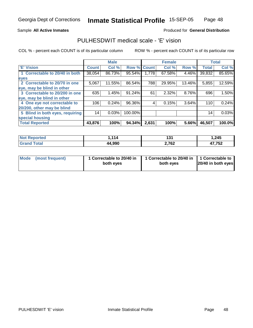#### Sample **All Active Inmates**

## Produced for **General Distribution**

# PULHESDWIT medical scale - 'E' vision

|                                 |              | <b>Male</b> |                    |       | <b>Female</b> |        |              | <b>Total</b> |
|---------------------------------|--------------|-------------|--------------------|-------|---------------|--------|--------------|--------------|
| <b>E' Vision</b>                | <b>Count</b> | Col %       | <b>Row % Count</b> |       | Col %         | Row %  | <b>Total</b> | Col %        |
| 1 Correctable to 20/40 in both  | 38,054       | 86.73%      | 95.54%             | 1,778 | 67.58%        | 4.46%  | 39,832       | 85.65%       |
| eyes                            |              |             |                    |       |               |        |              |              |
| 2 Correctable to 20/70 in one   | 5,067        | 11.55%      | 86.54%             | 788   | 29.95%        | 13.46% | 5,855        | 12.59%       |
| eye, may be blind in other      |              |             |                    |       |               |        |              |              |
| 3 Correctable to 20/200 in one  | 635          | 1.45%       | 91.24%             | 61    | 2.32%         | 8.76%  | 696          | 1.50%        |
| eye, may be blind in other      |              |             |                    |       |               |        |              |              |
| 4 One eye not correctable to    | 106          | 0.24%       | 96.36%             | 4     | 0.15%         | 3.64%  | 110          | 0.24%        |
| 20/200, other may be blind      |              |             |                    |       |               |        |              |              |
| 5 Blind in both eyes, requiring | 14           | 0.03%       | 100.00%            |       |               |        | 14           | 0.03%        |
| special housing                 |              |             |                    |       |               |        |              |              |
| <b>Total Reported</b>           | 43,876       | 100%        | 94.34%             | 2,631 | 100%          | 5.66%  | 46,507       | 100.0%       |

| <b>orted</b><br>NO<br>. | 114    | פו<br>וטו | 245. ا            |
|-------------------------|--------|-----------|-------------------|
| Ental<br>Cron           | 44,990 | 2,762     | 17 759<br>. I J J |

| Mode (most frequent) | 1 Correctable to 20/40 in<br>both eyes | 1 Correctable to 20/40 in   1 Correctable to<br>both eves | 20/40 in both eyes |
|----------------------|----------------------------------------|-----------------------------------------------------------|--------------------|
|----------------------|----------------------------------------|-----------------------------------------------------------|--------------------|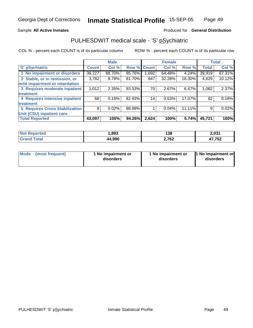#### Sample **All Active Inmates**

#### Produced for **General Distribution**

# PULHESDWIT medical scale - 'S' pSychiatric

|                                        |              | <b>Male</b> |        |              | <b>Female</b> |          |              | Total  |
|----------------------------------------|--------------|-------------|--------|--------------|---------------|----------|--------------|--------|
| 'S' pSychiatric                        | <b>Count</b> | Col %       | Row %  | <b>Count</b> | Col %         | Row %    | <b>Total</b> | Col %  |
| 1 No impairment or disorders           | 38,227       | 88.70%      | 95.76% | 1,692        | 64.48%        | $4.24\%$ | 39,919       | 87.31% |
| 2 Stable, or in remission, or          | 3,782        | 8.78%       | 81.70% | 847          | 32.28%        | 18.30%   | 4,629        | 10.12% |
| mild impairment or retardation         |              |             |        |              |               |          |              |        |
| 3 Requires moderate inpatient          | 1,012        | 2.35%       | 93.53% | 70           | 2.67%         | 6.47%    | 1,082        | 2.37%  |
| treatment                              |              |             |        |              |               |          |              |        |
| 4 Requires intensive inpatient         | 68           | 0.16%       | 82.93% | 14           | 0.53%         | 17.07%   | 82           | 0.18%  |
| treatment                              |              |             |        |              |               |          |              |        |
| <b>5 Requires Crisis Stabilization</b> | 8            | 0.02%       | 88.89% |              | 0.04%         | 11.11%   | 9            | 0.02%  |
| Unit (CSU) inpatient care              |              |             |        |              |               |          |              |        |
| <b>Total Reported</b>                  | 43,097       | 100%        | 94.26% | 2,624        | 100%          | 5.74%    | 45,721       | 100%   |

| <b>orted</b> | .893   | 138   | 2,031        |
|--------------|--------|-------|--------------|
| int          | 44,990 | 2,762 | 47,752<br>-- |

| <b>Mode</b> | (most frequent) | 1 No impairment or<br>disorders | 1 No impairment or<br>disorders | 1 No impairment or<br>disorders |
|-------------|-----------------|---------------------------------|---------------------------------|---------------------------------|
|-------------|-----------------|---------------------------------|---------------------------------|---------------------------------|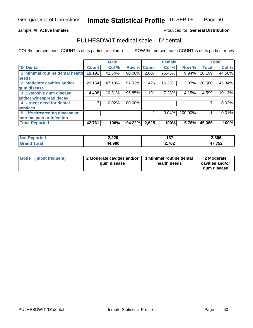### Sample **All Active Inmates**

## Produced for **General Distribution**

# PULHESDWIT medical scale - 'D' dental

|                                 |              | <b>Male</b> |                    |       | <b>Female</b> |         |              | <b>Total</b> |
|---------------------------------|--------------|-------------|--------------------|-------|---------------|---------|--------------|--------------|
| 'D' Dental                      | <b>Count</b> | Col %       | <b>Row % Count</b> |       | Col %         | Row %   | <b>Total</b> | Col %        |
| 1 Minimal routine dental health | 18,192       | 42.54%      | 90.06%             | 2,007 | 76.46%        | 9.94%   | 20,199       | 44.50%       |
| <b>needs</b>                    |              |             |                    |       |               |         |              |              |
| 2 Moderate cavities and/or      | 20,154       | 47.13%      | 97.93%             | 426   | 16.23%        | 2.07%   | 20,580       | 45.34%       |
| gum disease                     |              |             |                    |       |               |         |              |              |
| 3 Extensive gum disease         | 4,408        | 10.31%      | 95.85%             | 191   | 7.28%         | 4.15%   | 4,599        | 10.13%       |
| and/or widespread decay         |              |             |                    |       |               |         |              |              |
| 4 Urgent need for dental        |              | 0.02%       | 100.00%            |       |               |         |              | 0.02%        |
| <b>services</b>                 |              |             |                    |       |               |         |              |              |
| 5 Life-threatening disease or   |              |             |                    |       | $0.04\%$      | 100.00% |              | 0.01%        |
| extreme pain or infection       |              |             |                    |       |               |         |              |              |
| <b>Total Reported</b>           | 42,761       | 100%        | 94.22%             | 2,625 | 100%          | 5.78%   | 45,386       | 100%         |

| orted<br><b>NO</b> | 2,229 | .<br>וטו | 2,366  |
|--------------------|-------|----------|--------|
| <b>Tota</b>        | 4.990 | 2,762    | 17 759 |
| . Gr $\epsilon$    | 44    |          | ے تי   |

| Mode | (most frequent) | 2 Moderate cavities and/or  <br>gum disease | 1 Minimal routine dental<br>health needs | 2 Moderate<br>cavities and/or |
|------|-----------------|---------------------------------------------|------------------------------------------|-------------------------------|
|      |                 |                                             |                                          | gum disease                   |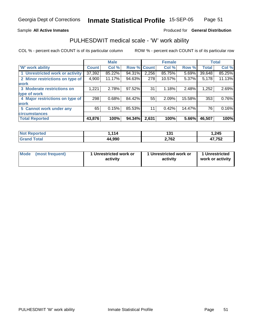#### Sample **All Active Inmates**

#### Produced for **General Distribution**

# PULHESDWIT medical scale - 'W' work ability

|                                 |              | <b>Male</b> |                    |       | <b>Female</b> |        |              | <b>Total</b> |
|---------------------------------|--------------|-------------|--------------------|-------|---------------|--------|--------------|--------------|
| <b>W' work ability</b>          | <b>Count</b> | Col %       | <b>Row % Count</b> |       | Col %         | Row %  | <b>Total</b> | Col %        |
| 1 Unrestricted work or activity | 37,392       | 85.22%      | 94.31%             | 2,256 | 85.75%        | 5.69%  | 39,648       | 85.25%       |
| 2 Minor restrictions on type of | 4,900        | 11.17%      | 94.63%             | 278   | 10.57%        | 5.37%  | 5,178        | 11.13%       |
| <b>work</b>                     |              |             |                    |       |               |        |              |              |
| 3 Moderate restrictions on      | 1,221        | 2.78%       | 97.52%             | 31    | 1.18%         | 2.48%  | 1,252        | 2.69%        |
| type of work                    |              |             |                    |       |               |        |              |              |
| 4 Major restrictions on type of | 298          | 0.68%       | 84.42%             | 55    | 2.09%         | 15.58% | 353          | 0.76%        |
| <b>work</b>                     |              |             |                    |       |               |        |              |              |
| 5 Cannot work under any         | 65           | 0.15%       | 85.53%             | 11    | 0.42%         | 14.47% | 76           | 0.16%        |
| <b>circumstances</b>            |              |             |                    |       |               |        |              |              |
| <b>Total Reported</b>           | 43,876       | 100%        | 94.34%             | 2,631 | 100%          | 5.66%  | 46,507       | 100%         |

| <b>Not Reported</b> | .114   | 12.5<br>ו ט ו | .245   |
|---------------------|--------|---------------|--------|
| Total<br>Gran       | 44,990 | 2,762         | 47,752 |

| Mode | (most frequent) | 1 Unrestricted work or<br>activity | 1 Unrestricted work or<br>activity | 1 Unrestricted<br>work or activity |
|------|-----------------|------------------------------------|------------------------------------|------------------------------------|
|------|-----------------|------------------------------------|------------------------------------|------------------------------------|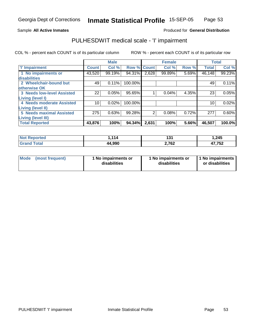Sample **All Active Inmates**

## Produced for **General Distribution**

# PULHESDWIT medical scale - 'I' impairment

|                                   |              | <b>Male</b> |         |              | <b>Female</b> |       | <b>Total</b> |        |
|-----------------------------------|--------------|-------------|---------|--------------|---------------|-------|--------------|--------|
| <b>T' Impairment</b>              | <b>Count</b> | Col %       | Row %   | <b>Count</b> | Col %         | Row % | <b>Total</b> | Col %  |
| 1 No impairments or               | 43,520       | 99.19%      | 94.31%  | 2,628        | 99.89%        | 5.69% | 46,148       | 99.23% |
| disabilities                      |              |             |         |              |               |       |              |        |
| 2 Wheelchair-bound but            | 49           | 0.11%       | 100.00% |              |               |       | 49           | 0.11%  |
| otherwise OK                      |              |             |         |              |               |       |              |        |
| <b>3 Needs low-level Assisted</b> | 22           | 0.05%       | 95.65%  |              | 0.04%         | 4.35% | 23           | 0.05%  |
| Living (level I)                  |              |             |         |              |               |       |              |        |
| 4 Needs moderate Assisted         | 10           | 0.02%       | 100.00% |              |               |       | 10           | 0.02%  |
| Living (level II)                 |              |             |         |              |               |       |              |        |
| <b>5 Needs maximal Assisted</b>   | 275          | 0.63%       | 99.28%  | 2            | 0.08%         | 0.72% | 277          | 0.60%  |
| Living (level III)                |              |             |         |              |               |       |              |        |
| <b>Total Reported</b>             | 43,876       | 100%        | 94.34%  | 2,631        | 100%          | 5.66% | 46,507       | 100.0% |

| <b>Not</b><br><b>ported</b> | .114   | 194<br>1 J I | 1,245         |
|-----------------------------|--------|--------------|---------------|
| Total<br>⊪Grar              | 44,990 | 2,762        | 47,752<br>- 1 |

|  | Mode (most frequent) | 1 No impairments or<br>disabilities | 1 No impairments or<br>disabilities | 1 No impairments  <br>or disabilities |
|--|----------------------|-------------------------------------|-------------------------------------|---------------------------------------|
|--|----------------------|-------------------------------------|-------------------------------------|---------------------------------------|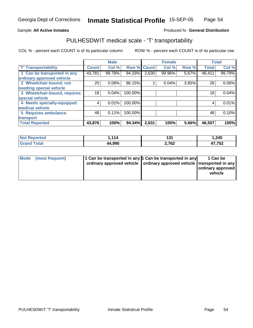#### **Inmate Statistical Profile** 15-SEP-05 Page Page 54

#### Sample All Active Inmates **All Active Inmates Produced fo General Distribution**

# PULHESDWIT medical scale - 'T' transportability

|                              |              | <b>Male</b> |         |              | <b>Female</b> |       | <b>Total</b> |        |
|------------------------------|--------------|-------------|---------|--------------|---------------|-------|--------------|--------|
| <b>T' Transportability</b>   | <b>Count</b> | Col %       | Row %   | <b>Count</b> | Col %         | Row % | <b>Total</b> | Col %  |
| 1 Can be transported in any  | 43,781       | 99.78%      | 94.33%  | 2,630        | 99.96%        | 5.67% | 46,411       | 99.79% |
| ordinary approved vehicle    |              |             |         |              |               |       |              |        |
| 2 Wheelchair-bound, not      | 25           | 0.06%       | 96.15%  |              | 0.04%         | 3.85% | 26           | 0.06%  |
| needing special vehicle      |              |             |         |              |               |       |              |        |
| 3 Wheelchair-bound, requires | 18           | 0.04%       | 100.00% |              |               |       | 18           | 0.04%  |
| special vehicle              |              |             |         |              |               |       |              |        |
| 4 Needs specially-equipped   | 4            | 0.01%       | 100.00% |              |               |       |              | 0.01%  |
| medical vehicle              |              |             |         |              |               |       |              |        |
| 5 Requires ambulance         | 48           | 0.11%       | 100.00% |              |               |       | 48           | 0.10%  |
| transport                    |              |             |         |              |               |       |              |        |
| <b>Total Reported</b>        | 43,876       | 100%        | 94.34%  | 2,631        | 100%          | 5.66% | 46,507       | 100%   |

| <b>Not</b><br><b>Reported</b> | ,114   | 494<br>1 J I<br>$-$ | 1,245  |
|-------------------------------|--------|---------------------|--------|
| int<br>'Grano                 | 44,990 | 2,762               | 47,752 |

| Mode (most frequent) | 1 Can be transported in any 1 Can be transported in any<br>ordinary approved vehicle   ordinary approved vehicle   transported in any | 1 Can be<br>ordinary approved<br>vehicle |
|----------------------|---------------------------------------------------------------------------------------------------------------------------------------|------------------------------------------|
|                      |                                                                                                                                       |                                          |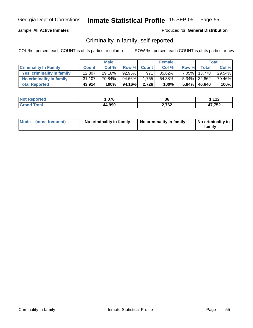## Sample **All Active Inmates**

### Produced for **General Distribution**

# Criminality in family, self-reported

|                              |              | <b>Male</b> |         |             | <b>Female</b> |       |              | Total  |
|------------------------------|--------------|-------------|---------|-------------|---------------|-------|--------------|--------|
| <b>Criminality In Family</b> | <b>Count</b> | Col %       |         | Row % Count | Col %         | Row % | Total i      | Col %  |
| Yes, criminality in family   | 12,807       | 29.16%      | 92.95%  | 971         | $35.62\%$     |       | 7.05% 13,778 | 29.54% |
| No criminality in family     | 31,107       | 70.84%      | 94.66%I | 1,755       | 64.38%        |       | 5.34% 32,862 | 70.46% |
| <b>Total Reported</b>        | 43,914       | 100%        | 94.16%  | 2.726       | 100%          |       | 5.84% 46,640 | 100%   |

| <b>Not Reported</b>          | 07C      | $\sim$ | $-112$ |
|------------------------------|----------|--------|--------|
|                              | 7. U I U | კხ     | .      |
| <b>Cotal</b><br><b>Grand</b> | 44,990   | 2,762  | 17,752 |

| Mode (most frequent) | No criminality in family | No criminality in family | No criminality in<br>family |
|----------------------|--------------------------|--------------------------|-----------------------------|
|----------------------|--------------------------|--------------------------|-----------------------------|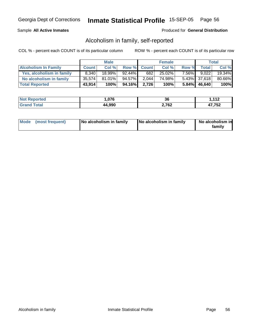## Sample **All Active Inmates**

#### Produced for **General Distribution**

# Alcoholism in family, self-reported

|                             |              | <b>Male</b> |           |             | <b>Female</b> |          |                 | <b>Total</b> |
|-----------------------------|--------------|-------------|-----------|-------------|---------------|----------|-----------------|--------------|
| <b>Alcoholism In Family</b> | <b>Count</b> | Col %       |           | Row % Count | Col %         | Row %    | <b>Total</b>    | Col %        |
| Yes, alcoholism in family   | 8,340        | $18.99\%$   | $92.44\%$ | 682         | $25.02\%$     | $7.56\%$ | 9.022           | 19.34%       |
| No alcoholism in family     | 35,574       | $81.01\%$   | 94.57%    | 2,044       | 74.98%        |          | 5.43% 37,618    | 80.66%       |
| <b>Total Reported</b>       | 43,914       | 100%        | 94.16%    | 2.726       | 100%          |          | $5.84\%$ 46,640 | 100%         |

| <b>Not</b>        | በ7ፎ    | 36           | 440          |
|-------------------|--------|--------------|--------------|
| Reported          | u.v    |              | . . <i>.</i> |
| Coto <sup>r</sup> | 44,990 | 700<br>2,702 | 17,752       |

| Mode (most frequent)<br>No alcoholism in family | <b>No alcoholism in family</b> | No alcoholism in<br>familv |
|-------------------------------------------------|--------------------------------|----------------------------|
|-------------------------------------------------|--------------------------------|----------------------------|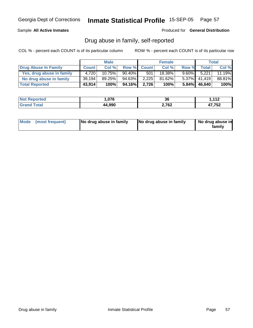Sample **All Active Inmates**

Produced for **General Distribution**

# Drug abuse in family, self-reported

|                           |              | <b>Male</b> |           |             | <b>Female</b> |          |                 | Total  |
|---------------------------|--------------|-------------|-----------|-------------|---------------|----------|-----------------|--------|
| Drug Abuse In Family      | <b>Count</b> | Col %       |           | Row % Count | Col %         | Row %    | <b>Total</b>    | Col %  |
| Yes, drug abuse in family | 4,720        | $10.75\%$   | $90.40\%$ | 501         | 18.38%        | $9.60\%$ | 5,221           | 11.19% |
| No drug abuse in family   | 39,194       | 89.25%      | 94.63%    | 2.225       | 81.62%        |          | $5.37\%$ 41,419 | 88.81% |
| <b>Total Reported</b>     | 43,914       | 100%        | 94.16%    | 2.726       | 100%          |          | $5.84\%$ 46,640 | 100%   |

| Reported    | .076   | ^^    | 112    |
|-------------|--------|-------|--------|
| <b>NO</b>   |        | 36    | 11Z    |
| <b>Tota</b> | 44,990 | 2,762 | 17,752 |

|  | Mode (most frequent) | No drug abuse in family | No drug abuse in family | No drug abuse in<br>family |
|--|----------------------|-------------------------|-------------------------|----------------------------|
|--|----------------------|-------------------------|-------------------------|----------------------------|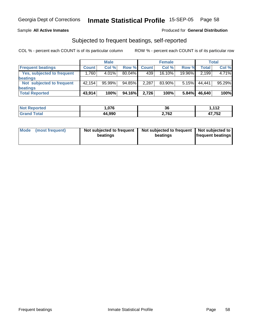## Sample **All Active Inmates**

#### Produced for **General Distribution**

# Subjected to frequent beatings, self-reported

|                                   |                     | <b>Male</b> |        |              | <b>Female</b> |        |        | <b>Total</b> |
|-----------------------------------|---------------------|-------------|--------|--------------|---------------|--------|--------|--------------|
| <b>Frequent beatings</b>          | <b>Count</b>        | Col %       | Row %  | <b>Count</b> | Col%          | Row %  | Total  | Col %        |
| <b>Yes, subjected to frequent</b> | $,760$ <sup>1</sup> | $4.01\%$    | 80.04% | 439          | 16.10%        | 19.96% | 2,199  | 4.71%        |
| <b>beatings</b>                   |                     |             |        |              |               |        |        |              |
| Not subjected to frequent         | 42.154              | 95.99%      | 94.85% | 2,287        | 83.90%        | 5.15%  | 44.441 | 95.29%       |
| beatings                          |                     |             |        |              |               |        |        |              |
| <b>Total Reported</b>             | 43,914              | 100%        | 94.16% | 2,726        | 100%          | 5.84%  | 46,640 | 100%         |

| <b>Not Reported</b>         | 1,076  | 36    | 1412<br>. . <i>.</i> |
|-----------------------------|--------|-------|----------------------|
| <b>Total</b><br><b>Gran</b> | 44,990 | 2,762 | 47,752               |

| Mode | (most frequent) | Not subjected to frequent<br>beatings | Not subjected to frequent   Not subjected to  <br>beatings | <b>frequent beatings</b> |
|------|-----------------|---------------------------------------|------------------------------------------------------------|--------------------------|
|      |                 |                                       |                                                            |                          |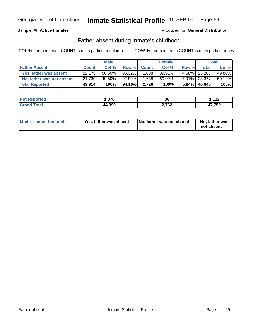#### Sample **All Active Inmates**

## Produced for **General Distribution**

# Father absent during inmate's childhood

|                           |              | <b>Male</b> |           |             | <b>Female</b> |       |                 | <b>Total</b> |
|---------------------------|--------------|-------------|-----------|-------------|---------------|-------|-----------------|--------------|
| <b>Father Absent</b>      | <b>Count</b> | Col %       |           | Row % Count | Col %         | Row % | Total           | Col %        |
| Yes, father was absent    | 22,175       | $50.50\%$   | $95.32\%$ | 1.088       | $39.91\%$     |       | 4.68% 23,263    | 49.88%       |
| No, father was not absent | 21,739       | 49.50%      | 92.99%    | 1,638       | 60.09%        |       | 7.01% 23,377    | 50.12%       |
| <b>Total Reported</b>     | 43,914       | 100%        | 94.16%    | 2.726       | 100%          |       | $5.84\%$ 46,640 | 100%         |

| <b>Not Reported</b>          | $\sim$ | ^^    | 110    |
|------------------------------|--------|-------|--------|
|                              | ט וע.  | კხ    | - 14   |
| <b>Cotal</b><br><b>Grand</b> | 44,990 | 2,762 | $-752$ |

| Mode (most frequent)<br>Yes, father was absent | No, father was not absent | No, father was<br>not absent |
|------------------------------------------------|---------------------------|------------------------------|
|------------------------------------------------|---------------------------|------------------------------|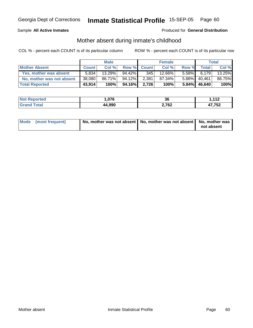#### Sample **All Active Inmates**

#### Produced for **General Distribution**

# Mother absent during inmate's childhood

|                           |              | <b>Male</b> |           |             | <b>Female</b> |          |                 | <b>Total</b>    |
|---------------------------|--------------|-------------|-----------|-------------|---------------|----------|-----------------|-----------------|
| <b>Mother Absent</b>      | <b>Count</b> | Col %       |           | Row % Count | Col %         | Row %    | <b>Total</b>    | Col %           |
| Yes, mother was absent    | 5.834        | 13.29%      | $94.42\%$ | 345         | 12.66%        | $5.58\%$ | 6,179           | 13.25% <b>I</b> |
| No, mother was not absent | 38,080       | 86.71%      | 94.12%    | 2,381       | 87.34%        | $5.88\%$ | 40.461          | 86.75%          |
| <b>Total Reported</b>     | 43,914       | 100%        | 94.16%    | 2.726       | 100%          |          | $5.84\%$ 46,640 | 100%            |

| <b>Not Reported</b>          | 07C      | $\sim$ | $-112$ |
|------------------------------|----------|--------|--------|
|                              | 7. U I U | კხ     | .      |
| <b>Cotal</b><br><b>Grand</b> | 44,990   | 2,762  | 17,752 |

| Mode (most frequent) | No, mother was not absent   No, mother was not absent   No, mother was |            |
|----------------------|------------------------------------------------------------------------|------------|
|                      |                                                                        | not absent |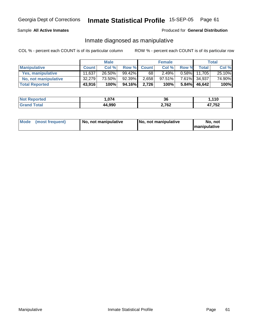#### Sample **All Active Inmates**

#### Produced for **General Distribution**

# Inmate diagnosed as manipulative

|                       |              | <b>Male</b> |           |             | <b>Female</b> |          |        | Total  |
|-----------------------|--------------|-------------|-----------|-------------|---------------|----------|--------|--------|
| <b>Manipulative</b>   | <b>Count</b> | Col %       |           | Row % Count | Col %         | Row %    | Total  | Col %  |
| Yes, manipulative     | 11,637       | $26.50\%$   | $99.42\%$ | 68 '        | 2.49%         | $0.58\%$ | 11.705 | 25.10% |
| No, not manipulative  | 32,279       | 73.50%      | 92.39%    | 2,658       | 97.51%        | $7.61\%$ | 34.937 | 74.90% |
| <b>Total Reported</b> | 43,916       | 100%        | 94.16%    | 2.726       | 100%          | $5.84\%$ | 46,642 | 100%   |

| <b>Not Reported</b>           | $\sim$ | 36    | .110         |
|-------------------------------|--------|-------|--------------|
| <i>i</i> otal<br><b>Grand</b> | 44,990 | 2,762 | 17,752<br>71 |

| Mode | (most frequent) | No. not manipulative | <b>I</b> No. not manipulative | not<br>No<br><b>Imanipulative</b> |
|------|-----------------|----------------------|-------------------------------|-----------------------------------|
|------|-----------------|----------------------|-------------------------------|-----------------------------------|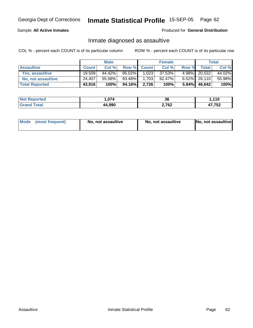Sample **All Active Inmates**

Produced for **General Distribution**

# Inmate diagnosed as assaultive

|                       |              | <b>Male</b> |        |             | <b>Female</b> |          |                 | Total  |
|-----------------------|--------------|-------------|--------|-------------|---------------|----------|-----------------|--------|
| <b>Assaultive</b>     | <b>Count</b> | Col %       |        | Row % Count | Col %         | Row %    | Total           | Col %  |
| Yes, assaultive       | 19,509       | 44.42%      | 95.02% | 1,023       | 37.53%        |          | 4.98% 20,532    | 44.02% |
| No, not assaultive    | 24.407       | 55.58%      | 93.48% | 1.703       | 62.47%        |          | $6.52\%$ 26,110 | 55.98% |
| <b>Total Reported</b> | 43,916       | 100%        | 94.16% | 2,726       | 100%          | $5.84\%$ | 46,642          | 100%   |

| <b>Not Reported</b>   | 07A<br>. . U / 4 | $\sim$<br>კხ | ,110   |
|-----------------------|------------------|--------------|--------|
| <b>Cotal</b><br>Grand | 44,990           | 2,762        | 17,752 |

| Mode (most frequent)<br>No, not assaultive | No, not assaultive | No, not assaultive |
|--------------------------------------------|--------------------|--------------------|
|--------------------------------------------|--------------------|--------------------|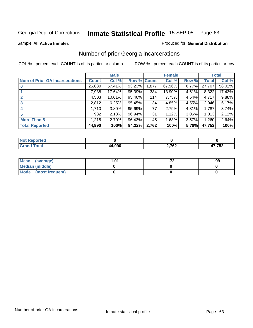Sample **All Active Inmates**

## Produced for **General Distribution**

# Number of prior Georgia incarcerations

|                                       |              | <b>Male</b> |                    |       | <b>Female</b> |          |        | <b>Total</b> |
|---------------------------------------|--------------|-------------|--------------------|-------|---------------|----------|--------|--------------|
| <b>Num of Prior GA Incarcerations</b> | <b>Count</b> | Col %       | <b>Row % Count</b> |       | Col %         | Row %    | Total  | Col %        |
|                                       | 25,830       | 57.41%      | 93.23%             | .877  | 67.96%        | 6.77%    | 27,707 | 58.02%       |
|                                       | 7,938        | 17.64%      | 95.39%             | 384   | 13.90%        | 4.61%    | 8,322  | 17.43%       |
|                                       | 4,503        | 10.01%      | 95.46%             | 214   | 7.75%         | 4.54%    | 4,717  | 9.88%        |
| 3                                     | 2,812        | 6.25%       | 95.45%             | 134   | 4.85%         | 4.55%    | 2,946  | 6.17%        |
| $\boldsymbol{4}$                      | 1,710        | 3.80%       | 95.69%             | 77    | 2.79%         | 4.31%    | 1,787  | 3.74%        |
| 5                                     | 982          | 2.18%       | 96.94%             | 31    | 1.12%         | $3.06\%$ | 1,013  | 2.12%        |
| <b>More Than 5</b>                    | 1,215        | 2.70%       | 96.43%             | 45    | 1.63%         | $3.57\%$ | 1,260  | 2.64%        |
| <b>Total Reported</b>                 | 44,990       | 100%        | 94.22%             | 2,762 | 100%          | 5.78%    | 47,752 | 100%         |

| orted<br><b>NOT</b> |               |       |        |
|---------------------|---------------|-------|--------|
| <b>Total</b>        | 4.990<br>40 I | 2,762 | 17,752 |

| Mean (average)       | 1.01 | .99 |
|----------------------|------|-----|
| Median (middle)      |      |     |
| Mode (most frequent) |      |     |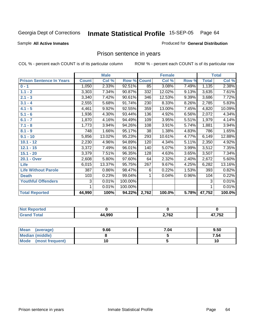Sample **All Active Inmates**

Produced for **General Distribution**

# Prison sentence in years

|                                 |              | <b>Male</b> |         |              | <b>Female</b> |       |              | <b>Total</b> |
|---------------------------------|--------------|-------------|---------|--------------|---------------|-------|--------------|--------------|
| <b>Prison Sentence In Years</b> | <b>Count</b> | Col %       | Row %   | <b>Count</b> | Col %         | Row % | <b>Total</b> | Col %        |
| $0 - 1$                         | 1,050        | 2.33%       | 92.51%  | 85           | 3.08%         | 7.49% | 1,135        | 2.38%        |
| $1.1 - 2$                       | 3,303        | 7.34%       | 90.87%  | 332          | 12.02%        | 9.13% | 3,635        | 7.61%        |
| $2.1 - 3$                       | 3,340        | 7.42%       | 90.61%  | 346          | 12.53%        | 9.39% | 3,686        | 7.72%        |
| $3.1 - 4$                       | 2,555        | 5.68%       | 91.74%  | 230          | 8.33%         | 8.26% | 2,785        | 5.83%        |
| $4.1 - 5$                       | 4,461        | 9.92%       | 92.55%  | 359          | 13.00%        | 7.45% | 4,820        | 10.09%       |
| $5.1 - 6$                       | 1,936        | 4.30%       | 93.44%  | 136          | 4.92%         | 6.56% | 2,072        | 4.34%        |
| $6.1 - 7$                       | 1,870        | 4.16%       | 94.49%  | 109          | 3.95%         | 5.51% | 1,979        | 4.14%        |
| $7.1 - 8$                       | 1,773        | 3.94%       | 94.26%  | 108          | 3.91%         | 5.74% | 1,881        | 3.94%        |
| $8.1 - 9$                       | 748          | 1.66%       | 95.17%  | 38           | 1.38%         | 4.83% | 786          | 1.65%        |
| $9.1 - 10$                      | 5,856        | 13.02%      | 95.23%  | 293          | 10.61%        | 4.77% | 6,149        | 12.88%       |
| $10.1 - 12$                     | 2,230        | 4.96%       | 94.89%  | 120          | 4.34%         | 5.11% | 2,350        | 4.92%        |
| $12.1 - 15$                     | 3,372        | 7.49%       | 96.01%  | 140          | 5.07%         | 3.99% | 3,512        | 7.35%        |
| $15.1 - 20$                     | 3,379        | 7.51%       | 96.35%  | 128          | 4.63%         | 3.65% | 3,507        | 7.34%        |
| 20.1 - Over                     | 2,608        | 5.80%       | 97.60%  | 64           | 2.32%         | 2.40% | 2,672        | 5.60%        |
| <b>Life</b>                     | 6,015        | 13.37%      | 95.75%  | 267          | 9.67%         | 4.25% | 6,282        | 13.16%       |
| <b>Life Without Parole</b>      | 387          | 0.86%       | 98.47%  | 6            | 0.22%         | 1.53% | 393          | 0.82%        |
| <b>Death</b>                    | 103          | 0.23%       | 99.04%  | 1            | 0.04%         | 0.96% | 104          | 0.22%        |
| <b>Youthful Offenders</b>       | 3            | 0.01%       | 100.00% |              |               |       | 3            | 0.01%        |
|                                 | 1            | 0.01%       | 100.00% |              |               |       | 1            | 0.01%        |
| <b>Total Reported</b>           | 44,990       | 100%        | 94.22%  | 2,762        | 100.0%        | 5.78% | 47,752       | 100.0%       |

| тео   |        |       |                       |
|-------|--------|-------|-----------------------|
| 'otal | 44,990 | 2,762 | ハフ フロつ<br>ے ر∙<br>- 1 |

| Mean<br>(average)      | 9.66 | 7.04 | 9.50 |
|------------------------|------|------|------|
| <b>Median (middle)</b> |      |      | 7.54 |
| Mode (most frequent)   |      |      |      |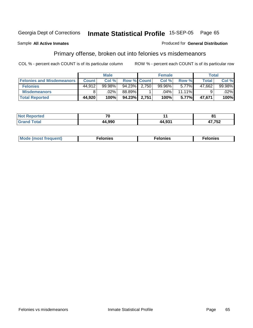Sample **All Active Inmates**

## Produced for **General Distribution**

# Primary offense, broken out into felonies vs misdemeanors

|                                  |              | <b>Male</b> |                    |       | <b>Female</b> |          | <b>Total</b> |         |
|----------------------------------|--------------|-------------|--------------------|-------|---------------|----------|--------------|---------|
| <b>Felonies and Misdemeanors</b> | <b>Count</b> | Col %       | <b>Row % Count</b> |       | Col %         | Row %    | Total        | Col %   |
| <b>Felonies</b>                  | 44.912       | 99.98%      | 94.23%             | 2.750 | 99.96%        | $5.77\%$ | 47,662       | 99.98%  |
| <b>Misdemeanors</b>              |              | .02%        | 88.89%             |       | .04%          | 11.11%   |              | $.02\%$ |
| <b>Total Reported</b>            | 44,920       | 100%        | 94.23%             | 2,751 | 100%          | 5.77%    | 47.671       | 100%    |

| <b>Not</b><br>eported | $\mathbf{z}$ |        | O4         |
|-----------------------|--------------|--------|------------|
| <b>c</b> otal<br>Grar | 44 gar       | 44.931 | A7 752<br> |

| Mode (most frequent) | าทเคร | lonies | elonies |
|----------------------|-------|--------|---------|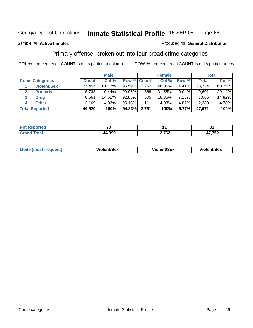Sample **All Active Inmates**

#### Produced for **General Distribution**

# Primary offense, broken out into four broad crime categories

|   |                         |              | <b>Male</b> |           |                    | <b>Female</b> |          |              | <b>Total</b> |
|---|-------------------------|--------------|-------------|-----------|--------------------|---------------|----------|--------------|--------------|
|   | <b>Crime Categories</b> | <b>Count</b> | Col %       |           | <b>Row % Count</b> | Col %         | Row %    | <b>Total</b> | Col %        |
|   | <b>Violent/Sex</b>      | 27,457       | 61.12%      | 95.59%    | 1,267              | 46.06%        | $4.41\%$ | 28,724       | 60.25%       |
|   | <b>Property</b>         | 8,733        | 19.44%      | $90.96\%$ | 868                | 31.55%        | $9.04\%$ | 9.601        | 20.14%       |
| 3 | <b>Drug</b>             | 6,561        | 14.61%      | 92.85%    | 505                | 18.36%        | 7.15%    | 7,066        | $14.82\%$    |
| 4 | <b>Other</b>            | 2,169        | 4.83%       | 95.13%    | 111                | 4.03%         | 4.87%    | 2,280        | 4.78%        |
|   | <b>Total Reported</b>   | 44,920       | 100%        | 94.23%    | 2,751              | 100%          | 5.77%    | 47,671       | 100%         |

| тес<br>NI. |                     |       | .          |
|------------|---------------------|-------|------------|
|            | രമറ<br>44<br>14.YYU | 2,762 | 750<br>'ວ∠ |

|  | <b>Mode</b><br>≀ (most frequent) | Violent/Sex | iolent/Sex | <b>Violent/Sex</b> |
|--|----------------------------------|-------------|------------|--------------------|
|--|----------------------------------|-------------|------------|--------------------|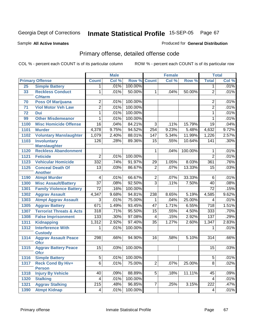Sample **All Active Inmates**

#### Produced for **General Distribution**

# Primary offense, detailed offense code

|      |                                           | <b>Male</b>             |       |         |                 | <b>Female</b> |         |                         | <b>Total</b> |
|------|-------------------------------------------|-------------------------|-------|---------|-----------------|---------------|---------|-------------------------|--------------|
|      | <b>Primary Offense</b>                    | <b>Count</b>            | Col % | Row %   | <b>Count</b>    | Col %         | Row %   | <b>Total</b>            | Col %        |
| 25   | <b>Simple Battery</b>                     | 1                       | .01%  | 100.00% |                 |               |         | 1.                      | .01%         |
| 33   | <b>Reckless Conduct</b>                   | 1                       | .01%  | 50.00%  | 1               | .04%          | 50.00%  | $\overline{2}$          | .01%         |
|      | <b>C/Harm</b>                             |                         |       |         |                 |               |         |                         |              |
| 70   | <b>Poss Of Marijuana</b>                  | $\overline{2}$          | .01%  | 100.00% |                 |               |         | 2                       | .01%         |
| 71   | <b>Viol Motor Veh Law</b>                 | $\overline{2}$          | .01%  | 100.00% |                 |               |         | $\overline{2}$          | .01%         |
| 72   | Dui                                       | $\overline{1}$          | .01%  | 100.00% |                 |               |         | $\mathbf{1}$            | .01%         |
| 99   | <b>Other Misdemeanor</b>                  | 1                       | .01%  | 100.00% |                 |               |         | 1                       | .01%         |
| 1100 | <b>Misc Homicide Offense</b>              | 16                      | .04%  | 84.21%  | $\overline{3}$  | .11%          | 15.79%  | $\overline{19}$         | .04%         |
| 1101 | <b>Murder</b>                             | 4,378                   | 9.75% | 94.52%  | 254             | 9.23%         | 5.48%   | 4,632                   | 9.72%        |
| 1102 | <b>Voluntary Manslaughter</b>             | 1,079                   | 2.40% | 88.01%  | 147             | 5.34%         | 11.99%  | 1,226                   | 2.57%        |
| 1103 | <b>Involuntary</b>                        | 126                     | .28%  | 89.36%  | $\overline{15}$ | .55%          | 10.64%  | 141                     | .30%         |
|      | <b>Manslaughter</b>                       |                         |       |         |                 |               |         |                         |              |
| 1120 | <b>Reckless Abandonment</b>               |                         |       |         | $\mathbf 1$     | .04%          | 100.00% | 1                       | .01%         |
| 1121 | <b>Feticide</b>                           | $\overline{2}$          | .01%  | 100.00% |                 |               |         | $\overline{2}$          | .01%         |
| 1123 | <b>Vehicular Homicide</b>                 | 332                     | .74%  | 91.97%  | 29              | 1.05%         | 8.03%   | 361                     | .76%         |
| 1125 | <b>Conceal Death Of</b>                   | $\overline{13}$         | .03%  | 86.67%  | $\overline{2}$  | .07%          | 13.33%  | $\overline{15}$         | .03%         |
|      | <b>Another</b>                            |                         |       |         |                 |               |         |                         |              |
| 1190 | <b>Atmpt Murder</b>                       | 4                       | .01%  | 66.67%  | $\overline{2}$  | .07%          | 33.33%  | 6                       | .01%         |
| 1300 | <b>Misc Assault/Battery</b>               | $\overline{37}$         | .08%  | 92.50%  | $\overline{3}$  | .11%          | 7.50%   | 40                      | .08%         |
| 1301 | <b>Family Violence Battery</b>            | $\overline{72}$         | .16%  | 100.00% |                 |               |         | $\overline{72}$         | .15%         |
| 1302 | <b>Aggrav Assault</b>                     | 4,347                   | 9.68% | 94.81%  | 238             | 8.65%         | 5.19%   | 4,585                   | 9.62%        |
| 1303 | <b>Atmpt Aggrav Assault</b>               | 3                       | .01%  | 75.00%  | 1               | .04%          | 25.00%  | 4                       | .01%         |
| 1305 | <b>Aggrav Battery</b>                     | 671                     | 1.49% | 93.45%  | $\overline{47}$ | 1.71%         | 6.55%   | $\overline{718}$        | 1.51%        |
| 1307 | <b>Terrorist Threats &amp; Acts</b>       | $\overline{318}$        | .71%  | 95.50%  | $\overline{15}$ | .55%          | 4.50%   | 333                     | .70%         |
| 1308 | <b>False Imprisonment</b>                 | 133                     | .30%  | 97.08%  | $\overline{4}$  | .15%          | 2.92%   | 137                     | .29%         |
| 1311 | <b>Kidnapping</b>                         | 1,312                   | 2.92% | 97.40%  | $\overline{35}$ | 1.27%         | 2.60%   | 1,347                   | 2.83%        |
| 1312 | <b>Interference With</b>                  | 1                       | .01%  | 100.00% |                 |               |         | 1                       | .01%         |
|      | <b>Custody</b>                            |                         |       |         |                 |               |         |                         |              |
| 1314 | <b>Aggrav Assault Peace</b>               | 298                     | .66%  | 94.90%  | $\overline{16}$ | .58%          | 5.10%   | 314                     | .66%         |
|      | <b>Ofcr</b>                               |                         |       |         |                 |               |         |                         |              |
| 1315 | <b>Aggrav Battery Peace</b>               | 15                      | .03%  | 100.00% |                 |               |         | 15                      | .03%         |
|      | <b>Ofcr</b>                               |                         |       |         |                 |               |         |                         | .01%         |
| 1316 | <b>Simple Battery</b>                     | $\overline{5}$          | .01%  | 100.00% |                 |               |         | $\overline{5}$          |              |
| 1317 | <b>Reck Cond By Hiv+</b>                  | $\overline{6}$          | .01%  | 75.00%  | $\overline{2}$  | .07%          | 25.00%  | $\overline{8}$          | .02%         |
| 1318 | <b>Person</b><br><b>Injury By Vehicle</b> | 40                      | .09%  | 88.89%  | $5\overline{)}$ | .18%          | 11.11%  | 45                      | .09%         |
| 1320 | <b>Stalking</b>                           | 4                       | .01%  | 100.00% |                 |               |         | $\overline{\mathbf{4}}$ | .01%         |
| 1321 | <b>Aggrav Stalking</b>                    | 215                     | .48%  | 96.85%  | $\overline{7}$  | .25%          | 3.15%   | 222                     | .47%         |
|      | <b>Atmpt Kidnap</b>                       |                         |       |         |                 |               |         |                         |              |
| 1390 |                                           | $\overline{\mathbf{4}}$ | .01%  | 100.00% |                 |               |         | 4                       | .01%         |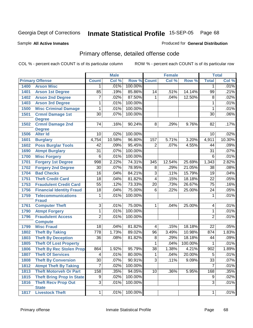Sample **All Active Inmates**

#### Produced for **General Distribution**

# Primary offense, detailed offense code

|      |                                            | <b>Male</b>             |        |         |                  | <b>Female</b> |          |                 | <b>Total</b><br>Col %<br>.01%<br>.21%<br>.02% |  |
|------|--------------------------------------------|-------------------------|--------|---------|------------------|---------------|----------|-----------------|-----------------------------------------------|--|
|      | <b>Primary Offense</b>                     | <b>Count</b>            | Col %  | Row %   | <b>Count</b>     | Col %         | Row %    | <b>Total</b>    |                                               |  |
| 1400 | <b>Arson Misc</b>                          | 1                       | .01%   | 100.00% |                  |               |          | 1               |                                               |  |
| 1401 | <b>Arson 1st Degree</b>                    | 85                      | .19%   | 85.86%  | 14               | .51%          | 14.14%   | 99              |                                               |  |
| 1402 | <b>Arson 2nd Degree</b>                    | $\overline{7}$          | .02%   | 87.50%  | 1                | .04%          | 12.50%   | $\overline{8}$  |                                               |  |
| 1403 | <b>Arson 3rd Degree</b>                    | 1                       | .01%   | 100.00% |                  |               |          | 1               | .01%                                          |  |
| 1500 | <b>Misc Criminal Damage</b>                | 1                       | .01%   | 100.00% |                  |               |          | $\mathbf{1}$    | .01%                                          |  |
| 1501 | <b>Crmnl Damage 1st</b>                    | $\overline{30}$         | .07%   | 100.00% |                  |               |          | $\overline{30}$ | .06%                                          |  |
|      | <b>Degree</b>                              |                         |        |         |                  |               |          |                 |                                               |  |
| 1502 | <b>Crmnl Damage 2nd</b><br><b>Degree</b>   | $\overline{74}$         | .16%   | 90.24%  | $\overline{8}$   | .29%          | 9.76%    | 82              | .17%                                          |  |
| 1506 | <b>Alter Id</b>                            | 10                      | .02%   | 100.00% |                  |               |          | 10              | .02%                                          |  |
| 1601 | <b>Burglary</b>                            | 4,754                   | 10.58% | 96.80%  | 157              | 5.71%         | 3.20%    | 4,911           | 10.30%                                        |  |
| 1602 | <b>Poss Burglar Tools</b>                  | 42                      | .09%   | 95.45%  | $\overline{2}$   | .07%          | 4.55%    | 44              | .09%                                          |  |
| 1690 | <b>Atmpt Burglary</b>                      | $\overline{31}$         | .07%   | 100.00% |                  |               |          | $\overline{31}$ | .07%                                          |  |
| 1700 | <b>Misc Forgery</b>                        | $\overline{6}$          | .01%   | 100.00% |                  |               |          | $\,6$           | .01%                                          |  |
| 1701 | <b>Forgery 1st Degree</b>                  | 998                     | 2.22%  | 74.31%  | $\overline{345}$ | 12.54%        | 25.69%   | 1,343           | 2.82%                                         |  |
| 1702 | <b>Forgery 2nd Degree</b>                  | $\overline{30}$         | .07%   | 78.95%  | 8                | .29%          | 21.05%   | $\overline{38}$ | .08%                                          |  |
| 1704 | <b>Bad Checks</b>                          | $\overline{16}$         | .04%   | 84.21%  | $\overline{3}$   | .11%          | 15.79%   | $\overline{19}$ | .04%                                          |  |
| 1751 | <b>Theft Credit Card</b>                   | $\overline{18}$         | .04%   | 81.82%  | $\overline{4}$   | .15%          | 18.18%   | $\overline{22}$ | .05%                                          |  |
| 1753 | <b>Fraudulent Credit Card</b>              | $\overline{55}$         | .12%   | 73.33%  | $\overline{20}$  | .73%          | 26.67%   | $\overline{75}$ | .16%                                          |  |
| 1756 | <b>Financial Identity Fraud</b>            | $\overline{18}$         | .04%   | 75.00%  | 6                | .22%          | 25.00%   | 24              | .05%                                          |  |
| 1759 | <b>Telecommunications</b><br><b>Fraud</b>  | 1                       | .01%   | 100.00% |                  |               |          | $\mathbf{1}$    | .01%                                          |  |
| 1761 | <b>Computer Theft</b>                      | $\overline{3}$          | .01%   | 75.00%  | 1                | .04%          | 25.00%   | 4               | .01%                                          |  |
| 1790 | <b>Atmpt Forgery</b>                       | $\overline{1}$          | .01%   | 100.00% |                  |               |          | $\mathbf{1}$    | .01%                                          |  |
| 1796 | <b>Fraudulent Access</b>                   | $\overline{2}$          | .01%   | 100.00% |                  |               |          | $\overline{2}$  | .01%                                          |  |
|      | <b>Compute</b>                             |                         |        |         |                  |               |          |                 |                                               |  |
| 1799 | <b>Misc Fraud</b>                          | 18                      | .04%   | 81.82%  | 4                | .15%          | 18.18%   | 22              | .05%                                          |  |
| 1802 | <b>Theft By Taking</b>                     | 778                     | 1.73%  | 89.02%  | 96               | 3.49%         | 10.98%   | 874             | 1.83%                                         |  |
| 1803 | <b>Theft By Deception</b>                  | $\overline{36}$         | .08%   | 81.82%  | $\overline{8}$   | .29%          | 18.18%   | 44              | .09%                                          |  |
| 1805 | <b>Theft Of Lost Property</b>              |                         |        |         | 1                | .04%          | 100.00%  | 1               | .01%                                          |  |
| 1806 | <b>Theft By Rec Stolen Prop</b>            | 864                     | 1.92%  | 95.79%  | $\overline{38}$  | 1.38%         | 4.21%    | 902             | 1.89%                                         |  |
| 1807 | <b>Theft Of Services</b>                   | $\overline{\mathbf{4}}$ | .01%   | 80.00%  | 1                | .04%          | 20.00%   | 5               | .01%                                          |  |
| 1808 | <b>Theft By Conversion</b>                 | 30                      | .07%   | 90.91%  | 3 <sup>1</sup>   | .11%          | $9.09\%$ | $\overline{33}$ | .07%                                          |  |
| 1812 | <b>Atmpt Theft By Taking</b>               | $\overline{7}$          | .02%   | 100.00% |                  |               |          | $\overline{7}$  | .01%                                          |  |
| 1813 | <b>Theft Motorveh Or Part</b>              | 158                     | .35%   | 94.05%  | 10               | .36%          | 5.95%    | 168             | .35%                                          |  |
| 1815 | <b>Theft Bring Prop In State</b>           | $\overline{9}$          | .02%   | 100.00% |                  |               |          | 9               | .02%                                          |  |
| 1816 | <b>Theft Recv Prop Out</b><br><b>State</b> | $\overline{3}$          | .01%   | 100.00% |                  |               |          | $\overline{3}$  | .01%                                          |  |
| 1817 | <b>Livestock Theft</b>                     | $1\vert$                | .01%   | 100.00% |                  |               |          | $\mathbf{1}$    | .01%                                          |  |
|      |                                            |                         |        |         |                  |               |          |                 |                                               |  |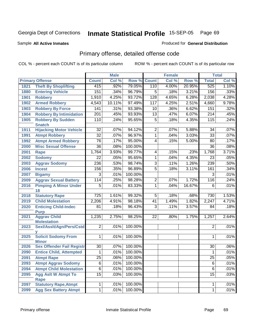Produced for **General Distribution**

#### Sample **All Active Inmates**

# Primary offense, detailed offense code

|      |                                            | <b>Male</b>      |         |         | <b>Female</b>   |       | <b>Total</b> |                 |       |
|------|--------------------------------------------|------------------|---------|---------|-----------------|-------|--------------|-----------------|-------|
|      | <b>Primary Offense</b>                     | <b>Count</b>     | Col %   | Row %   | <b>Count</b>    | Col % | Row %        | <b>Total</b>    | Col % |
| 1821 | <b>Theft By Shoplifting</b>                | $\overline{415}$ | .92%    | 79.05%  | 110             | 4.00% | 20.95%       | 525             | 1.10% |
| 1880 | <b>Entering Vehicle</b>                    | 151              | .34%    | 96.79%  | 5               | .18%  | 3.21%        | 156             | .33%  |
| 1901 | <b>Robbery</b>                             | 1,910            | 4.25%   | 93.72%  | 128             | 4.65% | 6.28%        | 2,038           | 4.28% |
| 1902 | <b>Armed Robbery</b>                       | 4,543            | 10.11%  | 97.49%  | 117             | 4.25% | 2.51%        | 4,660           | 9.78% |
| 1903 | <b>Robbery By Force</b>                    | $\overline{141}$ | .31%    | 93.38%  | $\overline{10}$ | .36%  | 6.62%        | 151             | .32%  |
| 1904 | <b>Robbery By Intimidation</b>             | $\overline{201}$ | .45%    | 93.93%  | $\overline{13}$ | .47%  | 6.07%        | 214             | .45%  |
| 1905 | <b>Robbery By Sudden</b><br><b>Snatch</b>  | 110              | .24%    | 95.65%  | $\overline{5}$  | .18%  | 4.35%        | 115             | .24%  |
| 1911 | <b>Hijacking Motor Vehicle</b>             | $\overline{32}$  | .07%    | 94.12%  | 2               | .07%  | 5.88%        | $\overline{34}$ | .07%  |
| 1991 | <b>Atmpt Robbery</b>                       | $\overline{32}$  | .07%    | 96.97%  | 1               | .04%  | 3.03%        | $\overline{33}$ | .07%  |
| 1992 | <b>Atmpt Armed Robbery</b>                 | $\overline{76}$  | .17%    | 95.00%  | 4               | .15%  | 5.00%        | 80              | .17%  |
| 2000 | <b>Misc Sexual Offense</b>                 | $\overline{36}$  | .08%    | 100.00% |                 |       |              | $\overline{36}$ | .08%  |
| 2001 | <b>Rape</b>                                | 1,764            | 3.93%   | 99.77%  | 4               | .15%  | .23%         | 1,768           | 3.71% |
| 2002 | <b>Sodomy</b>                              | $\overline{22}$  | .05%    | 95.65%  | 1               | .04%  | 4.35%        | 23              | .05%  |
| 2003 | <b>Aggrav Sodomy</b>                       | 236              | .53%    | 98.74%  | 3               | .11%  | 1.26%        | 239             | .50%  |
| 2006 | <b>Incest</b>                              | 156              | .35%    | 96.89%  | $\overline{5}$  | .18%  | 3.11%        | 161             | .34%  |
| 2007 | <b>Bigamy</b>                              | 3                | .01%    | 100.00% |                 |       |              | 3               | .01%  |
| 2009 | <b>Aggrav Sexual Battery</b>               | 114              | .25%    | 98.28%  | 2               | .07%  | 1.72%        | 116             | .24%  |
| 2016 | <b>Pimping A Minor Under</b>               | 5                | .01%    | 83.33%  | 1               | .04%  | 16.67%       | 6               | .01%  |
|      | 18                                         |                  |         |         |                 |       |              |                 |       |
| 2018 | <b>Statutory Rape</b>                      | $\overline{725}$ | 1.61%   | 99.32%  | 5               | .18%  | .68%         | 730             | 1.53% |
| 2019 | <b>Child Molestation</b>                   | 2,206            | 4.91%   | 98.18%  | 41              | 1.49% | 1.82%        | 2,247           | 4.71% |
| 2020 | <b>Enticing Child-Indec</b><br><b>Purp</b> | 81               | .18%    | 96.43%  | 3               | .11%  | 3.57%        | 84              | .18%  |
| 2021 | <b>Aggrav Child</b><br><b>Molestation</b>  | 1,235            | 2.75%   | 98.25%  | 22              | .80%  | 1.75%        | 1,257           | 2.64% |
| 2023 | Sexl/AssIt/Agn/Pers/Cstd                   | $\overline{2}$   | .01%    | 100.00% |                 |       |              | $\overline{2}$  | .01%  |
| 2025 | <b>Solicit Sodomy From</b><br><b>Minor</b> | 1                | .01%    | 100.00% |                 |       |              | 1               | .01%  |
| 2026 | <b>Sex Offender Fail Registr</b>           | 30               | .07%    | 100.00% |                 |       |              | 30              | .06%  |
| 2090 | <b>Entice Child, Attempted</b>             | 1                | .01%    | 100.00% |                 |       |              | 1               | .01%  |
| 2091 | <b>Atmpt Rape</b>                          | $\overline{25}$  | $.06\%$ | 100.00% |                 |       |              | $\overline{25}$ | .05%  |
| 2093 | <b>Atmpt Aggrav Sodomy</b>                 | 6                | .01%    | 100.00% |                 |       |              | 6               | .01%  |
| 2094 | <b>Atmpt Child Molestation</b>             | 6                | .01%    | 100.00% |                 |       |              | 6               | .01%  |
| 2095 | <b>Agg Aslt W Atmpt To</b>                 | $\overline{15}$  | .03%    | 100.00% |                 |       |              | 15              | .03%  |
|      | <b>Rape</b>                                |                  |         |         |                 |       |              |                 |       |
| 2097 | <b>Statutory Rape, Atmpt</b>               | 1                | .01%    | 100.00% |                 |       |              | 1               | .01%  |
| 2099 | <b>Agg Sex Battery Atmpt</b>               | 1                | .01%    | 100.00% |                 |       |              | $\mathbf{1}$    | .01%  |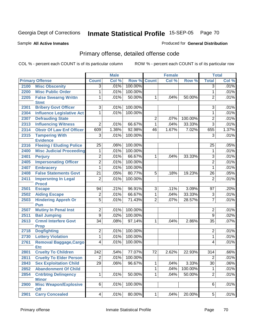Sample **All Active Inmates**

#### Produced for **General Distribution**

# Primary offense, detailed offense code

|      |                                            |                 | <b>Male</b> |         |                | Female |         |                 | <b>Total</b> |
|------|--------------------------------------------|-----------------|-------------|---------|----------------|--------|---------|-----------------|--------------|
|      | <b>Primary Offense</b>                     | <b>Count</b>    | Col %       | Row %   | <b>Count</b>   | Col %  | Row %   | <b>Total</b>    | Col %        |
| 2100 | <b>Misc Obscenity</b>                      | $\overline{3}$  | .01%        | 100.00% |                |        |         | $\overline{3}$  | .01%         |
| 2200 | <b>Misc Public Order</b>                   | 1               | .01%        | 100.00% |                |        |         | 1               | .01%         |
| 2205 | <b>False Swearng Writtn</b>                | 1               | .01%        | 50.00%  | $\mathbf{1}$   | .04%   | 50.00%  | 2               | .01%         |
|      | <b>Stmt</b>                                |                 |             |         |                |        |         |                 |              |
| 2301 | <b>Bribery Govt Officer</b>                | $\overline{3}$  | .01%        | 100.00% |                |        |         | $\overline{3}$  | .01%         |
| 2304 | <b>Influence Legislative Act</b>           | 1               | .01%        | 100.00% |                |        |         | 1               | .01%         |
| 2307 | <b>Defrauding State</b>                    |                 |             |         | $\overline{2}$ | .07%   | 100.00% | $\overline{2}$  | .01%         |
| 2313 | <b>Influencing Witness</b>                 | $\overline{2}$  | .01%        | 66.67%  | 1              | .04%   | 33.33%  | $\overline{3}$  | .01%         |
| 2314 | <b>Obstr Of Law Enf Officer</b>            | 609             | 1.36%       | 92.98%  | 46             | 1.67%  | 7.02%   | 655             | 1.37%        |
| 2315 | <b>Tampering With</b>                      | $\overline{3}$  | .01%        | 100.00% |                |        |         | $\overline{3}$  | .01%         |
|      | <b>Evidence</b>                            |                 |             |         |                |        |         |                 |              |
| 2316 | <b>Fleeing / Eluding Police</b>            | 25              | .06%        | 100.00% |                |        |         | 25              | .05%         |
| 2400 | <b>Misc Judicial Proceeding</b>            | 1               | .01%        | 100.00% |                |        |         | 1               | .01%         |
| 2401 | <b>Perjury</b>                             | $\overline{2}$  | .01%        | 66.67%  | $\mathbf{1}$   | .04%   | 33.33%  | 3               | .01%         |
| 2405 | <b>Impersonating Officer</b>               | $\overline{2}$  | .01%        | 100.00% |                |        |         | $\overline{2}$  | .01%         |
| 2407 | <b>Embracery</b>                           | 1               | .01%        | 100.00% |                |        |         | 1               | .01%         |
| 2408 | <b>False Statements Govt</b>               | $\overline{21}$ | .05%        | 80.77%  | $\overline{5}$ | .18%   | 19.23%  | $\overline{26}$ | .05%         |
| 2411 | <b>Impersntng In Legal</b>                 | $\overline{2}$  | .01%        | 100.00% |                |        |         | $\overline{2}$  | .01%         |
|      | <b>Procd</b>                               |                 |             |         |                |        |         |                 |              |
| 2501 | <b>Escape</b>                              | 94              | .21%        | 96.91%  | $\overline{3}$ | .11%   | 3.09%   | 97              | .20%         |
| 2502 | <b>Aiding Escape</b>                       | $\overline{2}$  | .01%        | 66.67%  | $\overline{1}$ | .04%   | 33.33%  | $\overline{3}$  | .01%         |
| 2503 | <b>Hindering Appreh Or</b>                 | $\overline{5}$  | .01%        | 71.43%  | $\overline{2}$ | .07%   | 28.57%  | $\overline{7}$  | .01%         |
| 2507 | Pun<br><b>Mutiny In Penal Inst</b>         | $\overline{2}$  | .01%        | 100.00% |                |        |         | 2               | .01%         |
| 2511 | <b>Bail Jumping</b>                        | $\overline{9}$  | .02%        | 100.00% |                |        |         | $\overline{9}$  | .02%         |
|      |                                            |                 |             |         |                |        |         |                 |              |
| 2613 | <b>Crmnl Interfere Govt</b><br><b>Prop</b> | $\overline{34}$ | .08%        | 97.14%  | $\mathbf{1}$   | .04%   | 2.86%   | $\overline{35}$ | .07%         |
| 2718 | <b>Dogfighting</b>                         | $\overline{2}$  | .01%        | 100.00% |                |        |         | 2               | .01%         |
| 2730 | <b>Lottery Violation</b>                   | $\mathbf{1}$    | .01%        | 100.00% |                |        |         | $\mathbf{1}$    | .01%         |
| 2761 | <b>Removal Baggage, Cargo</b>              | 4               | .01%        | 100.00% |                |        |         | 4               | .01%         |
|      | <b>Etc</b>                                 |                 |             |         |                |        |         |                 |              |
| 2801 | <b>Cruelty To Children</b>                 | 242             | .54%        | 77.07%  | 72             | 2.62%  | 22.93%  | 314             | .66%         |
| 2811 | <b>Cruelty To Elder Person</b>             | $\overline{2}$  | .01%        | 100.00% |                |        |         | $\overline{2}$  | .01%         |
| 2843 | <b>Sex Exploitation Child</b>              | 29              | .06%        | 96.67%  | $\mathbf{1}$   | .04%   | 3.33%   | $\overline{30}$ | .06%         |
| 2852 | <b>Abandonment Of Child</b>                |                 |             |         | $\mathbf{1}$   | .04%   | 100.00% | 1               | .01%         |
| 2854 | <b>Cntrbtng Delingency</b>                 | $\mathbf{1}$    | .01%        | 50.00%  | $\mathbf{1}$   | .04%   | 50.00%  | $\overline{2}$  | .01%         |
|      | <b>Minor</b>                               |                 |             |         |                |        |         |                 |              |
| 2900 | <b>Misc Weapon/Explosive</b>               | $6 \mid$        | .01%        | 100.00% |                |        |         | 6               | .01%         |
|      | <b>Off</b>                                 |                 |             |         |                |        |         |                 |              |
| 2901 | <b>Carry Concealed</b>                     | 4               | .01%        | 80.00%  | 1              | .04%   | 20.00%  | $\sqrt{5}$      | .01%         |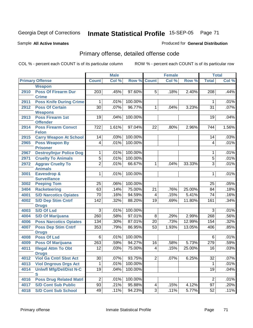Sample **All Active Inmates**

#### Produced for **General Distribution**

# Primary offense, detailed offense code

|      |                                               |                 | <b>Male</b> |                    |                | <b>Female</b> |        |                 | <b>Total</b> |
|------|-----------------------------------------------|-----------------|-------------|--------------------|----------------|---------------|--------|-----------------|--------------|
|      | <b>Primary Offense</b>                        | <b>Count</b>    | Col %       | <b>Row % Count</b> |                | Col %         | Row %  | <b>Total</b>    | Col %        |
|      | <b>Weapon</b>                                 |                 |             |                    |                |               |        |                 |              |
| 2910 | <b>Poss Of Firearm Dur</b>                    | 203             | .45%        | 97.60%             | 5              | .18%          | 2.40%  | 208             | .44%         |
|      | <b>Crime</b>                                  |                 |             |                    |                |               |        |                 |              |
| 2911 | <b>Poss Knife During Crime</b>                | 1               | .01%        | 100.00%            |                |               |        | 1               | .01%         |
| 2912 | <b>Poss Of Certain</b>                        | $\overline{30}$ | .07%        | 96.77%             | 1              | .04%          | 3.23%  | $\overline{31}$ | .07%         |
|      | <b>Weapons</b>                                |                 |             |                    |                |               |        |                 |              |
| 2913 | <b>Poss Firearm 1st</b>                       | $\overline{19}$ | .04%        | 100.00%            |                |               |        | 19              | .04%         |
| 2914 | <b>Offender</b><br><b>Poss Firearm Convct</b> | 722             | 1.61%       | 97.04%             | 22             | .80%          | 2.96%  | 744             | 1.56%        |
|      | <b>Felon</b>                                  |                 |             |                    |                |               |        |                 |              |
| 2915 | <b>Carry Weapon At School</b>                 | 14              | .03%        | 100.00%            |                |               |        | 14              | .03%         |
| 2965 | <b>Poss Weapon By</b>                         | 4               | .01%        | 100.00%            |                |               |        | 4               | .01%         |
|      | <b>Prisoner</b>                               |                 |             |                    |                |               |        |                 |              |
| 2967 | <b>Destroy/Injur Police Dog</b>               | 1               | .01%        | 100.00%            |                |               |        | 1               | .01%         |
| 2971 | <b>Cruelty To Animals</b>                     | $\overline{5}$  | .01%        | 100.00%            |                |               |        | $\overline{5}$  | .01%         |
| 2972 | <b>Aggrav Cruelty To</b>                      | $\overline{2}$  | .01%        | 66.67%             | 1              | .04%          | 33.33% | 3               | .01%         |
|      | <b>Animals</b>                                |                 |             |                    |                |               |        |                 |              |
| 3001 | <b>Eavesdrop &amp;</b>                        | 1               | .01%        | 100.00%            |                |               |        | 1               | .01%         |
|      | <b>Surveillance</b>                           |                 |             |                    |                |               |        |                 |              |
| 3002 | <b>Peeping Tom</b>                            | 25              | .06%        | 100.00%            |                |               |        | 25              | .05%         |
| 3404 | <b>Racketeering</b>                           | 63              | .14%        | 75.00%             | 21             | .76%          | 25.00% | 84              | .18%         |
| 4001 | <b>S/D Narcotics Opiates</b>                  | 70              | .16%        | 94.59%             | 4              | .15%          | 5.41%  | 74              | .16%         |
| 4002 | <b>S/D Dep Stim Cntrf</b>                     | 142             | .32%        | 88.20%             | 19             | .69%          | 11.80% | 161             | .34%         |
| 4003 | <b>Drugs</b><br><b>S/D Of Lsd</b>             | 3               | .01%        | 100.00%            |                |               |        | 3               | .01%         |
| 4004 | <b>S/D Of Marijuana</b>                       | 260             | .58%        | 97.01%             | $\bf 8$        | .29%          | 2.99%  | 268             | .56%         |
| 4006 | <b>Poss Narcotics Opiates</b>                 | 134             |             | 87.01%             | 20             | .73%          | 12.99% | 154             |              |
|      |                                               | 353             | .30%        |                    |                |               |        |                 | .32%         |
| 4007 | <b>Poss Dep Stim Cntrf</b><br><b>Drugs</b>    |                 | .79%        | 86.95%             | 53             | 1.93%         | 13.05% | 406             | .85%         |
| 4008 | <b>Poss Of Lsd</b>                            | 6               | .01%        | 100.00%            |                |               |        | 6               | .01%         |
| 4009 | <b>Poss Of Marijuana</b>                      | 263             | .59%        | 94.27%             | 16             | .58%          | 5.73%  | 279             | .59%         |
| 4011 | <b>Illegal Attm To Obt</b>                    | 12              | .03%        | 75.00%             | 4              | .15%          | 25.00% | 16              | .03%         |
|      | <b>Drugs</b>                                  |                 |             |                    |                |               |        |                 |              |
| 4012 | <b>Viol Ga Cntrl Sbst Act</b>                 | 30              | .07%        | 93.75%             | $\overline{2}$ | .07%          | 6.25%  | $\overline{32}$ | .07%         |
| 4013 | <b>Viol Dngrous Drgs Act</b>                  | 1               | .01%        | 100.00%            |                |               |        | $\mathbf{1}$    | .01%         |
| 4014 | <b>Uniwfl Mfg/Del/Dist N-C</b>                | 19              | .04%        | 100.00%            |                |               |        | 19              | .04%         |
|      | S                                             |                 |             |                    |                |               |        |                 |              |
| 4016 | <b>Poss Drug Related Matri</b>                | $\overline{2}$  | .01%        | 100.00%            |                |               |        | $\overline{2}$  | .01%         |
| 4017 | <b>S/D Cont Sub Public</b>                    | $\overline{93}$ | .21%        | 95.88%             | 4              | .15%          | 4.12%  | 97              | .20%         |
| 4018 | <b>S/D Cont Sub School</b>                    | 49              | .11%        | 94.23%             | $\overline{3}$ | .11%          | 5.77%  | 52              | .11%         |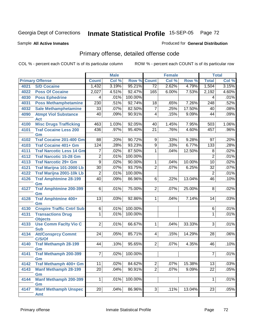#### Sample **All Active Inmates**

#### Produced for **General Distribution**

# Primary offense, detailed offense code

|      |                                     | <b>Male</b>     |       |         |                         | <b>Female</b> |        |                  | <b>Total</b> |
|------|-------------------------------------|-----------------|-------|---------|-------------------------|---------------|--------|------------------|--------------|
|      | <b>Primary Offense</b>              | <b>Count</b>    | Col % | Row %   | <b>Count</b>            | Col %         | Row %  | <b>Total</b>     | Col %        |
| 4021 | <b>S/D Cocaine</b>                  | 1,432           | 3.19% | 95.21%  | $\overline{72}$         | 2.62%         | 4.79%  | 1,504            | 3.15%        |
| 4022 | <b>Poss Of Cocaine</b>              | 2,027           | 4.51% | 92.47%  | 165                     | 6.00%         | 7.53%  | 2,192            | 4.60%        |
| 4030 | <b>Poss Ephedrine</b>               | 4               | .01%  | 100.00% |                         |               |        | 4                | .01%         |
| 4031 | <b>Poss Methamphetamine</b>         | 230             | .51%  | 92.74%  | 18                      | .65%          | 7.26%  | $\overline{248}$ | .52%         |
| 4032 | <b>Sale Methamphetamine</b>         | $\overline{33}$ | .07%  | 82.50%  | $\overline{7}$          | .25%          | 17.50% | 40               | .08%         |
| 4090 | <b>Atmpt Viol Substance</b>         | 40              | .09%  | 90.91%  | $\overline{\mathbf{4}}$ | .15%          | 9.09%  | 44               | .09%         |
|      | <b>Act</b>                          |                 |       |         |                         |               |        |                  |              |
| 4100 | <b>Misc Drugs Trafficking</b>       | 463             | 1.03% | 92.05%  | 40                      | 1.45%         | 7.95%  | 503              | 1.06%        |
| 4101 | <b>Traf Cocaine Less 200</b>        | 436             | .97%  | 95.40%  | $\overline{21}$         | .76%          | 4.60%  | 457              | .96%         |
|      | Gm                                  |                 |       |         |                         |               |        |                  |              |
| 4102 | Traf Cocaine 201-400 Gm             | $\overline{88}$ | .20%  | 90.72%  | $\overline{9}$          | .33%          | 9.28%  | 97               | .20%         |
| 4103 | <b>Traf Cocaine 401+ Gm</b>         | 124             | .28%  | 93.23%  | $\overline{9}$          | .33%          | 6.77%  | 133              | .28%         |
| 4111 | <b>Traf Narcotic Less 14 Gm</b>     | 7               | .02%  | 87.50%  | 1                       | .04%          | 12.50% | 8                | .02%         |
| 4112 | <b>Traf Narcotic 15-28 Gm</b>       | $\overline{2}$  | .01%  | 100.00% |                         |               |        | $\overline{2}$   | .01%         |
| 4113 | <b>Traf Narcotic 29+ Gm</b>         | $\overline{9}$  | .02%  | 90.00%  | 1                       | .04%          | 10.00% | $\overline{10}$  | .02%         |
| 4121 | Traf Marijna 101-2000 Lb            | $\overline{30}$ | .07%  | 93.75%  | $\overline{2}$          | .07%          | 6.25%  | $\overline{32}$  | .07%         |
| 4122 | Traf Marijna 2001-10k Lb            | $\overline{2}$  | .01%  | 100.00% |                         |               |        | $\overline{2}$   | .01%         |
| 4126 | <b>Traf Amphtmine 28-199</b>        | 40              | .09%  | 86.96%  | $\overline{6}$          | .22%          | 13.04% | 46               | .10%         |
| 4127 | Gm<br><b>Traf Amphtmine 200-399</b> | $\overline{6}$  | .01%  | 75.00%  | $\overline{2}$          | .07%          | 25.00% | 8                | .02%         |
|      | Gm                                  |                 |       |         |                         |               |        |                  |              |
| 4128 | <b>Traf Amphtmine 400+</b>          | $\overline{13}$ | .03%  | 92.86%  | 1.                      | .04%          | 7.14%  | 14               | .03%         |
|      | Gm                                  |                 |       |         |                         |               |        |                  |              |
| 4130 | <b>Cnspire Traffic Cntrl Sub</b>    | $\overline{6}$  | .01%  | 100.00% |                         |               |        | 6                | .01%         |
| 4131 | <b>Transactions Drug</b>            | 1               | .01%  | 100.00% |                         |               |        | 1                | .01%         |
|      | <b>Objects</b>                      |                 |       |         |                         |               |        |                  |              |
| 4133 | <b>Use Comm Facity Vio C</b>        | $\overline{2}$  | .01%  | 66.67%  | 1                       | .04%          | 33.33% | $\overline{3}$   | .01%         |
|      | <b>Sub</b>                          |                 |       |         |                         |               |        |                  |              |
| 4134 | <b>Att/Consprcy Commt</b><br>C/S/Of | 24              | .05%  | 85.71%  | $\overline{4}$          | .15%          | 14.29% | 28               | .06%         |
| 4140 | <b>Traf Methamph 28-199</b>         | 44              | .10%  | 95.65%  | $\overline{2}$          | .07%          | 4.35%  | 46               | .10%         |
|      | Gm                                  |                 |       |         |                         |               |        |                  |              |
| 4141 | Traf Methamph 200-399               | $\overline{7}$  | .02%  | 100.00% |                         |               |        | $\overline{7}$   | .01%         |
|      | Gm                                  |                 |       |         |                         |               |        |                  |              |
| 4142 | Traf Methamph 400+ Gm               | 11              | .02%  | 84.62%  | $\overline{2}$          | .07%          | 15.38% | 13               | .03%         |
| 4143 | <b>Manf Methamph 28-199</b>         | 20              | .04%  | 90.91%  | $\overline{2}$          | .07%          | 9.09%  | 22               | .05%         |
|      | Gm                                  |                 |       |         |                         |               |        |                  |              |
| 4144 | <b>Manf Methamph 200-399</b>        | $\mathbf{1}$    | .01%  | 100.00% |                         |               |        | 1                | .01%         |
|      | Gm                                  |                 |       |         |                         |               |        |                  |              |
| 4147 | <b>Manf Methamph Unspec</b>         | 20              | .04%  | 86.96%  | 3                       | .11%          | 13.04% | 23               | .05%         |
|      | Amt                                 |                 |       |         |                         |               |        |                  |              |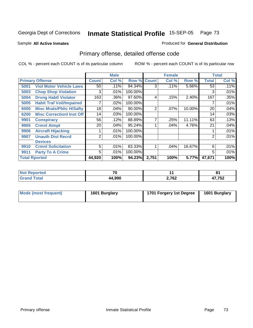Sample **All Active Inmates**

#### Produced for **General Distribution**

# Primary offense, detailed offense code

|      |                                  |                | <b>Male</b> |         |              | <b>Female</b> |          |              | <b>Total</b> |
|------|----------------------------------|----------------|-------------|---------|--------------|---------------|----------|--------------|--------------|
|      | <b>Primary Offense</b>           | <b>Count</b>   | Col %       | Row %   | <b>Count</b> | Col %         | Row %    | <b>Total</b> | Col %        |
| 5001 | <b>Viol Motor Vehicle Laws</b>   | 50             | .11%        | 94.34%  | 3            | .11%          | $5.66\%$ | 53           | .11%         |
| 5003 | <b>Chop Shop Violation</b>       | 3              | .01%        | 100.00% |              |               |          | 3            | .01%         |
| 5004 | <b>Drvng Habtl Violator</b>      | 163            | .36%        | 97.60%  | 4            | .15%          | 2.40%    | 167          | .35%         |
| 5005 | <b>Habit Traf Voil/Impaired</b>  |                | $.02\%$     | 100.00% |              |               |          |              | .01%         |
| 6000 | <b>Misc Mrals/Pblic H/Safty</b>  | 18             | .04%        | 90.00%  | 2            | .07%          | 10.00%   | 20           | .04%         |
| 6200 | <b>Misc CorrectionI Inst Off</b> | 14             | .03%        | 100.00% |              |               |          | 14           | .03%         |
| 9901 | <b>Conspiracy</b>                | 56             | .12%        | 88.89%  | 7            | .25%          | 11.11%   | 63           | .13%         |
| 9905 | <b>Crmnl Atmpt</b>               | 20             | .04%        | 95.24%  |              | .04%          | 4.76%    | 21           | .04%         |
| 9906 | <b>Aircraft Hijacking</b>        |                | .01%        | 100.00% |              |               |          |              | .01%         |
| 9907 | <b>Unauth Dist Recrd</b>         | $\overline{2}$ | .01%        | 100.00% |              |               |          | 2            | .01%         |
|      | <b>Devices</b>                   |                |             |         |              |               |          |              |              |
| 9910 | <b>Crmnl Solicitation</b>        | 5              | .01%        | 83.33%  |              | .04%          | 16.67%   | 6            | .01%         |
| 9911 | <b>Party To A Crime</b>          | 5.             | .01%        | 100.00% |              |               |          | 5            | .01%         |
|      | <b>Total Rported</b>             | 44,920         | 100%        | 94.23%  | 2,751        | 100%          | 5.77%    | 47,671       | 100%         |

| <b>eported</b><br><b>NOT</b>   | $\mathbf{a}$ |       | о.<br>ີ       |
|--------------------------------|--------------|-------|---------------|
| <b>Total</b><br>C <sub>r</sub> | 44.990       | 2,762 | ハフ フロヘ<br>73Z |

|  | Mode (most frequent) | 1601 Burglary | 1701 Forgery 1st Degree | 1601 Burglary |
|--|----------------------|---------------|-------------------------|---------------|
|--|----------------------|---------------|-------------------------|---------------|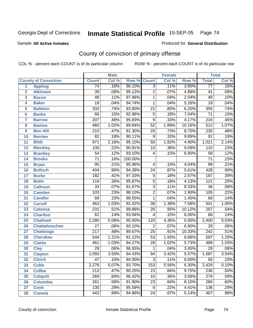Sample **All Active Inmates**

#### Produced for **General Distribution**

# County of conviction of primary offense

|                |                             |                  | <b>Male</b> |         |                 | <b>Female</b> |        |                  | <b>Total</b> |
|----------------|-----------------------------|------------------|-------------|---------|-----------------|---------------|--------|------------------|--------------|
|                | <b>County of Conviction</b> | <b>Count</b>     | Col %       | Row %   | <b>Count</b>    | Col %         | Row %  | <b>Total</b>     | Col %        |
| 1              | <b>Appling</b>              | $\overline{74}$  | .16%        | 96.10%  | $\overline{3}$  | .11%          | 3.90%  | $\overline{77}$  | .16%         |
| $\overline{2}$ | <b>Atkinson</b>             | $\overline{39}$  | .09%        | 95.12%  | $\overline{2}$  | .07%          | 4.88%  | 41               | .09%         |
| 3              | <b>Bacon</b>                | $\overline{48}$  | .11%        | 97.96%  | 1               | .04%          | 2.04%  | 49               | .10%         |
| 4              | <b>Baker</b>                | $\overline{18}$  | .04%        | 94.74%  | 1               | .04%          | 5.26%  | $\overline{19}$  | .04%         |
| 5              | <b>Baldwin</b>              | 333              | .74%        | 93.80%  | $\overline{22}$ | .80%          | 6.20%  | 355              | .74%         |
| 6              | <b>Banks</b>                | 66               | .15%        | 92.96%  | $\overline{5}$  | .18%          | 7.04%  | $\overline{71}$  | .15%         |
| 7              | <b>Barrow</b>               | $\overline{207}$ | .46%        | 95.83%  | $\overline{9}$  | .33%          | 4.17%  | $\overline{216}$ | .45%         |
| 8              | <b>Bartow</b>               | 460              | 1.02%       | 89.84%  | $\overline{52}$ | 1.89%         | 10.16% | $\overline{512}$ | 1.07%        |
| 9              | <b>Ben Hill</b>             | $\overline{210}$ | .47%        | 91.30%  | $\overline{20}$ | .73%          | 8.70%  | 230              | .48%         |
| 10             | <b>Berrien</b>              | $\overline{82}$  | .18%        | 90.11%  | $9\,$           | .33%          | 9.89%  | $\overline{91}$  | .19%         |
| 11             | <b>Bibb</b>                 | 971              | 2.16%       | 95.10%  | $\overline{50}$ | 1.82%         | 4.90%  | 1,021            | 2.14%        |
| 12             | <b>Bleckley</b>             | 100              | .22%        | 90.91%  | $\overline{10}$ | .36%          | 9.09%  | $\overline{110}$ | .23%         |
| 13             | <b>Brantley</b>             | $\overline{54}$  | .12%        | 93.10%  | 4               | .15%          | 6.90%  | $\overline{58}$  | .12%         |
| 14             | <b>Brooks</b>               | $\overline{71}$  | .16%        | 100.00% |                 |               |        | $\overline{71}$  | .15%         |
| 15             | <b>Bryan</b>                | $\overline{95}$  | .21%        | 95.96%  | 4               | .15%          | 4.04%  | $\overline{99}$  | .21%         |
| 16             | <b>Bulloch</b>              | 404              | .90%        | 94.39%  | 24              | .87%          | 5.61%  | 428              | .90%         |
| 17             | <b>Burke</b>                | 182              | .41%        | 97.33%  | $\overline{5}$  | .18%          | 2.67%  | 187              | .39%         |
| 18             | <b>Butts</b>                | 116              | .26%        | 95.87%  | $\overline{5}$  | .18%          | 4.13%  | 121              | .25%         |
| 19             | <b>Calhoun</b>              | $\overline{33}$  | .07%        | 91.67%  | $\overline{3}$  | .11%          | 8.33%  | $\overline{36}$  | .08%         |
| 20             | <b>Camden</b>               | 103              | .23%        | 98.10%  | $\overline{2}$  | .07%          | 1.90%  | 105              | .22%         |
| 21             | <b>Candler</b>              | $\overline{68}$  | .15%        | 98.55%  | $\mathbf{1}$    | .04%          | 1.45%  | 69               | .14%         |
| 22             | <b>Carroll</b>              | 463              | 1.03%       | 92.42%  | $\overline{38}$ | 1.38%         | 7.58%  | 501              | 1.05%        |
| 23             | <b>Catoosa</b>              | 231              | .51%        | 89.88%  | $\overline{26}$ | .95%          | 10.12% | $\overline{257}$ | .54%         |
| 24             | <b>Charlton</b>             | 62               | .14%        | 93.94%  | $\overline{4}$  | .15%          | 6.06%  | 66               | .14%         |
| 25             | <b>Chatham</b>              | 2,280            | 5.08%       | 95.00%  | 120             | 4.36%         | 5.00%  | 2,400            | 5.03%        |
| 26             | <b>Chattahoochee</b>        | $\overline{27}$  | .06%        | 93.10%  | $\overline{2}$  | .07%          | 6.90%  | $\overline{29}$  | .06%         |
| 27             | <b>Chattooga</b>            | $\overline{217}$ | .48%        | 89.67%  | $\overline{25}$ | .91%          | 10.33% | $\overline{242}$ | .51%         |
| 28             | <b>Cherokee</b>             | $\overline{544}$ | 1.21%       | 91.12%  | $\overline{53}$ | 1.93%         | 8.88%  | 597              | 1.25%        |
| 29             | <b>Clarke</b>               | 461              | 1.03%       | 94.27%  | $\overline{28}$ | 1.02%         | 5.73%  | 489              | 1.03%        |
| 30             | <b>Clay</b>                 | $\overline{28}$  | .06%        | 96.55%  | 1               | .04%          | 3.45%  | $\overline{29}$  | .06%         |
| 31             | <b>Clayton</b>              | 1,593            | 3.55%       | 94.43%  | $\overline{94}$ | 3.42%         | 5.57%  | 1,687            | 3.54%        |
| 32             | <b>Clinch</b>               | 47               | .10%        | 94.00%  | 3               | .11%          | 6.00%  | 50               | .10%         |
| 33             | <b>Cobb</b>                 | 2,276            | 5.07%       | 93.70%  | 153             | 5.56%         | 6.30%  | 2,429            | 5.10%        |
| 34             | <b>Coffee</b>               | 213              | .47%        | 90.25%  | 23              | .84%          | 9.75%  | 236              | .50%         |
| 35             | <b>Colquitt</b>             | $\overline{269}$ | .60%        | 96.42%  | 10              | .36%          | 3.58%  | 279              | .59%         |
| 36             | <b>Columbia</b>             | $\overline{261}$ | .58%        | 91.90%  | 23              | .84%          | 8.10%  | 284              | .60%         |
| 37             | <b>Cook</b>                 | 130              | .29%        | 95.59%  | 6               | .22%          | 4.41%  | 136              | .29%         |
| 38             | <b>Coweta</b>               | 443              | .99%        | 94.86%  | $\overline{24}$ | .87%          | 5.14%  | 467              | .98%         |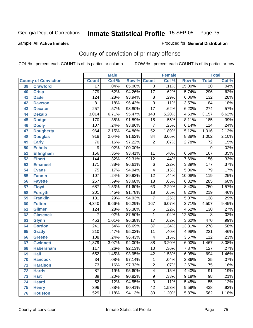Sample **All Active Inmates**

Produced for **General Distribution**

# County of conviction of primary offense

|    |                             |                  | <b>Male</b> |         |                         | <b>Female</b> |        |                  | <b>Total</b> |
|----|-----------------------------|------------------|-------------|---------|-------------------------|---------------|--------|------------------|--------------|
|    | <b>County of Conviction</b> | <b>Count</b>     | Col %       | Row %   | <b>Count</b>            | Col %         | Row %  | <b>Total</b>     | Col %        |
| 39 | <b>Crawford</b>             | $\overline{17}$  | .04%        | 85.00%  | $\overline{3}$          | .11%          | 15.00% | $\overline{20}$  | .04%         |
| 40 | <b>Crisp</b>                | 279              | .62%        | 94.26%  | $\overline{17}$         | .62%          | 5.74%  | 296              | .62%         |
| 41 | <b>Dade</b>                 | 124              | .28%        | 93.94%  | 8                       | .29%          | 6.06%  | $\overline{132}$ | .28%         |
| 42 | <b>Dawson</b>               | 81               | .18%        | 96.43%  | $\overline{3}$          | .11%          | 3.57%  | 84               | .18%         |
| 43 | <b>Decatur</b>              | 257              | .57%        | 93.80%  | $\overline{17}$         | .62%          | 6.20%  | $\overline{274}$ | .57%         |
| 44 | <b>Dekalb</b>               | 3,014            | 6.71%       | 95.47%  | 143                     | 5.20%         | 4.53%  | 3,157            | 6.62%        |
| 45 | <b>Dodge</b>                | 170              | .38%        | 91.89%  | $\overline{15}$         | .55%          | 8.11%  | 185              | .39%         |
| 46 | <b>Dooly</b>                | 107              | .24%        | 93.86%  | $\overline{7}$          | .25%          | 6.14%  | 114              | .24%         |
| 47 | <b>Dougherty</b>            | 964              | 2.15%       | 94.88%  | $\overline{52}$         | 1.89%         | 5.12%  | 1,016            | 2.13%        |
| 48 | <b>Douglas</b>              | 918              | 2.04%       | 91.62%  | 84                      | 3.05%         | 8.38%  | 1,002            | 2.10%        |
| 49 | <b>Early</b>                | 70               | .16%        | 97.22%  | $\overline{2}$          | .07%          | 2.78%  | $\overline{72}$  | .15%         |
| 50 | <b>Echols</b>               | 9                | .02%        | 100.00% |                         |               |        | 9                | .02%         |
| 51 | <b>Effingham</b>            | 156              | .35%        | 93.41%  | $\overline{11}$         | .40%          | 6.59%  | 167              | .35%         |
| 52 | <b>Elbert</b>               | 144              | .32%        | 92.31%  | $\overline{12}$         | .44%          | 7.69%  | 156              | .33%         |
| 53 | <b>Emanuel</b>              | 171              | .38%        | 96.61%  | $\overline{6}$          | .22%          | 3.39%  | 177              | .37%         |
| 54 | <b>Evans</b>                | $\overline{75}$  | .17%        | 94.94%  | 4                       | .15%          | 5.06%  | 79               | .17%         |
| 55 | <b>Fannin</b>               | 107              | .24%        | 89.92%  | $\overline{12}$         | .44%          | 10.08% | $\overline{119}$ | .25%         |
| 56 | <b>Fayette</b>              | 267              | .59%        | 93.68%  | 18                      | .65%          | 6.32%  | 285              | .60%         |
| 57 | <b>Floyd</b>                | 687              | 1.53%       | 91.60%  | 63                      | 2.29%         | 8.40%  | 750              | 1.57%        |
| 58 | <b>Forsyth</b>              | 201              | .45%        | 91.78%  | 18                      | .65%          | 8.22%  | $\overline{219}$ | .46%         |
| 59 | <b>Franklin</b>             | 131              | .29%        | 94.93%  | $\overline{7}$          | .25%          | 5.07%  | 138              | .29%         |
| 60 | <b>Fulton</b>               | 4,340            | 9.66%       | 96.29%  | 167                     | 6.07%         | 3.71%  | 4,507            | 9.45%        |
| 61 | <b>Gilmer</b>               | 124              | .28%        | 95.38%  | 6                       | .22%          | 4.62%  | 130              | .27%         |
| 62 | <b>Glascock</b>             | 7                | .02%        | 87.50%  | 1                       | .04%          | 12.50% | 8                | .02%         |
| 63 | <b>Glynn</b>                | 453              | 1.01%       | 96.38%  | $\overline{17}$         | .62%          | 3.62%  | 470              | .99%         |
| 64 | <b>Gordon</b>               | 241              | .54%        | 86.69%  | $\overline{37}$         | 1.34%         | 13.31% | $\overline{278}$ | .58%         |
| 65 | <b>Grady</b>                | $\overline{210}$ | .47%        | 95.02%  | 11                      | .40%          | 4.98%  | $\overline{221}$ | .46%         |
| 66 | <b>Greene</b>               | $\overline{108}$ | .24%        | 96.43%  | 4                       | .15%          | 3.57%  | 112              | .23%         |
| 67 | <b>Gwinnett</b>             | 1,379            | 3.07%       | 94.00%  | $\overline{88}$         | 3.20%         | 6.00%  | 1,467            | 3.08%        |
| 68 | <b>Habersham</b>            | 117              | .26%        | 92.13%  | 10                      | .36%          | 7.87%  | 127              | .27%         |
| 69 | <b>Hall</b>                 | 652              | 1.45%       | 93.95%  | $\overline{42}$         | 1.53%         | 6.05%  | 694              | 1.46%        |
| 70 | <b>Hancock</b>              | 34               | .08%        | 97.14%  | 1                       | .04%          | 2.86%  | 35               | .07%         |
| 71 | <b>Haralson</b>             | $\overline{73}$  | .16%        | 97.33%  | $\overline{2}$          | .07%          | 2.67%  | $\overline{75}$  | .16%         |
| 72 | <b>Harris</b>               | $\overline{87}$  | .19%        | 95.60%  | $\overline{\mathbf{4}}$ | .15%          | 4.40%  | 91               | .19%         |
| 73 | <b>Hart</b>                 | $\overline{89}$  | .20%        | 90.82%  | $\overline{9}$          | .33%          | 9.18%  | 98               | .21%         |
| 74 | <b>Heard</b>                | 52               | .12%        | 94.55%  | 3                       | .11%          | 5.45%  | 55               | .12%         |
| 75 | <b>Henry</b>                | 396              | .88%        | 90.41%  | 42                      | 1.53%         | 9.59%  | 438              | .92%         |
| 76 | <b>Houston</b>              | 529              | 1.18%       | 94.13%  | $\overline{33}$         | 1.20%         | 5.87%  | 562              | 1.18%        |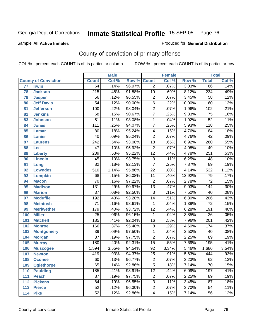Sample **All Active Inmates**

#### Produced for **General Distribution**

# County of conviction of primary offense

|                 |                             |                  | <b>Male</b> |        |                         | <b>Female</b> |        |                  | <b>Total</b> |
|-----------------|-----------------------------|------------------|-------------|--------|-------------------------|---------------|--------|------------------|--------------|
|                 | <b>County of Conviction</b> | <b>Count</b>     | Col %       | Row %  | <b>Count</b>            | Col %         | Row %  | <b>Total</b>     | Col %        |
| $\overline{77}$ | <b>Irwin</b>                | 64               | .14%        | 96.97% | $\overline{2}$          | $.07\%$       | 3.03%  | 66               | .14%         |
| 78              | <b>Jackson</b>              | $\overline{215}$ | .48%        | 91.88% | $\overline{19}$         | .69%          | 8.12%  | 234              | .49%         |
| 79              | <b>Jasper</b>               | $\overline{56}$  | .12%        | 96.55% | $\overline{2}$          | .07%          | 3.45%  | $\overline{58}$  | .12%         |
| 80              | <b>Jeff Davis</b>           | $\overline{54}$  | .12%        | 90.00% | $\overline{6}$          | .22%          | 10.00% | 60               | .13%         |
| 81              | <b>Jefferson</b>            | 100              | .22%        | 98.04% | $\overline{2}$          | .07%          | 1.96%  | 102              | .21%         |
| 82              | <b>Jenkins</b>              | 68               | .15%        | 90.67% | $\overline{7}$          | .25%          | 9.33%  | $\overline{75}$  | .16%         |
| 83              | <b>Johnson</b>              | $\overline{51}$  | .11%        | 98.08% | 1                       | .04%          | 1.92%  | $\overline{52}$  | .11%         |
| 84              | <b>Jones</b>                | 111              | .25%        | 94.07% | 7                       | .25%          | 5.93%  | $\overline{118}$ | .25%         |
| 85              | <b>Lamar</b>                | $\overline{80}$  | .18%        | 95.24% | 4                       | .15%          | 4.76%  | $\overline{84}$  | .18%         |
| 86              | <b>Lanier</b>               | 40               | .09%        | 95.24% | $\overline{2}$          | .07%          | 4.76%  | 42               | .09%         |
| 87              | <b>Laurens</b>              | $\overline{242}$ | .54%        | 93.08% | $\overline{18}$         | .65%          | 6.92%  | 260              | .55%         |
| 88              | Lee                         | 47               | .10%        | 95.92% | $\overline{2}$          | .07%          | 4.08%  | 49               | .10%         |
| 89              | <b>Liberty</b>              | 239              | .53%        | 95.22% | $\overline{12}$         | .44%          | 4.78%  | 251              | .53%         |
| 90              | <b>Lincoln</b>              | 45               | .10%        | 93.75% | $\overline{3}$          | .11%          | 6.25%  | 48               | .10%         |
| 91              | Long                        | $\overline{82}$  | .18%        | 92.13% | $\overline{7}$          | .25%          | 7.87%  | 89               | .19%         |
| 92              | <b>Lowndes</b>              | $\overline{510}$ | 1.14%       | 95.86% | $\overline{22}$         | .80%          | 4.14%  | 532              | 1.12%        |
| 93              | <b>Lumpkin</b>              | 68               | .15%        | 86.08% | $\overline{11}$         | .40%          | 13.92% | $\overline{79}$  | .17%         |
| 94              | <b>Macon</b>                | $\overline{70}$  | .16%        | 97.22% | $\overline{2}$          | .07%          | 2.78%  | $\overline{72}$  | .15%         |
| 95              | <b>Madison</b>              | $\overline{131}$ | .29%        | 90.97% | $\overline{13}$         | .47%          | 9.03%  | $\overline{144}$ | .30%         |
| 96              | <b>Marion</b>               | $\overline{37}$  | .08%        | 92.50% | $\overline{3}$          | .11%          | 7.50%  | 40               | .08%         |
| 97              | <b>Mcduffie</b>             | $\overline{192}$ | .43%        | 93.20% | $\overline{14}$         | .51%          | 6.80%  | $\overline{206}$ | .43%         |
| 98              | <b>Mcintosh</b>             | 71               | .16%        | 98.61% | $\mathbf{1}$            | .04%          | 1.39%  | $\overline{72}$  | .15%         |
| 99              | <b>Meriwether</b>           | 179              | .40%        | 93.72% | $\overline{12}$         | .44%          | 6.28%  | 191              | .40%         |
| 100             | <b>Miller</b>               | $\overline{25}$  | .06%        | 96.15% | 1                       | .04%          | 3.85%  | 26               | .05%         |
| 101             | <b>Mitchell</b>             | $\overline{185}$ | .41%        | 92.04% | $\overline{16}$         | .58%          | 7.96%  | $\overline{201}$ | .42%         |
| 102             | <b>Monroe</b>               | 166              | .37%        | 95.40% | 8                       | .29%          | 4.60%  | 174              | .37%         |
| 103             | <b>Montgomery</b>           | $\overline{39}$  | .09%        | 97.50% | 1                       | .04%          | 2.50%  | 40               | .08%         |
| 104             | <b>Morgan</b>               | $\overline{87}$  | .19%        | 97.75% | 2                       | .07%          | 2.25%  | 89               | .19%         |
| 105             | <b>Murray</b>               | 180              | .40%        | 92.31% | $\overline{15}$         | .55%          | 7.69%  | 195              | .41%         |
| 106             | <b>Muscogee</b>             | 1,594            | 3.55%       | 94.54% | 92                      | 3.34%         | 5.46%  | 1,686            | 3.54%        |
| 107             | <b>Newton</b>               | 419              | .93%        | 94.37% | $\overline{25}$         | .91%          | 5.63%  | 444              | .93%         |
| 108             | <b>Oconee</b>               | 60               | .13%        | 96.77% | 2                       | $.07\%$       | 3.23%  | 62               | .13%         |
| 109             | <b>Oglethorpe</b>           | 65               | .14%        | 92.86% | $\overline{5}$          | .18%          | 7.14%  | $\overline{70}$  | .15%         |
| 110             | <b>Paulding</b>             | 185              | .41%        | 93.91% | $\overline{12}$         | .44%          | 6.09%  | 197              | .41%         |
| 111             | <b>Peach</b>                | $\overline{87}$  | .19%        | 97.75% | $\overline{2}$          | .07%          | 2.25%  | 89               | .19%         |
| 112             | <b>Pickens</b>              | 84               | .19%        | 96.55% | $\overline{3}$          | .11%          | 3.45%  | 87               | .18%         |
| 113             | <b>Pierce</b>               | $\overline{52}$  | .12%        | 96.30% | $\overline{2}$          | .07%          | 3.70%  | $\overline{54}$  | .11%         |
| 114             | <b>Pike</b>                 | 52               | .12%        | 92.86% | $\overline{\mathbf{4}}$ | .15%          | 7.14%  | 56               | .12%         |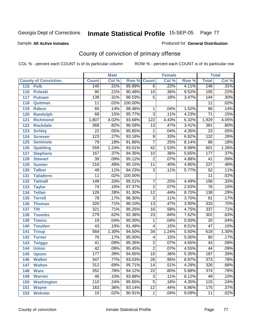Sample **All Active Inmates**

Produced for **General Distribution**

# County of conviction of primary offense

|                             |                  | <b>Male</b> |         |                  | <b>Female</b> |       |                  | <b>Total</b> |
|-----------------------------|------------------|-------------|---------|------------------|---------------|-------|------------------|--------------|
| <b>County of Conviction</b> | <b>Count</b>     | Col %       | Row %   | <b>Count</b>     | Col %         | Row % | <b>Total</b>     | Col %        |
| 115<br><b>Polk</b>          | 140              | .31%        | 95.89%  | $\overline{6}$   | .22%          | 4.11% | 146              | .31%         |
| 116<br><b>Pulaski</b>       | $\overline{95}$  | .21%        | 90.48%  | 10               | .36%          | 9.52% | 105              | .22%         |
| 117<br><b>Putnam</b>        | 139              | .31%        | 96.53%  | $\overline{5}$   | .18%          | 3.47% | 144              | .30%         |
| 118<br>Quitman              | 11               | .02%        | 100.00% |                  |               |       | $\overline{11}$  | .02%         |
| 119<br><b>Rabun</b>         | 65               | .14%        | 98.48%  | 1                | .04%          | 1.52% | 66               | .14%         |
| 120<br><b>Randolph</b>      | 68               | .15%        | 95.77%  | $\overline{3}$   | .11%          | 4.23% | $\overline{71}$  | .15%         |
| <b>Richmond</b><br>121      | 1,807            | 4.02%       | 93.68%  | $\overline{122}$ | 4.43%         | 6.32% | 1,929            | 4.05%        |
| 122<br><b>Rockdale</b>      | 368              | .82%        | 96.59%  | 13               | .47%          | 3.41% | 381              | .80%         |
| 123<br><b>Schley</b>        | $\overline{22}$  | .05%        | 95.65%  | 1                | .04%          | 4.35% | $\overline{23}$  | .05%         |
| 124<br><b>Screven</b>       | 123              | .27%        | 93.18%  | $\overline{9}$   | .33%          | 6.82% | $\overline{132}$ | .28%         |
| <b>Seminole</b><br>125      | 79               | .18%        | 91.86%  | $\overline{7}$   | .25%          | 8.14% | 86               | .18%         |
| 126<br><b>Spalding</b>      | 559              | 1.24%       | 93.01%  | $\overline{42}$  | 1.53%         | 6.99% | 601              | 1.26%        |
| 127<br><b>Stephens</b>      | 167              | .37%        | 94.35%  | 10               | .36%          | 5.65% | 177              | .37%         |
| 128<br><b>Stewart</b>       | $\overline{39}$  | .09%        | 95.12%  | $\overline{2}$   | .07%          | 4.88% | 41               | .09%         |
| 129<br><b>Sumter</b>        | $\overline{216}$ | .48%        | 95.15%  | $\overline{11}$  | .40%          | 4.85% | $\overline{227}$ | .48%         |
| 130<br><b>Talbot</b>        | 49               | .11%        | 94.23%  | $\overline{3}$   | .11%          | 5.77% | $\overline{52}$  | .11%         |
| 131<br><b>Taliaferro</b>    | $\overline{11}$  | .02%        | 100.00% |                  |               |       | $\overline{11}$  | .02%         |
| <b>Tattnall</b><br>132      | $\overline{149}$ | .33%        | 95.51%  | $\overline{7}$   | .25%          | 4.49% | 156              | .33%         |
| 133<br><b>Taylor</b>        | 74               | .16%        | 97.37%  | $\overline{2}$   | .07%          | 2.63% | 76               | .16%         |
| <b>Telfair</b><br>134       | 126              | .28%        | 91.30%  | $\overline{12}$  | .44%          | 8.70% | 138              | .29%         |
| 135<br><b>Terrell</b>       | $\overline{78}$  | .17%        | 96.30%  | $\overline{3}$   | .11%          | 3.70% | $\overline{81}$  | .17%         |
| 136<br><b>Thomas</b>        | $\overline{320}$ | .71%        | 96.10%  | $\overline{13}$  | .47%          | 3.90% | 333              | .70%         |
| <b>Tift</b><br>137          | 321              | .71%        | 95.25%  | $\overline{16}$  | .58%          | 4.75% | $\overline{337}$ | .71%         |
| <b>Toombs</b><br>138        | 279              | .62%        | 92.38%  | 23               | .84%          | 7.62% | $\overline{302}$ | .63%         |
| 139<br><b>Towns</b>         | $\overline{19}$  | .04%        | 95.00%  | 1                | .04%          | 5.00% | $\overline{20}$  | .04%         |
| <b>Treutlen</b><br>140      | $\overline{43}$  | .10%        | 91.49%  | 4                | .15%          | 8.51% | $\overline{47}$  | .10%         |
| 141<br><b>Troup</b>         | 584              | 1.30%       | 94.50%  | $\overline{34}$  | 1.24%         | 5.50% | 618              | 1.30%        |
| 142<br><b>Turner</b>        | $\overline{76}$  | .17%        | 95.00%  | 4                | .15%          | 5.00% | 80               | .17%         |
| 143<br><b>Twiggs</b>        | $\overline{41}$  | .09%        | 95.35%  | $\overline{2}$   | .07%          | 4.65% | 43               | .09%         |
| 144<br><b>Union</b>         | $\overline{42}$  | .09%        | 95.45%  | $\overline{2}$   | .07%          | 4.55% | 44               | .09%         |
| 145<br><b>Upson</b>         | 177              | .39%        | 94.65%  | 10               | .36%          | 5.35% | 187              | .39%         |
| 146<br><b>Walker</b>        | 347              | .77%        | 93.03%  | 26               | .95%          | 6.97% | 373              | .78%         |
| 147<br><b>Walton</b>        | $\overline{312}$ | .69%        | 95.71%  | $\overline{14}$  | .51%          | 4.29% | 326              | .68%         |
| 148<br><b>Ware</b>          | 352              | .78%        | 94.12%  | $\overline{22}$  | .80%          | 5.88% | 374              | .78%         |
| 149<br><b>Warren</b>        | 46               | .10%        | 93.88%  | $\overline{3}$   | .11%          | 6.12% | 49               | .10%         |
| <b>Washington</b><br>150    | 110              | .24%        | 95.65%  | 5                | .18%          | 4.35% | 115              | .24%         |
| 151<br><b>Wayne</b>         | 163              | .36%        | 93.14%  | $\overline{12}$  | .44%          | 6.86% | 175              | .37%         |
| <b>Webster</b><br>152       | 10               | .02%        | 90.91%  | $\mathbf{1}$     | .04%          | 9.09% | 11               | .02%         |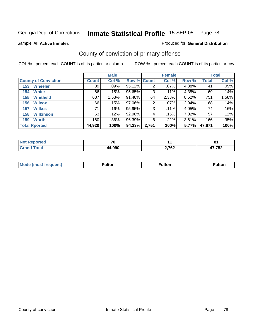Produced for **General Distribution**

Sample **All Active Inmates**

# County of conviction of primary offense

|                             |              | <b>Male</b> |             |       | <b>Female</b> |       |              | <b>Total</b> |
|-----------------------------|--------------|-------------|-------------|-------|---------------|-------|--------------|--------------|
| <b>County of Conviction</b> | <b>Count</b> | Col %       | Row % Count |       | Col %         | Row % | <b>Total</b> | Col %        |
| <b>Wheeler</b><br>153       | 39           | $.09\%$     | 95.12%      | 2     | $.07\%$       | 4.88% | 41           | .09%         |
| <b>White</b><br>154         | 66           | .15%        | 95.65%      | 3     | $.11\%$       | 4.35% | 69           | .14%         |
| <b>Whitfield</b><br>155     | 687          | 1.53%       | 91.48%      | 64    | 2.33%         | 8.52% | 751          | 1.58%        |
| 156<br><b>Wilcox</b>        | 66           | .15%        | 97.06%      | 2     | $.07\%$       | 2.94% | 68           | .14%         |
| <b>Wilkes</b><br>157        | 71           | .16%        | 95.95%      | 3     | .11%          | 4.05% | 74           | .16%         |
| <b>Wilkinson</b><br>158     | 53           | .12%        | 92.98%      | 4     | .15%          | 7.02% | 57           | $.12\%$      |
| <b>Worth</b><br>159         | 160          | .36%        | 96.39%      | 6     | $.22\%$       | 3.61% | 166          | .35%         |
| <b>Total Rported</b>        | 44,920       | 100%        | 94.23%      | 2,751 | 100%          | 5.77% | 47,671       | 100%         |

| A (÷IO) | 70           |       | o.<br>$\mathbf{o}$   |
|---------|--------------|-------|----------------------|
|         | 4.990<br>ΔД. | 2,762 | $- - - - -$<br>1 J L |

| <b>Mode (most frequent)</b> | ™ulton | ulton | ™ulton |
|-----------------------------|--------|-------|--------|
|                             |        |       |        |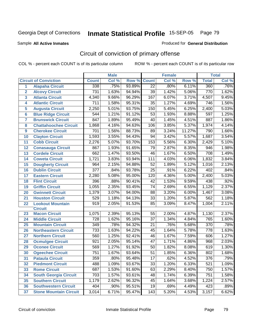Sample **All Active Inmates**

Produced for **General Distribution**

# Circuit of conviction of primary offense

|                         |                               |                  | <b>Male</b> |        |                 | <b>Female</b> |        |                  | <b>Total</b> |
|-------------------------|-------------------------------|------------------|-------------|--------|-----------------|---------------|--------|------------------|--------------|
|                         | <b>Circuit of Conviction</b>  | <b>Count</b>     | Col %       | Row %  | <b>Count</b>    | Col %         | Row %  | <b>Total</b>     | Col %        |
| 1                       | <b>Alapaha Circuit</b>        | 338              | .75%        | 93.89% | $\overline{22}$ | .80%          | 6.11%  | 360              | .76%         |
| $\overline{2}$          | <b>Alcovy Circuit</b>         | 731              | 1.63%       | 94.94% | 39              | 1.42%         | 5.06%  | 770              | 1.62%        |
| $\overline{\mathbf{3}}$ | <b>Atlanta Circuit</b>        | 4,340            | 9.66%       | 96.29% | 167             | 6.07%         | 3.71%  | 4,507            | 9.45%        |
| 4                       | <b>Atlantic Circuit</b>       | $\overline{711}$ | 1.58%       | 95.31% | $\overline{35}$ | 1.27%         | 4.69%  | 746              | 1.56%        |
| 5                       | <b>Augusta Circuit</b>        | 2,250            | 5.01%       | 93.75% | 150             | 5.45%         | 6.25%  | 2,400            | 5.03%        |
| 6                       | <b>Blue Ridge Circuit</b>     | 544              | 1.21%       | 91.12% | 53              | 1.93%         | 8.88%  | 597              | 1.25%        |
| $\overline{7}$          | <b>Brunswick Circuit</b>      | 847              | 1.89%       | 95.49% | 40              | 1.45%         | 4.51%  | 887              | 1.86%        |
| 8                       | <b>Chattahoochee Circuit</b>  | 1,868            | 4.16%       | 94.63% | 106             | 3.85%         | 5.37%  | 1,974            | 4.14%        |
| 9                       | <b>Cherokee Circuit</b>       | 701              | 1.56%       | 88.73% | 89              | 3.24%         | 11.27% | 790              | 1.66%        |
| 10                      | <b>Clayton Circuit</b>        | 1,593            | 3.55%       | 94.43% | 94              | 3.42%         | 5.57%  | 1,687            | 3.54%        |
| 11                      | <b>Cobb Circuit</b>           | 2,276            | 5.07%       | 93.70% | 153             | 5.56%         | 6.30%  | 2,429            | 5.10%        |
| 12                      | <b>Conasauga Circuit</b>      | 867              | 1.93%       | 91.65% | 79              | 2.87%         | 8.35%  | $\overline{946}$ | 1.98%        |
| 13                      | <b>Cordele Circuit</b>        | 662              | 1.47%       | 93.50% | $\overline{46}$ | 1.67%         | 6.50%  | 708              | 1.49%        |
| 14                      | <b>Coweta Circuit</b>         | 1,721            | 3.83%       | 93.94% | 111             | 4.03%         | 6.06%  | 1,832            | 3.84%        |
| 15                      | <b>Dougherty Circuit</b>      | 964              | 2.15%       | 94.88% | 52              | 1.89%         | 5.12%  | 1,016            | 2.13%        |
| 16                      | <b>Dublin Circuit</b>         | $\overline{377}$ | .84%        | 93.78% | 25              | .91%          | 6.22%  | 402              | .84%         |
| 17                      | <b>Eastern Circuit</b>        | 2,280            | 5.08%       | 95.00% | 120             | 4.36%         | 5.00%  | 2,400            | 5.03%        |
| 18                      | <b>Flint Circuit</b>          | 396              | .88%        | 90.41% | 42              | 1.53%         | 9.59%  | 438              | .92%         |
| 19                      | <b>Griffin Circuit</b>        | 1,055            | 2.35%       | 93.45% | 74              | 2.69%         | 6.55%  | 1,129            | 2.37%        |
| 20                      | <b>Gwinnett Circuit</b>       | 1,379            | 3.07%       | 94.00% | 88              | 3.20%         | 6.00%  | 1,467            | 3.08%        |
| 21                      | <b>Houston Circuit</b>        | 529              | 1.18%       | 94.13% | $\overline{33}$ | 1.20%         | 5.87%  | 562              | 1.18%        |
| 22                      | <b>Lookout Mountain</b>       | 919              | 2.05%       | 91.53% | 85              | 3.09%         | 8.47%  | 1,004            | 2.11%        |
|                         | <b>Circuit</b>                |                  |             |        |                 |               |        |                  |              |
| 23                      | <b>Macon Circuit</b>          | 1,075            | 2.39%       | 95.13% | 55              | 2.00%         | 4.87%  | 1,130            | 2.37%        |
| 24                      | <b>Middle Circuit</b>         | $\overline{728}$ | 1.62%       | 95.16% | $\overline{37}$ | 1.34%         | 4.84%  | 765              | 1.60%        |
| 25                      | <b>Mountain Circuit</b>       | 349              | .78%        | 94.32% | 21              | .76%          | 5.68%  | $\overline{370}$ | .78%         |
| 26                      | <b>Northeastern Circuit</b>   | $\overline{733}$ | 1.63%       | 94.22% | 45              | 1.64%         | 5.78%  | 778              | 1.63%        |
| 27                      | <b>Northern Circuit</b>       | 560              | 1.25%       | 92.41% | 46              | 1.67%         | 7.59%  | 606              | 1.27%        |
| 28                      | <b>Ocmulgee Circuit</b>       | 921              | 2.05%       | 95.14% | $\overline{47}$ | 1.71%         | 4.86%  | 968              | 2.03%        |
| 29                      | <b>Oconee Circuit</b>         | 569              | 1.27%       | 91.92% | 50              | 1.82%         | 8.08%  | 619              | 1.30%        |
| 30                      | <b>Ogeechee Circuit</b>       | 751              | 1.67%       | 93.64% | 51              | 1.85%         | 6.36%  | 802              | 1.68%        |
| $\overline{31}$         | <b>Pataula Circuit</b>        | 359              | .80%        | 95.48% | $\overline{17}$ | .62%          | 4.52%  | 376              | .79%         |
| 32                      | <b>Piedmont Circuit</b>       | 488              | 1.09%       | 93.67% | 33              | 1.20%         | 6.33%  | 521              | 1.09%        |
| 33                      | <b>Rome Circuit</b>           | 687              | 1.53%       | 91.60% | 63              | 2.29%         | 8.40%  | 750              | 1.57%        |
| 34                      | <b>South Georgia Circuit</b>  | 703              | 1.57%       | 93.61% | 48              | 1.74%         | 6.39%  | 751              | 1.58%        |
| 35                      | <b>Southern Circuit</b>       | 1,179            | 2.62%       | 96.32% | 45              | 1.64%         | 3.68%  | 1,224            | 2.57%        |
| 36                      | <b>Southwestern Circuit</b>   | 404              | .90%        | 95.51% | 19              | .69%          | 4.49%  | 423              | .89%         |
| 37                      | <b>Stone Mountain Circuit</b> | 3,014            | 6.71%       | 95.47% | 143             | 5.20%         | 4.53%  | 3,157            | 6.62%        |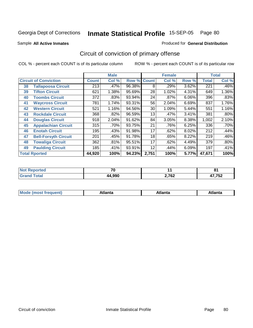Sample **All Active Inmates**

#### Produced for **General Distribution**

# Circuit of conviction of primary offense

|    |                              |              | <b>Male</b> |                    |       | <b>Female</b> |          |              | <b>Total</b> |
|----|------------------------------|--------------|-------------|--------------------|-------|---------------|----------|--------------|--------------|
|    | <b>Circuit of Conviction</b> | <b>Count</b> | Col %       | <b>Row % Count</b> |       | Col %         | Row %    | <b>Total</b> | Col %        |
| 38 | <b>Tallapoosa Circuit</b>    | 213          | .47%        | 96.38%             | 8     | .29%          | 3.62%    | 221          | .46%         |
| 39 | <b>Tifton Circuit</b>        | 621          | 1.38%       | 95.69%             | 28    | 1.02%         | 4.31%    | 649          | 1.36%        |
| 40 | <b>Toombs Circuit</b>        | 372          | .83%        | 93.94%             | 24    | .87%          | $6.06\%$ | 396          | .83%         |
| 41 | <b>Waycross Circuit</b>      | 781          | 1.74%       | 93.31%             | 56    | 2.04%         | 6.69%    | 837          | 1.76%        |
| 42 | <b>Western Circuit</b>       | 521          | 1.16%       | 94.56%             | 30    | 1.09%         | 5.44%    | 551          | 1.16%        |
| 43 | <b>Rockdale Circuit</b>      | 368          | .82%        | 96.59%             | 13    | .47%          | 3.41%    | 381          | .80%         |
| 44 | <b>Douglas Circuit</b>       | 918          | 2.04%       | 91.62%             | 84    | 3.05%         | 8.38%    | 1,002        | 2.10%        |
| 45 | <b>Appalachian Circuit</b>   | 315          | .70%        | 93.75%             | 21    | .76%          | 6.25%    | 336          | .70%         |
| 46 | <b>Enotah Circuit</b>        | 195          | .43%        | 91.98%             | 17    | .62%          | 8.02%    | 212          | .44%         |
| 47 | <b>Bell-Forsyth Circuit</b>  | 201          | .45%        | 91.78%             | 18    | .65%          | 8.22%    | 219          | .46%         |
| 48 | <b>Towaliga Circuit</b>      | 362          | .81%        | 95.51%             | 17    | .62%          | 4.49%    | 379          | .80%         |
| 49 | <b>Paulding Circuit</b>      | 185          | .41%        | 93.91%             | 12    | .44%          | 6.09%    | 197          | .41%         |
|    | <b>Total Rported</b>         | 44,920       | 100%        | 94.23%             | 2,751 | 100%          | 5.77%    | 47,671       | 100%         |

| rtea | 70     |                 | o.<br>$\mathbf{O}$ . |
|------|--------|-----------------|----------------------|
|      | 44.990 | 2.762<br>2,7 VZ | $-750$<br>′ 75∠      |

| M | المعدد<br>anta | . | nld |
|---|----------------|---|-----|
|   |                |   |     |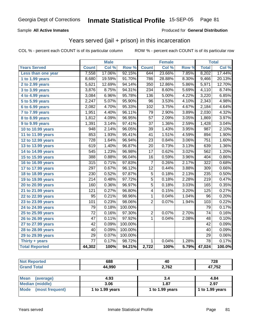#### Sample **All Active Inmates**

#### Produced for **General Distribution**

# Years served (jail + prison) in this incarceration

|                       |                  | <b>Male</b> |         |                 | <b>Female</b> |       |                  | <b>Total</b> |
|-----------------------|------------------|-------------|---------|-----------------|---------------|-------|------------------|--------------|
| <b>Years Served</b>   | <b>Count</b>     | Col %       | Row %   | <b>Count</b>    | Col %         | Row % | <b>Total</b>     | Col %        |
| Less than one year    | 7,558            | 17.06%      | 92.15%  | 644             | 23.66%        | 7.85% | 8,202            | 17.44%       |
| 1 to 1.99 years       | 8,680            | 19.59%      | 91.70%  | 786             | 28.88%        | 8.30% | 9,466            | 20.13%       |
| 2 to 2.99 years       | 5,621            | 12.69%      | 94.14%  | 350             | 12.86%        | 5.86% | 5,971            | 12.70%       |
| 3 to 3.99 years       | 3,876            | 8.75%       | 94.31%  | 234             | 8.60%         | 5.69% | 4,110            | 8.74%        |
| 4 to 4.99 years       | 3,084            | 6.96%       | 95.78%  | 136             | 5.00%         | 4.22% | 3,220            | 6.85%        |
| 5 to 5.99 years       | 2,247            | 5.07%       | 95.90%  | $\overline{96}$ | 3.53%         | 4.10% | 2,343            | 4.98%        |
| 6 to 6.99 years       | 2,082            | 4.70%       | 95.33%  | 102             | 3.75%         | 4.67% | 2,184            | 4.64%        |
| 7 to 7.99 years       | 1,951            | 4.40%       | 96.11%  | 79              | 2.90%         | 3.89% | 2,030            | 4.32%        |
| 8 to 8.99 years       | 1,812            | 4.09%       | 96.95%  | $\overline{57}$ | 2.09%         | 3.05% | 1,869            | 3.97%        |
| 9 to 9.99 years       | 1,391            | 3.14%       | 97.41%  | $\overline{37}$ | 1.36%         | 2.59% | 1,428            | 3.04%        |
| 10 to 10.99 years     | 948              | 2.14%       | 96.05%  | $\overline{39}$ | 1.43%         | 3.95% | $\overline{987}$ | 2.10%        |
| 11 to 11.99 years     | 853              | 1.93%       | 95.41%  | $\overline{41}$ | 1.51%         | 4.59% | 894              | 1.90%        |
| 12 to 12.99 years     | $\overline{728}$ | 1.64%       | 96.94%  | $\overline{23}$ | 0.84%         | 3.06% | 751              | 1.60%        |
| 13 to 13.99 years     | 619              | 1.40%       | 96.87%  | $\overline{20}$ | 0.73%         | 3.13% | 639              | 1.36%        |
| 14 to 14.99 years     | $\overline{545}$ | 1.23%       | 96.98%  | $\overline{17}$ | 0.62%         | 3.02% | 562              | 1.20%        |
| 15 to 15.99 years     | 388              | 0.88%       | 96.04%  | 16              | 0.59%         | 3.96% | 404              | 0.86%        |
| 16 to 16.99 years     | 315              | 0.71%       | 97.83%  | $\overline{7}$  | 0.26%         | 2.17% | $\overline{322}$ | 0.68%        |
| 17 to 17.99 years     | 297              | 0.67%       | 96.12%  | $\overline{12}$ | 0.44%         | 3.88% | 309              | 0.66%        |
| 18 to 18.99 years     | $\overline{230}$ | 0.52%       | 97.87%  | $\overline{5}$  | 0.18%         | 2.13% | 235              | 0.50%        |
| 19 to 19.99 years     | $\overline{214}$ | 0.48%       | 97.72%  | $\overline{5}$  | 0.18%         | 2.28% | $\overline{219}$ | 0.47%        |
| 20 to 20.99 years     | 160              | 0.36%       | 96.97%  | $\overline{5}$  | 0.18%         | 3.03% | 165              | 0.35%        |
| 21 to 21.99 years     | 121              | 0.27%       | 96.80%  | $\overline{4}$  | 0.15%         | 3.20% | $\overline{125}$ | 0.27%        |
| 22 to 22.99 years     | $\overline{95}$  | 0.21%       | 98.96%  | $\mathbf{1}$    | 0.04%         | 1.04% | $\overline{96}$  | 0.20%        |
| 23 to 23.99 years     | 101              | 0.23%       | 98.06%  | $\overline{2}$  | 0.07%         | 1.94% | 103              | 0.22%        |
| 24 to 24.99 years     | 79               | 0.18%       | 100.00% |                 |               |       | 79               | 0.17%        |
| 25 to 25.99 years     | $\overline{72}$  | 0.16%       | 97.30%  | $\overline{2}$  | 0.07%         | 2.70% | 74               | 0.16%        |
| 26 to 26.99 years     | 47               | 0.11%       | 97.92%  | 1               | 0.04%         | 2.08% | 48               | 0.10%        |
| 27 to 27.99 years     | 42               | 0.09%       | 100.00% |                 |               |       | $\overline{42}$  | 0.09%        |
| 28 to 28.99 years     | $\overline{40}$  | 0.09%       | 100.00% |                 |               |       | $\overline{40}$  | 0.09%        |
| 29 to 29.99 years     | $\overline{29}$  | 0.07%       | 100.00% |                 |               |       | $\overline{29}$  | 0.06%        |
| Thirty $+$ years      | $\overline{77}$  | 0.17%       | 98.72%  | 1               | 0.04%         | 1.28% | $\overline{78}$  | 0.17%        |
| <b>Total Reported</b> | 44,302           | 100%        | 94.21%  | 2,722           | 100%          | 5.79% | 47,024           | 100.0%       |

| <b>Not Reported</b>            | 688             | 40              | 728             |
|--------------------------------|-----------------|-----------------|-----------------|
| <b>Grand Total</b>             | 44,990          | 2,762           | 47,752          |
|                                |                 |                 |                 |
| <b>Mean</b><br>(average)       | 4.93            | 3.4             | 4.84            |
| Median (middle)                | 3.06            | 1.87            | 2.97            |
| <b>Mode</b><br>(most frequent) | 1 to 1.99 years | 1 to 1.99 years | 1 to 1.99 years |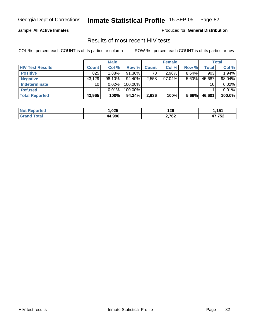Sample **All Active Inmates**

Produced for **General Distribution**

### Results of most recent HIV tests

|                         |              | <b>Male</b> |           |              | <b>Female</b> |          |        | <b>Total</b> |
|-------------------------|--------------|-------------|-----------|--------------|---------------|----------|--------|--------------|
| <b>HIV Test Results</b> | <b>Count</b> | Col %       | Row %     | <b>Count</b> | Col %         | Row %    | Total  | Col %        |
| <b>Positive</b>         | 825          | $1.88\%$    | $91.36\%$ | 78           | $2.96\%$      | $8.64\%$ | 903    | 1.94%        |
| <b>Negative</b>         | 43,129       | $98.10\%$   | 94.40%    | 2,558        | $97.04\%$     | 5.60%    | 45,687 | 98.04%       |
| <b>Indeterminate</b>    | 10           | 0.02%       | 100.00%   |              |               |          | 10     | 0.02%        |
| <b>Refused</b>          |              | $0.01\%$    | 100.00%   |              |               |          |        | 0.01%        |
| Total Reported          | 43,965       | 100%        | 94.34%    | 2,636        | 100%          | $5.66\%$ | 46,601 | 100.0%       |

| <b>Not</b><br>Reported      | ,025       | 126<br>__ | 454    |
|-----------------------------|------------|-----------|--------|
| <b>Total</b><br><b>Gran</b> | .990<br>AД | 2,762     | 17,752 |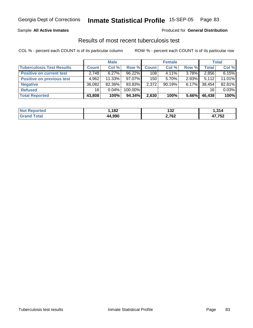#### Sample **All Active Inmates**

#### Produced for **General Distribution**

### Results of most recent tuberculosis test

|                                  |              | <b>Male</b> |            |              | <b>Female</b> |          |              | <b>Total</b> |
|----------------------------------|--------------|-------------|------------|--------------|---------------|----------|--------------|--------------|
| <b>Tuberculosis Test Results</b> | <b>Count</b> | Col %       | Row %      | <b>Count</b> | Col %         | Row %    | <b>Total</b> | Col %        |
| <b>Positive on current test</b>  | 2,748        | 6.27%       | 96.22%     | 108          | $4.11\%$      | $3.78\%$ | 2,856        | 6.15%        |
| <b>Positive on previous test</b> | 4,962        | 11.33%      | 97.07%     | 150          | $5.70\%$      | $2.93\%$ | 5,112        | 11.01%       |
| <b>Negative</b>                  | 36,082       | 82.36%      | 93.83%     | 2,372        | 90.19%        | $6.17\%$ | 38.454       | 82.81%       |
| <b>Refused</b>                   | 16           | $0.04\%$    | $100.00\%$ |              |               |          | 16           | 0.03%        |
| <b>Total Reported</b>            | 43,808       | 100%        | 94.34%     | 2,630        | 100%          | 5.66%    | 46,438       | 100%         |

| <b>Not</b>            | 192   | 199   | .314   |
|-----------------------|-------|-------|--------|
| ⋌eported              | ∣ O∠  | ے د ا |        |
| <b>Total</b><br>⊩Grar | חממ ו | 2,762 | 47,752 |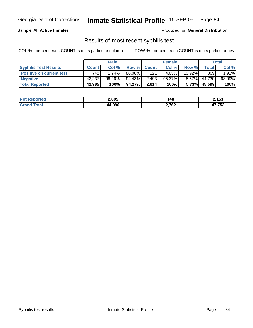#### Sample **All Active Inmates**

Produced for **General Distribution**

### Results of most recent syphilis test

|                                 |              | <b>Male</b> |        |             | <b>Female</b> |           |              | Total  |
|---------------------------------|--------------|-------------|--------|-------------|---------------|-----------|--------------|--------|
| <b>Syphilis Test Results</b>    | <b>Count</b> | Col %       |        | Row % Count | Col %         | Row %     | Total        | Col %  |
| <b>Positive on current test</b> | 748          | 1.74%       | 86.08% | 121         | 4.63%         | $13.92\%$ | 869          | 1.91%  |
| <b>Negative</b>                 | 42,237       | 98.26%      | 94.43% | 2,493       | 95.37%        | $5.57\%$  | 44,730       | 98.09% |
| <b>Total Reported</b>           | 42,985       | 100%        | 94.27% | 2,614       | 100%          |           | 5.73% 45,599 | 100%   |

| <b>Not Reported</b> | 2,005 | 148   | 2,153  |
|---------------------|-------|-------|--------|
| <b>Total</b>        | 4.990 | 2,762 | 17,752 |
| <b>Grand</b>        | 44    |       | ,,,    |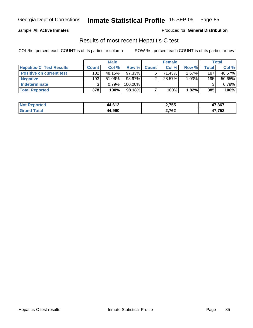#### Sample **All Active Inmates**

Produced for **General Distribution**

### Results of most recent Hepatitis-C test

|                                 |              | <b>Male</b> |            |              | <b>Female</b> |          |       | Total  |
|---------------------------------|--------------|-------------|------------|--------------|---------------|----------|-------|--------|
| <b>Hepatitis-C Test Results</b> | <b>Count</b> | Col %       | Row %      | <b>Count</b> | Col %         | Row %    | Total | Col %  |
| <b>Positive on current test</b> | 182          | 48.15%      | 97.33%     |              | 71.43%        | $2.67\%$ | 187   | 48.57% |
| <b>Negative</b>                 | 193          | $51.06\%$   | 98.97%     |              | 28.57%        | 1.03%    | 195   | 50.65% |
| <b>Indeterminate</b>            |              | 0.79%       | $100.00\%$ |              |               |          |       | 0.78%  |
| <b>Total Reported</b>           | 378          | 100%        | 98.18%     |              | 100%          | 1.82%    | 385   | 100%   |

| <b>Not</b><br><b>Reported</b> | 4,612<br>AА | 2,755 | 47,367         |
|-------------------------------|-------------|-------|----------------|
| <b>Fotal</b><br>l Gran        | 44,990      | 2,762 | 17 759<br>∡ت ≀ |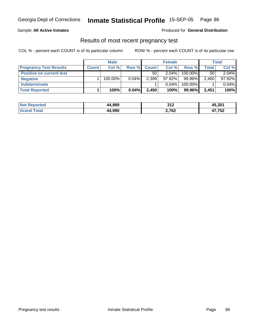#### Sample **All Active Inmates**

#### Produced for **General Distribution**

### Results of most recent pregnancy test

|                                 |              | <b>Male</b> |          |              | <b>Female</b> |         |              | <b>Total</b> |
|---------------------------------|--------------|-------------|----------|--------------|---------------|---------|--------------|--------------|
| <b>Pregnancy Test Results</b>   | <b>Count</b> | Col %       | Row %    | <b>Count</b> | Col %         | Row %   | <b>Total</b> | Col %        |
| <b>Positive on current test</b> |              |             |          | 50           | $2.04\%$      | 100.00% | 50           | 2.04%        |
| <b>Negative</b>                 |              | 100.00%     | $0.04\%$ | 2,399        | $97.92\%$     | 99.96%  | 2,400        | 97.92%       |
| <b>Indeterminate</b>            |              |             |          |              | $0.04\%$      | 100.00% |              | 0.04%        |
| <b>Total Reported</b>           |              | 100%        | $0.04\%$ | 2,450        | 100%          | 99.96%  | 2,451        | 100%         |

| Not I<br>Reported     | 44,989 | つイつ<br>3 I Z | 45,301 |
|-----------------------|--------|--------------|--------|
| <b>Total</b><br>⊩Gra⊧ | 44.990 | 2,762        | 17,752 |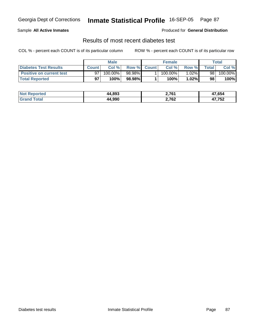#### Sample **All Active Inmates**

Produced for **General Distribution**

### Results of most recent diabetes test

|                                 | Male         |         |         | <b>Female</b> |            |          | Total          |         |
|---------------------------------|--------------|---------|---------|---------------|------------|----------|----------------|---------|
| Diabetes Test Results           | <b>Count</b> | Col %   |         | Row % Count   | Col %      | Row %    | <b>Total</b> i | Col %   |
| <b>Positive on current test</b> |              | 100.00% | 98.98%I |               | $100.00\%$ | $1.02\%$ | 98             | 100.00% |
| <b>Total Reported</b>           | 97           | 100%    | 98.98%  |               | 100%       | 1.02%    | 98             | 100%    |

| <b>Not Reported</b>       | 44,893 | 2,761 | 47,654 |
|---------------------------|--------|-------|--------|
| <sup>-</sup> ota<br>l Gra | 44.990 | 2,762 | 17,752 |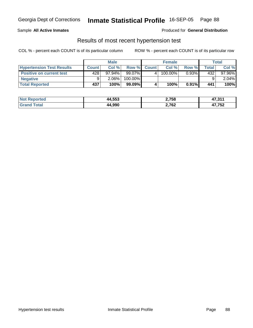#### Sample **All Active Inmates**

Produced for **General Distribution**

### Results of most recent hypertension test

|                                  |              | <b>Male</b> |         |              | <b>Female</b> |          |                  | Total    |
|----------------------------------|--------------|-------------|---------|--------------|---------------|----------|------------------|----------|
| <b>Hypertension Test Results</b> | <b>Count</b> | Col %       | Row %   | <b>Count</b> | Col %         | Row %    | $\mathsf{Total}$ | Col %    |
| <b>Positive on current test</b>  | 428          | $97.94\%$   | 99.07%  | $\mathbf{A}$ | 100.00%       | 0.93%    | 432              | 97.96%   |
| <b>Negative</b>                  | a            | 2.06%       | 100.00% |              |               |          |                  | $2.04\%$ |
| <b>Total Reported</b>            | 437          | 100%        | 99.09%  |              | 100%          | $0.91\%$ | 441              | 100%     |

| <b>Not Reported</b> | 44,553 | 2,758 | 17 911<br>- 47.31. |
|---------------------|--------|-------|--------------------|
| Γotal<br>Grand      | 44,990 | 2,762 | 47,752             |